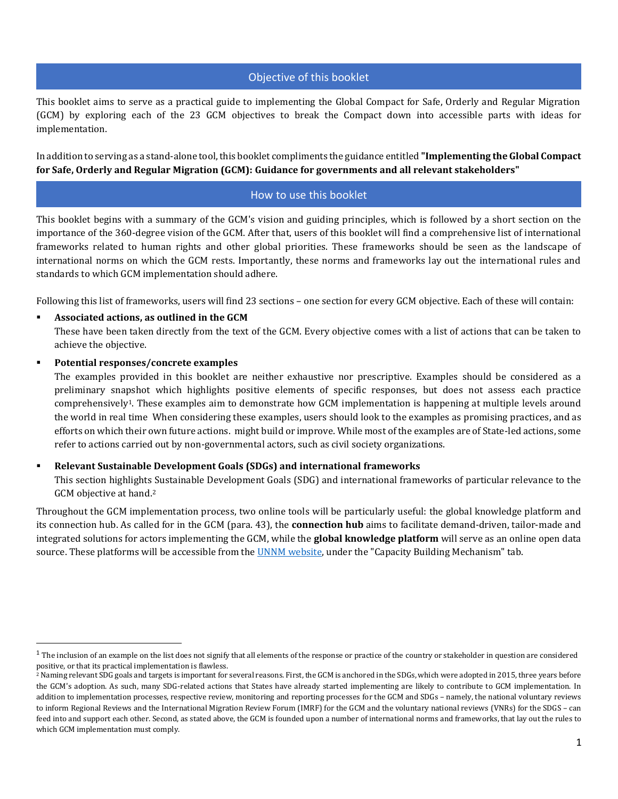## Objective of this booklet

This booklet aims to serve as a practical guide to implementing the Global Compact for Safe, Orderly and Regular Migration (GCM) by exploring each of the 23 GCM objectives to break the Compact down into accessible parts with ideas for implementation.

In addition to serving as a stand-alone tool, this booklet compliments the guidance entitled **"Implementing the Global Compact for Safe, Orderly and Regular Migration (GCM): Guidance for governments and all relevant stakeholders"**

## How to use this booklet

This booklet begins with a summary of the GCM's vision and guiding principles, which is followed by a short section on the importance of the 360-degree vision of the GCM. After that, users of this booklet will find a comprehensive list of international frameworks related to human rights and other global priorities. These frameworks should be seen as the landscape of international norms on which the GCM rests. Importantly, these norms and frameworks lay out the international rules and standards to which GCM implementation should adhere.

Following this list of frameworks, users will find 23 sections – one section for every GCM objective. Each of these will contain:

▪ **Associated actions, as outlined in the GCM**

These have been taken directly from the text of the GCM. Every objective comes with a list of actions that can be taken to achieve the objective.

### ▪ **Potential responses/concrete examples**

The examples provided in this booklet are neither exhaustive nor prescriptive. Examples should be considered as a preliminary snapshot which highlights positive elements of specific responses, but does not assess each practice comprehensively1. These examples aim to demonstrate how GCM implementation is happening at multiple levels around the world in real time When considering these examples, users should look to the examples as promising practices, and as efforts on which their own future actions. might build or improve. While most of the examples are of State-led actions, some refer to actions carried out by non-governmental actors, such as civil society organizations.

### ▪ **Relevant Sustainable Development Goals (SDGs) and international frameworks**

This section highlights Sustainable Development Goals (SDG) and international frameworks of particular relevance to the GCM objective at hand.<sup>2</sup>

Throughout the GCM implementation process, two online tools will be particularly useful: the global knowledge platform and its connection hub. As called for in the GCM (para. 43), the **connection hub** aims to facilitate demand-driven, tailor-made and integrated solutions for actors implementing the GCM, while the **global knowledge platform** will serve as an online open data source. These platforms will be accessible from the [UNNM website,](https://migrationnetwork.un.org/) under the "Capacity Building Mechanism" tab.

 $1$  The inclusion of an example on the list does not signify that all elements of the response or practice of the country or stakeholder in question are considered positive, or that its practical implementation is flawless.

<sup>2</sup> Naming relevant SDG goals and targets is important for several reasons. First, the GCM is anchored in the SDGs, which were adopted in 2015, three years before the GCM's adoption. As such, many SDG-related actions that States have already started implementing are likely to contribute to GCM implementation. In addition to implementation processes, respective review, monitoring and reporting processes for the GCM and SDGs – namely, the national voluntary reviews to inform Regional Reviews and the International Migration Review Forum (IMRF) for the GCM and the voluntary national reviews (VNRs) for the SDGS – can feed into and support each other. Second, as stated above, the GCM is founded upon a number of international norms and frameworks, that lay out the rules to which GCM implementation must comply.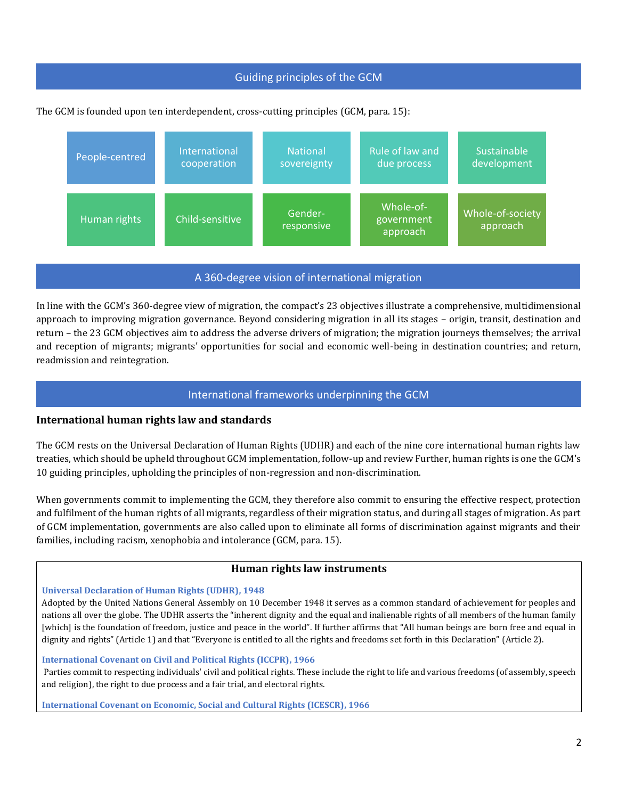## Guiding principles of the GCM

# The GCM is founded upon ten interdependent, cross-cutting principles (GCM, para. 15):



## A 360-degree vision of international migration

In line with the GCM's 360-degree view of migration, the compact's 23 objectives illustrate a comprehensive, multidimensional approach to improving migration governance. Beyond considering migration in all its stages – origin, transit, destination and return – the 23 GCM objectives aim to address the adverse drivers of migration; the migration journeys themselves; the arrival and reception of migrants; migrants' opportunities for social and economic well-being in destination countries; and return, readmission and reintegration.

## International frameworks underpinning the GCM

## **International human rights law and standards**

The GCM rests on the Universal Declaration of Human Rights (UDHR) and each of the nine core international human rights law treaties, which should be upheld throughout GCM implementation, follow-up and review Further, human rights is one the GCM's 10 guiding principles, upholding the principles of non-regression and non-discrimination.

When governments commit to implementing the GCM, they therefore also commit to ensuring the effective respect, protection and fulfilment of the human rights of all migrants, regardless of their migration status, and during all stages of migration. As part of GCM implementation, governments are also called upon to eliminate all forms of discrimination against migrants and their families, including racism, xenophobia and intolerance (GCM, para. 15).

## **Human rights law instruments**

### **Universal Declaration of Human Rights (UDHR), 1948**

Adopted by the United Nations General Assembly on 10 December 1948 it serves as a common standard of achievement for peoples and nations all over the globe. The UDHR asserts the "inherent dignity and the equal and inalienable rights of all members of the human family [which] is the foundation of freedom, justice and peace in the world". If further affirms that "All human beings are born free and equal in dignity and rights" (Article 1) and that "Everyone is entitled to all the rights and freedoms set forth in this Declaration" (Article 2).

### **International Covenant on Civil and Political Rights (ICCPR), 1966**

Parties commit to respecting individuals' civil and political rights. These include the right to life and various freedoms (of assembly, speech and religion), the right to due process and a fair trial, and electoral rights.

**International Covenant on Economic, Social and Cultural Rights (ICESCR), 1966**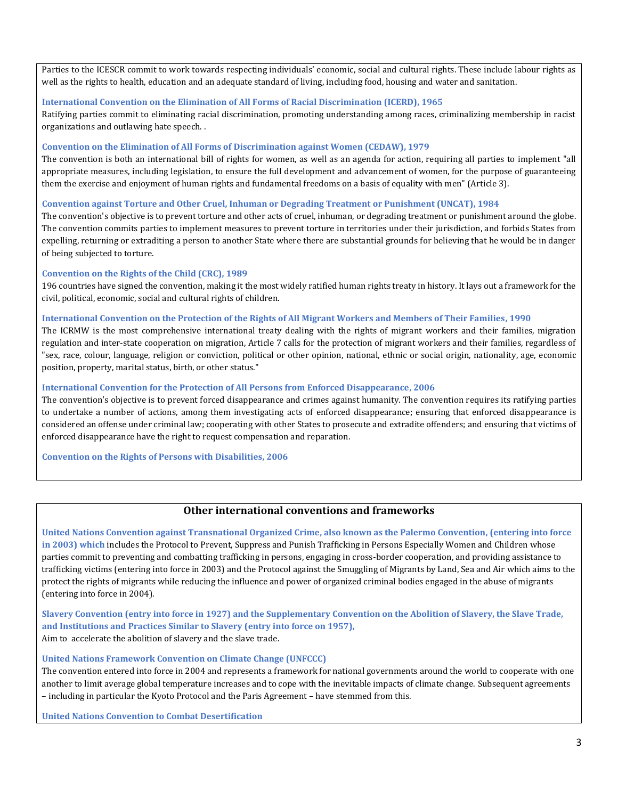Parties to the ICESCR commit to work towards respecting individuals' economic, social and cultural rights. These include labour rights as well as the rights to health, education and an adequate standard of living, including food, housing and water and sanitation.

#### **International Convention on the Elimination of All Forms of Racial Discrimination (ICERD), 1965**

Ratifying parties commit to eliminating racial discrimination, promoting understanding among races, criminalizing membership in racist organizations and outlawing hate speech. .

#### **Convention on the Elimination of All Forms of Discrimination against Women (CEDAW), 1979**

The convention is both an international bill of rights for women, as well as an agenda for action, requiring all parties to implement "all appropriate measures, including legislation, to ensure the full development and advancement of women, for the purpose of guaranteeing them the exercise and enjoyment of human rights and fundamental freedoms on a basis of equality with men" (Article 3).

#### **Convention against Torture and Other Cruel, Inhuman or Degrading Treatment or Punishment (UNCAT), 1984**

The convention's objective is to prevent torture and other acts of cruel, inhuman, or degrading treatment or punishment around the globe. The convention commits parties to implement measures to prevent torture in territories under their jurisdiction, and forbids States from expelling, returning or extraditing a person to another State where there are substantial grounds for believing that he would be in danger of being subjected to torture.

#### **Convention on the Rights of the Child (CRC), 1989**

196 countries have signed the convention, making it the most widely ratified human rights treaty in history. It lays out a framework for the civil, political, economic, social and cultural rights of children.

#### **International Convention on the Protection of the Rights of All Migrant Workers and Members of Their Families, 1990**

The ICRMW is the most comprehensive international treaty dealing with the rights of migrant workers and their families, migration regulation and inter-state cooperation on migration, Article 7 calls for the protection of migrant workers and their families, regardless of "sex, race, colour, language, religion or conviction, political or other opinion, national, ethnic or social origin, nationality, age, economic position, property, marital status, birth, or other status."

#### **International Convention for the Protection of All Persons from Enforced Disappearance, 2006**

The convention's objective is to prevent forced disappearance and crimes against humanity. The convention requires its ratifying parties to undertake a number of actions, among them investigating acts of enforced disappearance; ensuring that enforced disappearance is considered an offense under criminal law; cooperating with other States to prosecute and extradite offenders; and ensuring that victims of enforced disappearance have the right to request compensation and reparation.

**Convention on the Rights of Persons with Disabilities, 2006**

## **Other international conventions and frameworks**

**United Nations Convention against Transnational Organized Crime, also known as the Palermo Convention, (entering into force in 2003) which** includes the Protocol to Prevent, Suppress and Punish Trafficking in Persons Especially Women and Children whose parties commit to preventing and combatting trafficking in persons, engaging in cross-border cooperation, and providing assistance to trafficking victims (entering into force in 2003) and the Protocol against the Smuggling of Migrants by Land, Sea and Air which aims to the protect the rights of migrants while reducing the influence and power of organized criminal bodies engaged in the abuse of migrants (entering into force in 2004).

**Slavery Convention (entry into force in 1927) and the Supplementary Convention on the Abolition of Slavery, the Slave Trade, and Institutions and Practices Similar to Slavery (entry into force on 1957),**  Aim to accelerate the abolition of slavery and the slave trade.

#### **United Nations Framework Convention on Climate Change (UNFCCC)**

The convention entered into force in 2004 and represents a framework for national governments around the world to cooperate with one another to limit average global temperature increases and to cope with the inevitable impacts of climate change. Subsequent agreements – including in particular the Kyoto Protocol and the Paris Agreement – have stemmed from this.

**United Nations Convention to Combat Desertification**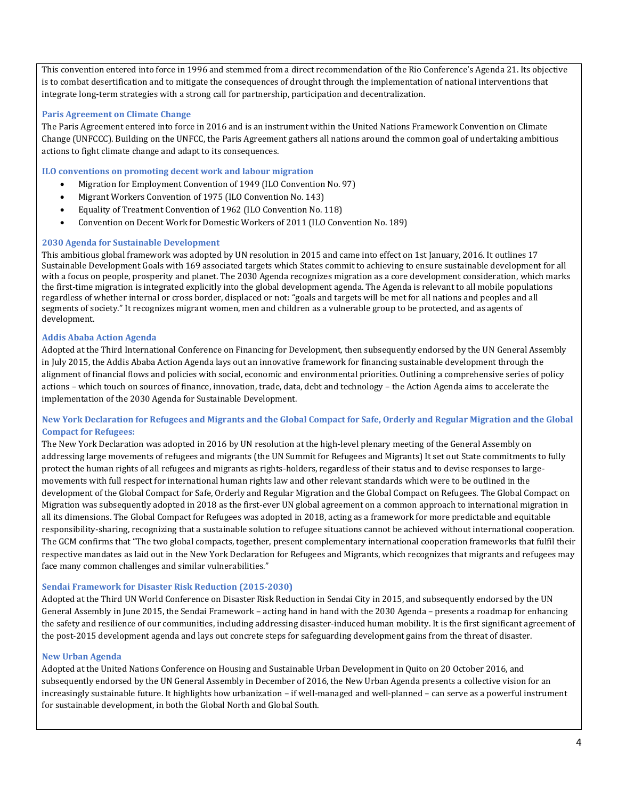This convention entered into force in 1996 and stemmed from a direct recommendation of the Rio Conference's Agenda 21. Its objective is to combat desertification and to mitigate the consequences of drought through the implementation of national interventions that integrate long-term strategies with a strong call for partnership, participation and decentralization.

### **Paris Agreement on Climate Change**

The Paris Agreement entered into force in 2016 and is an instrument within the United Nations Framework Convention on Climate Change (UNFCCC). Building on the UNFCC, the Paris Agreement gathers all nations around the common goal of undertaking ambitious actions to fight climate change and adapt to its consequences.

**ILO conventions on promoting decent work and labour migration**

- Migration for Employment Convention of 1949 (ILO Convention No. 97)
- Migrant Workers Convention of 1975 (ILO Convention No. 143)
- Equality of Treatment Convention of 1962 (ILO Convention No. 118)
- Convention on Decent Work for Domestic Workers of 2011 (ILO Convention No. 189)

#### **2030 Agenda for Sustainable Development**

This ambitious global framework was adopted by UN resolution in 2015 and came into effect on 1st January, 2016. It outlines 17 Sustainable Development Goals with 169 associated targets which States commit to achieving to ensure sustainable development for all with a focus on people, prosperity and planet. The 2030 Agenda recognizes migration as a core development consideration, which marks the first-time migration is integrated explicitly into the global development agenda. The Agenda is relevant to all mobile populations regardless of whether internal or cross border, displaced or not: "goals and targets will be met for all nations and peoples and all segments of society." It recognizes migrant women, men and children as a vulnerable group to be protected, and as agents of development.

### **Addis Ababa Action Agenda**

Adopted at the Third International Conference on Financing for Development, then subsequently endorsed by the UN General Assembly in July 2015, the Addis Ababa Action Agenda lays out an innovative framework for financing sustainable development through the alignment of financial flows and policies with social, economic and environmental priorities. Outlining a comprehensive series of policy actions – which touch on sources of finance, innovation, trade, data, debt and technology – the Action Agenda aims to accelerate the implementation of the 2030 Agenda for Sustainable Development.

### **New York Declaration for Refugees and Migrants and the Global Compact for Safe, Orderly and Regular Migration and the Global Compact for Refugees:**

The New York Declaration was adopted in 2016 by UN resolution at the high-level plenary meeting of the General Assembly on addressing large movements of refugees and migrants (the UN Summit for Refugees and Migrants) It set out State commitments to fully protect the human rights of all refugees and migrants as rights-holders, regardless of their status and to devise responses to largemovements with full respect for international human rights law and other relevant standards which were to be outlined in the development of the Global Compact for Safe, Orderly and Regular Migration and the Global Compact on Refugees. The Global Compact on Migration was subsequently adopted in 2018 as the first-ever UN global agreement on a common approach to international migration in all its dimensions. The Global Compact for Refugees was adopted in 2018, acting as a framework for more predictable and equitable responsibility-sharing, recognizing that a sustainable solution to refugee situations cannot be achieved without international cooperation. The GCM confirms that "The two global compacts, together, present complementary international cooperation frameworks that fulfil their respective mandates as laid out in the New York Declaration for Refugees and Migrants, which recognizes that migrants and refugees may face many common challenges and similar vulnerabilities."

#### **Sendai Framework for Disaster Risk Reduction (2015-2030)**

Adopted at the Third UN World Conference on Disaster Risk Reduction in Sendai City in 2015, and subsequently endorsed by the UN General Assembly in June 2015, the Sendai Framework – acting hand in hand with the 2030 Agenda – presents a roadmap for enhancing the safety and resilience of our communities, including addressing disaster-induced human mobility. It is the first significant agreement of the post-2015 development agenda and lays out concrete steps for safeguarding development gains from the threat of disaster.

#### **New Urban Agenda**

Adopted at the United Nations Conference on Housing and Sustainable Urban Development in Quito on 20 October 2016, and subsequently endorsed by the UN General Assembly in December of 2016, the New Urban Agenda presents a collective vision for an increasingly sustainable future. It highlights how urbanization – if well-managed and well-planned – can serve as a powerful instrument for sustainable development, in both the Global North and Global South.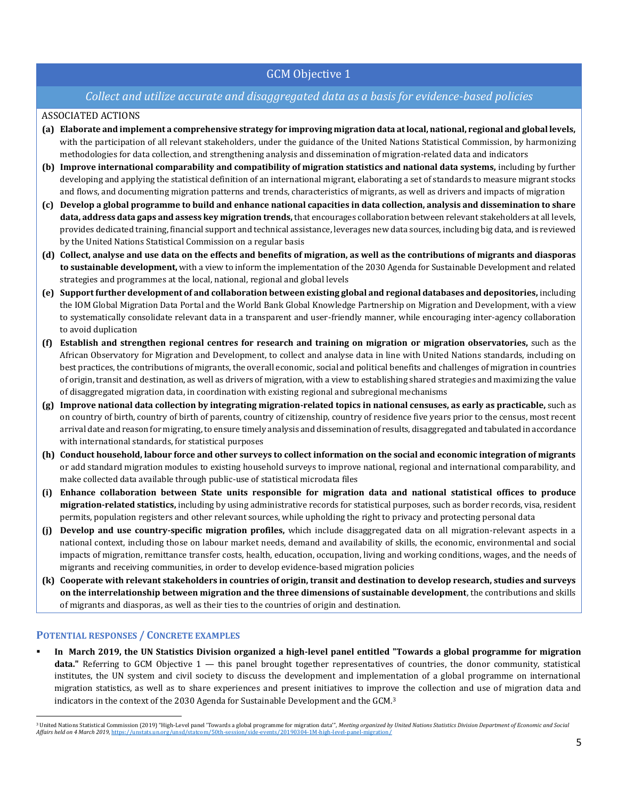## *Collect and utilize accurate and disaggregated data as a basis for evidence-based policies*

### ASSOCIATED ACTIONS

- **(a) Elaborate and implement a comprehensive strategy for improving migration data at local, national, regional and global levels,** with the participation of all relevant stakeholders, under the guidance of the United Nations Statistical Commission, by harmonizing methodologies for data collection, and strengthening analysis and dissemination of migration-related data and indicators
- **(b) Improve international comparability and compatibility of migration statistics and national data systems,** including by further developing and applying the statistical definition of an international migrant, elaborating a set of standards to measure migrant stocks and flows, and documenting migration patterns and trends, characteristics of migrants, as well as drivers and impacts of migration
- **(c) Develop a global programme to build and enhance national capacities in data collection, analysis and dissemination to share data, address data gaps and assess key migration trends,** that encourages collaboration between relevant stakeholders at all levels, provides dedicated training, financial support and technical assistance, leverages new data sources, including big data, and is reviewed by the United Nations Statistical Commission on a regular basis
- **(d) Collect, analyse and use data on the effects and benefits of migration, as well as the contributions of migrants and diasporas to sustainable development,** with a view to inform the implementation of the 2030 Agenda for Sustainable Development and related strategies and programmes at the local, national, regional and global levels
- **(e) Support further development of and collaboration between existing global and regional databases and depositories,** including the IOM Global Migration Data Portal and the World Bank Global Knowledge Partnership on Migration and Development, with a view to systematically consolidate relevant data in a transparent and user-friendly manner, while encouraging inter-agency collaboration to avoid duplication
- **(f) Establish and strengthen regional centres for research and training on migration or migration observatories,** such as the African Observatory for Migration and Development, to collect and analyse data in line with United Nations standards, including on best practices, the contributions of migrants, the overall economic, social and political benefits and challenges of migration in countries of origin, transit and destination, as well as drivers of migration, with a view to establishing shared strategies and maximizing the value of disaggregated migration data, in coordination with existing regional and subregional mechanisms
- **(g) Improve national data collection by integrating migration-related topics in national censuses, as early as practicable,** such as on country of birth, country of birth of parents, country of citizenship, country of residence five years prior to the census, most recent arrival date and reason for migrating, to ensure timely analysis and dissemination of results, disaggregated and tabulated in accordance with international standards, for statistical purposes
- **(h) Conduct household, labour force and other surveys to collect information on the social and economic integration of migrants**  or add standard migration modules to existing household surveys to improve national, regional and international comparability, and make collected data available through public-use of statistical microdata files
- **(i) Enhance collaboration between State units responsible for migration data and national statistical offices to produce migration-related statistics,** including by using administrative records for statistical purposes, such as border records, visa, resident permits, population registers and other relevant sources, while upholding the right to privacy and protecting personal data
- **(j) Develop and use country-specific migration profiles,** which include disaggregated data on all migration-relevant aspects in a national context, including those on labour market needs, demand and availability of skills, the economic, environmental and social impacts of migration, remittance transfer costs, health, education, occupation, living and working conditions, wages, and the needs of migrants and receiving communities, in order to develop evidence-based migration policies
- **(k) Cooperate with relevant stakeholders in countries of origin, transit and destination to develop research, studies and surveys on the interrelationship between migration and the three dimensions of sustainable development**, the contributions and skills of migrants and diasporas, as well as their ties to the countries of origin and destination.

## **POTENTIAL RESPONSES / CONCRETE EXAMPLES**

In March 2019, the UN Statistics Division organized a high-level panel entitled "Towards a global programme for migration data." Referring to GCM Objective 1 — this panel brought together representatives of countries, the donor community, statistical institutes, the UN system and civil society to discuss the development and implementation of a global programme on international migration statistics, as well as to share experiences and present initiatives to improve the collection and use of migration data and indicators in the context of the 2030 Agenda for Sustainable Development and the GCM.<sup>3</sup>

<sup>&</sup>lt;sup>3</sup> United Nations Statistical Commission (2019) "High-Level panel 'Towards a global programme for migration data'", *Meeting organized by United Nations Statistics Division Department of Economic and Social Affairs held o Affairs held on 4 March 2019*, https://u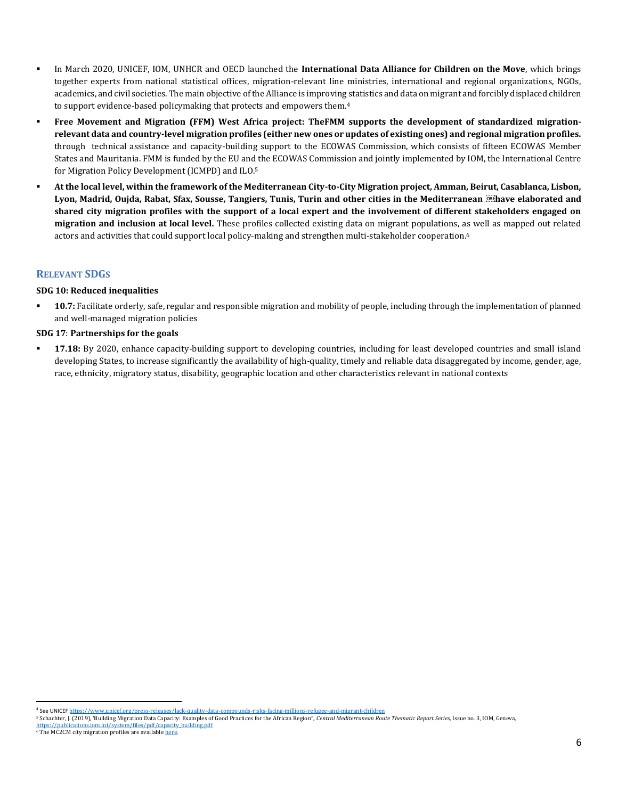- In March 2020, UNICEF, IOM, UNHCR and OECD launched the **International Data Alliance for Children on the Move**, which brings together experts from national statistical offices, migration-relevant line ministries, international and regional organizations, NGOs, academics, and civil societies. The main objective of the Alliance is improving statistics and data on migrant and forcibly displaced children to support evidence-based policymaking that protects and empowers them.<sup>4</sup>
- **Free Movement and Migration (FFM) West Africa project: TheFMM supports the development of standardized migrationrelevant data and country-level migration profiles (either new ones or updates of existing ones) and regional migration profiles.**  through technical assistance and capacity-building support to the ECOWAS Commission, which consists of fifteen ECOWAS Member States and Mauritania. FMM is funded by the EU and the ECOWAS Commission and jointly implemented by IOM, the International Centre for Migration Policy Development (ICMPD) and ILO.<sup>5</sup>
- **At the local level, within the framework of the Mediterranean City-to-City Migration project, Amman, Beirut, Casablanca, Lisbon, Lyon, Madrid, Oujda, Rabat, Sfax, Sousse, Tangiers, Tunis, Turin and other cities in the Mediterranean have elaborated and shared city migration profiles with the support of a local expert and the involvement of different stakeholders engaged on migration and inclusion at local level.** These profiles collected existing data on migrant populations, as well as mapped out related actors and activities that could support local policy-making and strengthen multi-stakeholder cooperation.<sup>6</sup>

### **SDG 10: Reduced inequalities**

10.7: Facilitate orderly, safe, regular and responsible migration and mobility of people, including through the implementation of planned and well-managed migration policies

### **SDG 17**: **Partnerships for the goals**

▪ **17.18:** By 2020, enhance capacity-building support to developing countries, including for least developed countries and small island developing States, to increase significantly the availability of high-quality, timely and reliable data disaggregated by income, gender, age, race, ethnicity, migratory status, disability, geographic location and other characteristics relevant in national contexts

<sup>4</sup> See UNICEF <https://www.unicef.org/press-releases/lack-quality-data-compounds-risks-facing-millions-refugee-and-migrant-children>

<sup>5</sup> Schachter, J. (2019), 'Building Migration Data Capacity: Examples of Good Practices for the African Region", *Central Mediterranean Route Thematic Report Series*, Issue no. 3, IOM, Geneva, ations.jom.int/system/files/pdf/capacity\_building.pdf

<sup>&</sup>lt;sup>6</sup> The MC2CM city migration profiles are availabl[e here.](https://www.icmpd.org/our-work/migration-dialogues/mtm-dialogue/city-to-city-mc2cm/)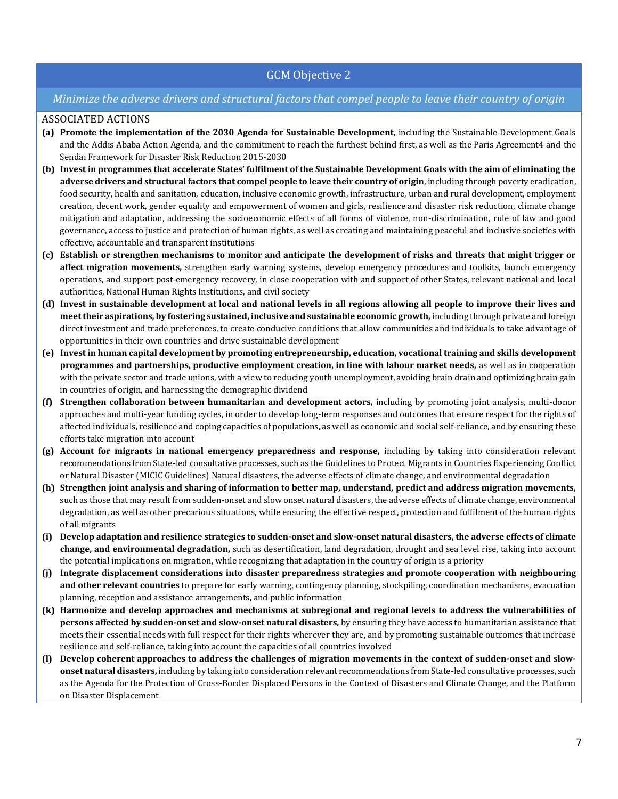## *Minimize the adverse drivers and structural factors that compel people to leave their country of origin*

## ASSOCIATED ACTIONS

- **(a) Promote the implementation of the 2030 Agenda for Sustainable Development,** including the Sustainable Development Goals and the Addis Ababa Action Agenda, and the commitment to reach the furthest behind first, as well as the Paris Agreement4 and the Sendai Framework for Disaster Risk Reduction 2015-2030
- **(b) Invest in programmes that accelerate States' fulfilment of the Sustainable Development Goals with the aim of eliminating the adverse drivers and structural factors that compel people to leave their country of origin**, including through poverty eradication, food security, health and sanitation, education, inclusive economic growth, infrastructure, urban and rural development, employment creation, decent work, gender equality and empowerment of women and girls, resilience and disaster risk reduction, climate change mitigation and adaptation, addressing the socioeconomic effects of all forms of violence, non-discrimination, rule of law and good governance, access to justice and protection of human rights, as well as creating and maintaining peaceful and inclusive societies with effective, accountable and transparent institutions
- **(c) Establish or strengthen mechanisms to monitor and anticipate the development of risks and threats that might trigger or affect migration movements,** strengthen early warning systems, develop emergency procedures and toolkits, launch emergency operations, and support post-emergency recovery, in close cooperation with and support of other States, relevant national and local authorities, National Human Rights Institutions, and civil society
- **(d) Invest in sustainable development at local and national levels in all regions allowing all people to improve their lives and meet their aspirations, by fostering sustained, inclusive and sustainable economic growth,** including through private and foreign direct investment and trade preferences, to create conducive conditions that allow communities and individuals to take advantage of opportunities in their own countries and drive sustainable development
- **(e) Invest in human capital development by promoting entrepreneurship, education, vocational training and skills development programmes and partnerships, productive employment creation, in line with labour market needs,** as well as in cooperation with the private sector and trade unions, with a view to reducing youth unemployment, avoiding brain drain and optimizing brain gain in countries of origin, and harnessing the demographic dividend
- **(f) Strengthen collaboration between humanitarian and development actors,** including by promoting joint analysis, multi-donor approaches and multi-year funding cycles, in order to develop long-term responses and outcomes that ensure respect for the rights of affected individuals, resilience and coping capacities of populations, as well as economic and social self-reliance, and by ensuring these efforts take migration into account
- **(g) Account for migrants in national emergency preparedness and response,** including by taking into consideration relevant recommendations from State-led consultative processes, such as the Guidelines to Protect Migrants in Countries Experiencing Conflict or Natural Disaster (MICIC Guidelines) Natural disasters, the adverse effects of climate change, and environmental degradation
- **(h) Strengthen joint analysis and sharing of information to better map, understand, predict and address migration movements,** such as those that may result from sudden-onset and slow onset natural disasters, the adverse effects of climate change, environmental degradation, as well as other precarious situations, while ensuring the effective respect, protection and fulfilment of the human rights of all migrants
- **(i) Develop adaptation and resilience strategies to sudden-onset and slow-onset natural disasters, the adverse effects of climate change, and environmental degradation,** such as desertification, land degradation, drought and sea level rise, taking into account the potential implications on migration, while recognizing that adaptation in the country of origin is a priority
- **(j) Integrate displacement considerations into disaster preparedness strategies and promote cooperation with neighbouring and other relevant countries** to prepare for early warning, contingency planning, stockpiling, coordination mechanisms, evacuation planning, reception and assistance arrangements, and public information
- **(k) Harmonize and develop approaches and mechanisms at subregional and regional levels to address the vulnerabilities of persons affected by sudden-onset and slow-onset natural disasters,** by ensuring they have access to humanitarian assistance that meets their essential needs with full respect for their rights wherever they are, and by promoting sustainable outcomes that increase resilience and self-reliance, taking into account the capacities of all countries involved
- **(l) Develop coherent approaches to address the challenges of migration movements in the context of sudden-onset and slowonset natural disasters,** including by taking into consideration relevant recommendations from State-led consultative processes, such as the Agenda for the Protection of Cross-Border Displaced Persons in the Context of Disasters and Climate Change, and the Platform on Disaster Displacement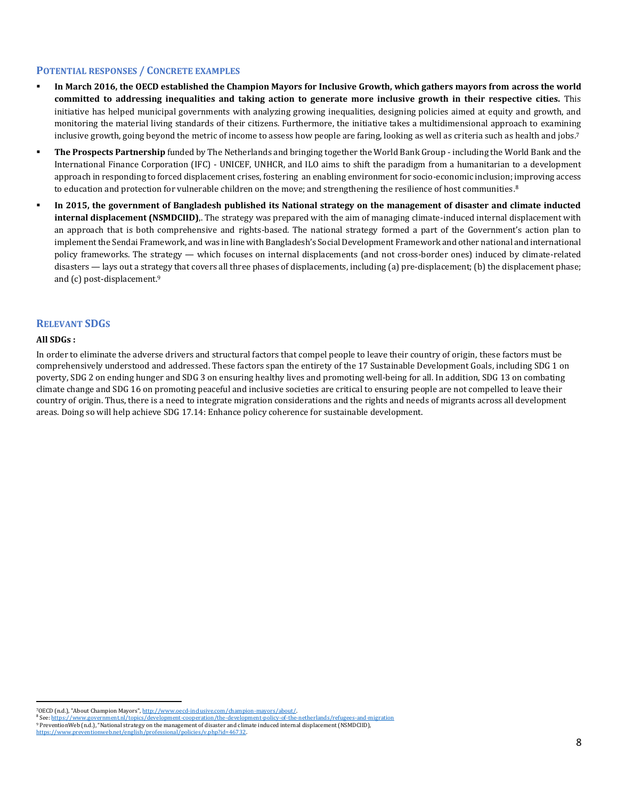### **POTENTIAL RESPONSES / CONCRETE EXAMPLES**

- In March 2016, the OECD established the Champion Mayors for Inclusive Growth, which gathers mayors from across the world **committed to addressing inequalities and taking action to generate more inclusive growth in their respective cities.** This initiative has helped municipal governments with analyzing growing inequalities, designing policies aimed at equity and growth, and monitoring the material living standards of their citizens. Furthermore, the initiative takes a multidimensional approach to examining inclusive growth, going beyond the metric of income to assess how people are faring, looking as well as criteria such as health and jobs.<sup>7</sup>
- **The Prospects Partnership** funded by The Netherlands and bringing together the World Bank Group including the World Bank and the International Finance Corporation (IFC) - UNICEF, UNHCR, and ILO aims to shift the paradigm from a humanitarian to a development approach in responding to forced displacement crises, fostering an enabling environment for socio-economic inclusion; improving access to education and protection for vulnerable children on the move; and strengthening the resilience of host communities.<sup>8</sup>
- In 2015, the government of Bangladesh published its National strategy on the management of disaster and climate inducted **internal displacement (NSMDCIID)**,. The strategy was prepared with the aim of managing climate-induced internal displacement with an approach that is both comprehensive and rights-based. The national strategy formed a part of the Government's action plan to implement the Sendai Framework, and was in line with Bangladesh's Social Development Framework and other national and international policy frameworks. The strategy — which focuses on internal displacements (and not cross-border ones) induced by climate-related disasters — lays out a strategy that covers all three phases of displacements, including (a) pre-displacement; (b) the displacement phase; and (c) post-displacement.<sup>9</sup>

## **RELEVANT SDGS**

#### **All SDGs :**

In order to eliminate the adverse drivers and structural factors that compel people to leave their country of origin, these factors must be comprehensively understood and addressed. These factors span the entirety of the 17 Sustainable Development Goals, including SDG 1 on poverty, SDG 2 on ending hunger and SDG 3 on ensuring healthy lives and promoting well-being for all. In addition, SDG 13 on combating climate change and SDG 16 on promoting peaceful and inclusive societies are critical to ensuring people are not compelled to leave their country of origin. Thus, there is a need to integrate migration considerations and the rights and needs of migrants across all development areas. Doing so will help achieve SDG 17.14: Enhance policy coherence for sustainable development.

<sup>7</sup>OECD (n.d.), "About Champion Mayors"[, http://www.oecd-inclusive.com/champion-mayors/about/.](http://www.oecd-inclusive.com/champion-mayors/about/)

<sup>8</sup> See[: https://www.government.nl/topics/development-cooperation/the-development-policy-of-the-netherlands/refugees-and-migration](https://www.government.nl/topics/development-cooperation/the-development-policy-of-the-netherlands/refugees-and-migration) <sup>9</sup> PreventionWeb (n.d.), "National strategy on the management of disaster and climate induced internal displacement (NSMDCIID), [https://www.preventionweb.net/english/professional/policies/v.php?id=46732.](https://www.preventionweb.net/english/professional/policies/v.php?id=46732)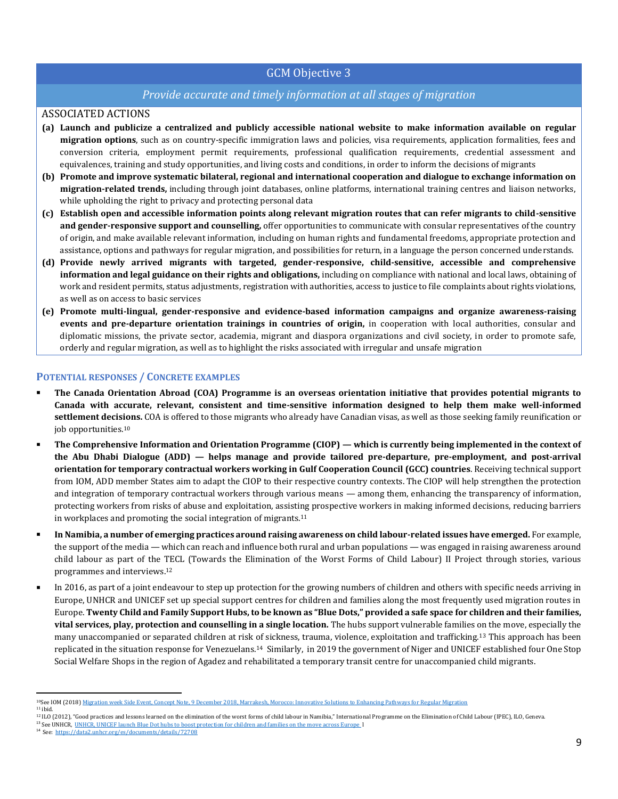## *Provide accurate and timely information at all stages of migration*

## ASSOCIATED ACTIONS

- **(a) Launch and publicize a centralized and publicly accessible national website to make information available on regular migration options**, such as on country-specific immigration laws and policies, visa requirements, application formalities, fees and conversion criteria, employment permit requirements, professional qualification requirements, credential assessment and equivalences, training and study opportunities, and living costs and conditions, in order to inform the decisions of migrants
- **(b) Promote and improve systematic bilateral, regional and international cooperation and dialogue to exchange information on migration-related trends,** including through joint databases, online platforms, international training centres and liaison networks, while upholding the right to privacy and protecting personal data
- **(c) Establish open and accessible information points along relevant migration routes that can refer migrants to child-sensitive and gender-responsive support and counselling,** offer opportunities to communicate with consular representatives of the country of origin, and make available relevant information, including on human rights and fundamental freedoms, appropriate protection and assistance, options and pathways for regular migration, and possibilities for return, in a language the person concerned understands.
- **(d) Provide newly arrived migrants with targeted, gender-responsive, child-sensitive, accessible and comprehensive information and legal guidance on their rights and obligations,** including on compliance with national and local laws, obtaining of work and resident permits, status adjustments, registration with authorities, access to justice to file complaints about rights violations, as well as on access to basic services
- **(e) Promote multi-lingual, gender-responsive and evidence-based information campaigns and organize awareness-raising events and pre-departure orientation trainings in countries of origin,** in cooperation with local authorities, consular and diplomatic missions, the private sector, academia, migrant and diaspora organizations and civil society, in order to promote safe, orderly and regular migration, as well as to highlight the risks associated with irregular and unsafe migration

- **The Canada Orientation Abroad (COA) Programme is an overseas orientation initiative that provides potential migrants to Canada with accurate, relevant, consistent and time-sensitive information designed to help them make well-informed settlement decisions.** COA is offered to those migrants who already have Canadian visas, as well as those seeking family reunification or job opportunities. 10
- **The Comprehensive Information and Orientation Programme (CIOP) which is currently being implemented in the context of the Abu Dhabi Dialogue (ADD) — helps manage and provide tailored pre-departure, pre-employment, and post-arrival orientation for temporary contractual workers working in Gulf Cooperation Council (GCC) countries**. Receiving technical support from IOM, ADD member States aim to adapt the CIOP to their respective country contexts. The CIOP will help strengthen the protection and integration of temporary contractual workers through various means — among them, enhancing the transparency of information, protecting workers from risks of abuse and exploitation, assisting prospective workers in making informed decisions, reducing barriers in workplaces and promoting the social integration of migrants. 11
- In Namibia, a number of emerging practices around raising awareness on child labour-related issues have emerged. For example, the support of the media — which can reach and influence both rural and urban populations — was engaged in raising awareness around child labour as part of the TECL (Towards the Elimination of the Worst Forms of Child Labour) II Project through stories, various programmes and interviews.<sup>12</sup>
- In 2016, as part of a joint endeavour to step up protection for the growing numbers of children and others with specific needs arriving in Europe, UNHCR and UNICEF set up special support centres for children and families along the most frequently used migration routes in Europe. **Twenty Child and Family Support Hubs, to be known as "Blue Dots," provided a safe space for children and their families, vital services, play, protection and counselling in a single location.** The hubs support vulnerable families on the move, especially the many unaccompanied or separated children at risk of sickness, trauma, violence, exploitation and trafficking.<sup>13</sup> This approach has been replicated in the situation response for Venezuelans.14 Similarly, in 2019 the government of Niger and UNICEF established four One Stop Social Welfare Shops in the region of Agadez and rehabilitated a temporary transit centre for unaccompanied child migrants.

<sup>10</sup>See IOM (2018[\) Migration week Side Event, Concept Note, 9 December 2018, Marrakesh, Morocco: Innovative Solutions to Enhancing Pathways for Regular Migration](https://www.un.org/en/conf/migration/assets/pdf/Canada-IOM-Innovative-Solutions-EN-FR-flyer.pdf)  $11$  ibid.

<sup>12</sup> ILO (2012), "Good practices and lessons learned on the elimination of the worst forms of child labour in Namibia," International Programme on the Elimination of Child Labour (IPEC), ILO, Geneva. <sup>13</sup> See UNHCR, UNHCR, UNICEF launch Blue Dot hubs to boost protection for children and families on the move across Europe 1

<sup>14</sup> See: <https://data2.unhcr.org/es/documents/details/72708>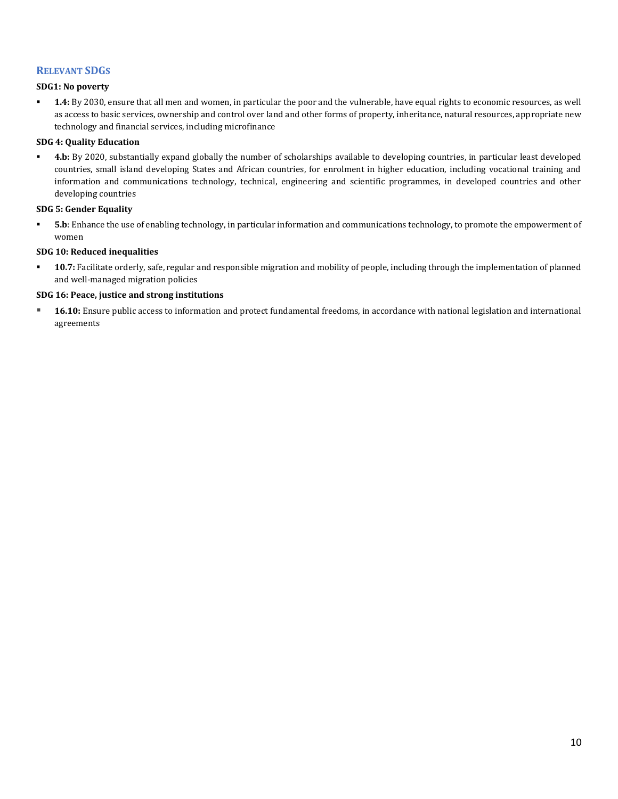### **SDG1: No poverty**

▪ **1.4:** By 2030, ensure that all men and women, in particular the poor and the vulnerable, have equal rights to economic resources, as well as access to basic services, ownership and control over land and other forms of property, inheritance, natural resources, appropriate new technology and financial services, including microfinance

### **SDG 4: Quality Education**

**4.b:** By 2020, substantially expand globally the number of scholarships available to developing countries, in particular least developed countries, small island developing States and African countries, for enrolment in higher education, including vocational training and information and communications technology, technical, engineering and scientific programmes, in developed countries and other developing countries

### **SDG 5: Gender Equality**

▪ **5.b**: Enhance the use of enabling technology, in particular information and communications technology, to promote the empowerment of women

### **SDG 10: Reduced inequalities**

▪ **10.7:** Facilitate orderly, safe, regular and responsible migration and mobility of people, including through the implementation of planned and well-managed migration policies

### **SDG 16: Peace, justice and strong institutions**

**■ 16.10:** Ensure public access to information and protect fundamental freedoms, in accordance with national legislation and international agreements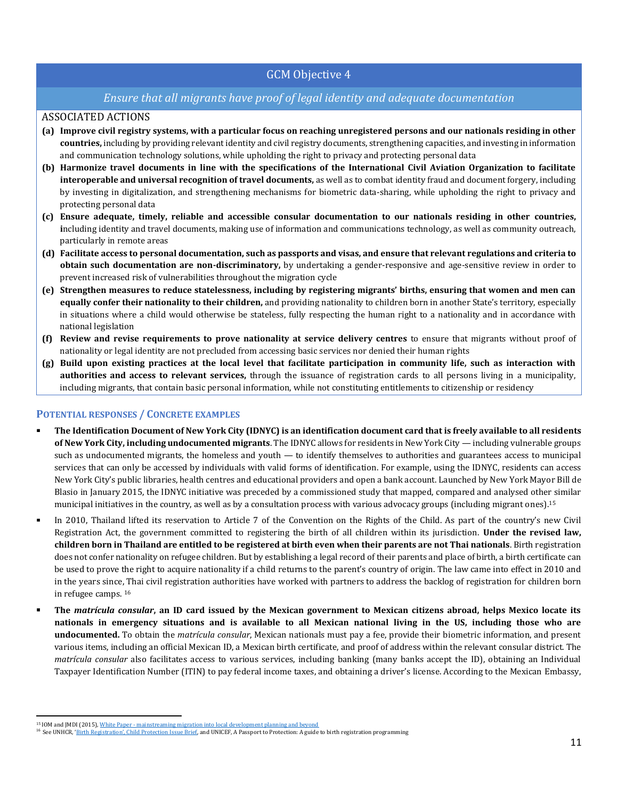## *Ensure that all migrants have proof of legal identity and adequate documentation*

## ASSOCIATED ACTIONS

- **(a) Improve civil registry systems, with a particular focus on reaching unregistered persons and our nationals residing in other countries,** including by providing relevant identity and civil registry documents, strengthening capacities, and investing in information and communication technology solutions, while upholding the right to privacy and protecting personal data
- **(b) Harmonize travel documents in line with the specifications of the International Civil Aviation Organization to facilitate interoperable and universal recognition of travel documents,** as well as to combat identity fraud and document forgery, including by investing in digitalization, and strengthening mechanisms for biometric data-sharing, while upholding the right to privacy and protecting personal data
- **(c) Ensure adequate, timely, reliable and accessible consular documentation to our nationals residing in other countries, i**ncluding identity and travel documents, making use of information and communications technology, as well as community outreach, particularly in remote areas
- **(d) Facilitate access to personal documentation, such as passports and visas, and ensure that relevant regulations and criteria to obtain such documentation are non-discriminatory,** by undertaking a gender-responsive and age-sensitive review in order to prevent increased risk of vulnerabilities throughout the migration cycle
- **(e) Strengthen measures to reduce statelessness, including by registering migrants' births, ensuring that women and men can equally confer their nationality to their children,** and providing nationality to children born in another State's territory, especially in situations where a child would otherwise be stateless, fully respecting the human right to a nationality and in accordance with national legislation
- **(f) Review and revise requirements to prove nationality at service delivery centres** to ensure that migrants without proof of nationality or legal identity are not precluded from accessing basic services nor denied their human rights
- **(g) Build upon existing practices at the local level that facilitate participation in community life, such as interaction with authorities and access to relevant services,** through the issuance of registration cards to all persons living in a municipality, including migrants, that contain basic personal information, while not constituting entitlements to citizenship or residency

- The Identification Document of New York City (IDNYC) is an identification document card that is freely available to all residents **of New York City, including undocumented migrants**. The IDNYC allows for residents in New York City — including vulnerable groups such as undocumented migrants, the homeless and youth — to identify themselves to authorities and guarantees access to municipal services that can only be accessed by individuals with valid forms of identification. For example, using the IDNYC, residents can access New York City's public libraries, health centres and educational providers and open a bank account. Launched by New York Mayor Bill de Blasio in January 2015, the IDNYC initiative was preceded by a commissioned study that mapped, compared and analysed other similar municipal initiatives in the country, as well as by a consultation process with various advocacy groups (including migrant ones).<sup>15</sup>
- In 2010, Thailand lifted its reservation to Article 7 of the Convention on the Rights of the Child. As part of the country's new Civil Registration Act, the government committed to registering the birth of all children within its jurisdiction. **Under the revised law, children born in Thailand are entitled to be registered at birth even when their parents are not Thai nationals**. Birth registration does not confer nationality on refugee children. But by establishing a legal record of their parents and place of birth, a birth certificate can be used to prove the right to acquire nationality if a child returns to the parent's country of origin. The law came into effect in 2010 and in the years since, Thai civil registration authorities have worked with partners to address the backlog of registration for children born in refugee camps. 16
- **The** *matrícula consular***, an ID card issued by the Mexican government to Mexican citizens abroad, helps Mexico locate its nationals in emergency situations and is available to all Mexican national living in the US, including those who are undocumented.** To obtain the *matrícula consular*, Mexican nationals must pay a fee, provide their biometric information, and present various items, including an official Mexican ID, a Mexican birth certificate, and proof of address within the relevant consular district. The *matrícula consular* also facilitates access to various services, including banking (many banks accept the ID), obtaining an Individual Taxpayer Identification Number (ITIN) to pay federal income taxes, and obtaining a driver's license. According to the Mexican Embassy,

<sup>&</sup>lt;sup>15</sup> IOM and IMDI (2015), White Paper - mainstreaming migration into local d

<sup>&</sup>lt;sup>16</sup> See UNHCR, ['Birth Registration', Child Protection Issue Brief](https://www.refworld.org/pdfid/523fe9214.pdf), and UNICEF, A Passport to Protection: A guide to birth registration programming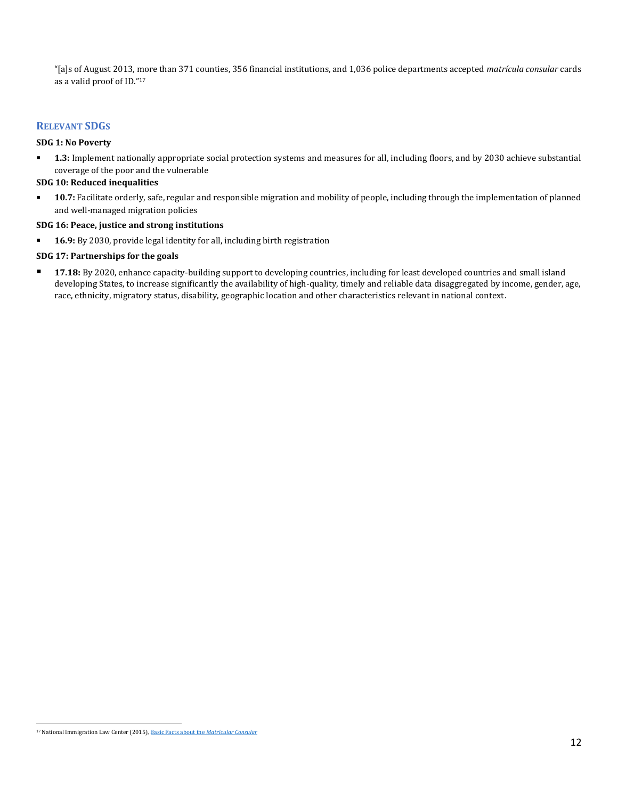"[a]s of August 2013, more than 371 counties, 356 financial institutions, and 1,036 police departments accepted *matrícula consular* cards as a valid proof of ID."<sup>17</sup>

### **RELEVANT SDGS**

#### **SDG 1: No Poverty**

▪ **1.3:** Implement nationally appropriate social protection systems and measures for all, including floors, and by 2030 achieve substantial coverage of the poor and the vulnerable

### **SDG 10: Reduced inequalities**

**• 10.7:** Facilitate orderly, safe, regular and responsible migration and mobility of people, including through the implementation of planned and well-managed migration policies

#### **SDG 16: Peace, justice and strong institutions**

■ **16.9:** By 2030, provide legal identity for all, including birth registration

#### **SDG 17: Partnerships for the goals**

■ **17.18:** By 2020, enhance capacity-building support to developing countries, including for least developed countries and small island developing States, to increase significantly the availability of high-quality, timely and reliable data disaggregated by income, gender, age, race, ethnicity, migratory status, disability, geographic location and other characteristics relevant in national context.

<sup>17</sup> National Immigration Law Center (2015)[, Basic Facts about the](https://www.nilc.org/wp-content/uploads/2015/11/Basic-Facts-about-the-Matricula-Consular.pdf) *Matrícular Consular*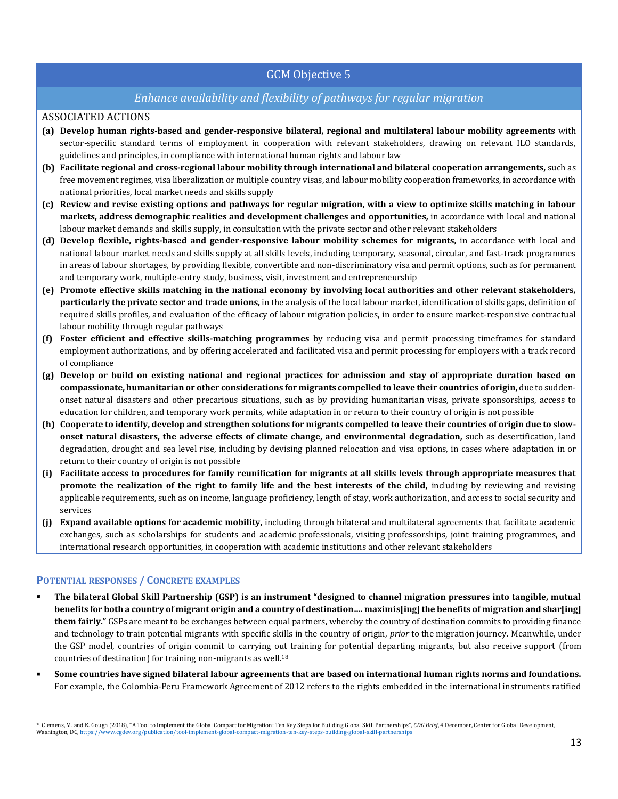## *Enhance availability and flexibility of pathways for regular migration*

## ASSOCIATED ACTIONS

- **(a) Develop human rights-based and gender-responsive bilateral, regional and multilateral labour mobility agreements** with sector-specific standard terms of employment in cooperation with relevant stakeholders, drawing on relevant ILO standards, guidelines and principles, in compliance with international human rights and labour law
- **(b) Facilitate regional and cross-regional labour mobility through international and bilateral cooperation arrangements,** such as free movement regimes, visa liberalization or multiple country visas, and labour mobility cooperation frameworks, in accordance with national priorities, local market needs and skills supply
- **(c) Review and revise existing options and pathways for regular migration, with a view to optimize skills matching in labour markets, address demographic realities and development challenges and opportunities,** in accordance with local and national labour market demands and skills supply, in consultation with the private sector and other relevant stakeholders
- **(d) Develop flexible, rights-based and gender-responsive labour mobility schemes for migrants,** in accordance with local and national labour market needs and skills supply at all skills levels, including temporary, seasonal, circular, and fast-track programmes in areas of labour shortages, by providing flexible, convertible and non-discriminatory visa and permit options, such as for permanent and temporary work, multiple-entry study, business, visit, investment and entrepreneurship
- **(e) Promote effective skills matching in the national economy by involving local authorities and other relevant stakeholders, particularly the private sector and trade unions,** in the analysis of the local labour market, identification of skills gaps, definition of required skills profiles, and evaluation of the efficacy of labour migration policies, in order to ensure market-responsive contractual labour mobility through regular pathways
- **(f) Foster efficient and effective skills-matching programmes** by reducing visa and permit processing timeframes for standard employment authorizations, and by offering accelerated and facilitated visa and permit processing for employers with a track record of compliance
- **(g) Develop or build on existing national and regional practices for admission and stay of appropriate duration based on compassionate, humanitarian or other considerations for migrants compelled to leave their countries of origin,** due to suddenonset natural disasters and other precarious situations, such as by providing humanitarian visas, private sponsorships, access to education for children, and temporary work permits, while adaptation in or return to their country of origin is not possible
- **(h) Cooperate to identify, develop and strengthen solutions for migrants compelled to leave their countries of origin due to slowonset natural disasters, the adverse effects of climate change, and environmental degradation,** such as desertification, land degradation, drought and sea level rise, including by devising planned relocation and visa options, in cases where adaptation in or return to their country of origin is not possible
- **(i) Facilitate access to procedures for family reunification for migrants at all skills levels through appropriate measures that promote the realization of the right to family life and the best interests of the child,** including by reviewing and revising applicable requirements, such as on income, language proficiency, length of stay, work authorization, and access to social security and services
- **(j) Expand available options for academic mobility,** including through bilateral and multilateral agreements that facilitate academic exchanges, such as scholarships for students and academic professionals, visiting professorships, joint training programmes, and international research opportunities, in cooperation with academic institutions and other relevant stakeholders

- **The bilateral Global Skill Partnership (GSP) is an instrument "designed to channel migration pressures into tangible, mutual benefits for both a country of migrant origin and a country of destination…. maximis[ing] the benefits of migration and shar[ing] them fairly."** GSPs are meant to be exchanges between equal partners, whereby the country of destination commits to providing finance and technology to train potential migrants with specific skills in the country of origin, *prior* to the migration journey. Meanwhile, under the GSP model, countries of origin commit to carrying out training for potential departing migrants, but also receive support (from countries of destination) for training non-migrants as well.<sup>18</sup>
- **Some countries have signed bilateral labour agreements that are based on international human rights norms and foundations.**  For example, the Colombia-Peru Framework Agreement of 2012 refers to the rights embedded in the international instruments ratified

<sup>&</sup>lt;sup>18</sup> Clemens, M. and K. Gough (2018), "A Tool to Implement the Global Compact for Migration: Ten Key Steps for Building Global Skill Partnerships", *CDG Brief*, 4 December, Center for Global Development, Washington, DC, https://www.cgdev.org/publication/tool-implement-global-compact-migration-ten-key-steps-building-global-skill-partnersl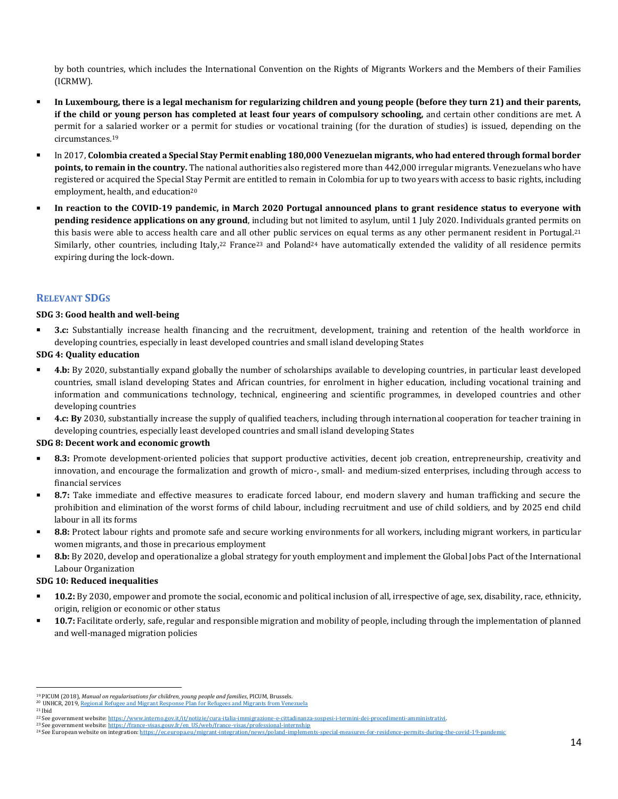by both countries, which includes the International Convention on the Rights of Migrants Workers and the Members of their Families (ICRMW).

- **In Luxembourg, there is a legal mechanism for regularizing children and young people (before they turn 21) and their parents, if the child or young person has completed at least four years of compulsory schooling,** and certain other conditions are met. A permit for a salaried worker or a permit for studies or vocational training (for the duration of studies) is issued, depending on the circumstances.<sup>19</sup>
- In 2017, Colombia created a Special Stay Permit enabling 180,000 Venezuelan migrants, who had entered through formal border **points, to remain in the country.** The national authorities also registered more than 442,000 irregular migrants. Venezuelans who have registered or acquired the Special Stay Permit are entitled to remain in Colombia for up to two years with access to basic rights, including employment, health, and education<sup>20</sup>
- In reaction to the COVID-19 pandemic, in March 2020 Portugal announced plans to grant residence status to everyone with **pending residence applications on any ground**, including but not limited to asylum, until 1 July 2020. Individuals granted permits on this basis were able to access health care and all other public services on equal terms as any other permanent resident in Portugal.<sup>21</sup> Similarly, other countries, including Italy,<sup>22</sup> France<sup>23</sup> and Poland<sup>24</sup> have automatically extended the validity of all residence permits expiring during the lock-down.

### **RELEVANT SDGS**

#### **SDG 3: Good health and well-being**

**3.c:** Substantially increase health financing and the recruitment, development, training and retention of the health workforce in developing countries, especially in least developed countries and small island developing States

#### **SDG 4: Quality education**

- **4.b:** By 2020, substantially expand globally the number of scholarships available to developing countries, in particular least developed countries, small island developing States and African countries, for enrolment in higher education, including vocational training and information and communications technology, technical, engineering and scientific programmes, in developed countries and other developing countries
- 4.c: By 2030, substantially increase the supply of qualified teachers, including through international cooperation for teacher training in developing countries, especially least developed countries and small island developing States

### **SDG 8: Decent work and economic growth**

- 8.3: Promote development-oriented policies that support productive activities, decent job creation, entrepreneurship, creativity and innovation, and encourage the formalization and growth of micro-, small- and medium-sized enterprises, including through access to financial services
- 8.7: Take immediate and effective measures to eradicate forced labour, end modern slavery and human trafficking and secure the prohibition and elimination of the worst forms of child labour, including recruitment and use of child soldiers, and by 2025 end child labour in all its forms
- **8.8:** Protect labour rights and promote safe and secure working environments for all workers, including migrant workers, in particular women migrants, and those in precarious employment
- **8.b:** By 2020, develop and operationalize a global strategy for youth employment and implement the Global Jobs Pact of the International Labour Organization

#### **SDG 10: Reduced inequalities**

- **10.2:** By 2030, empower and promote the social, economic and political inclusion of all, irrespective of age, sex, disability, race, ethnicity, origin, religion or economic or other status
- 10.7: Facilitate orderly, safe, regular and responsible migration and mobility of people, including through the implementation of planned and well-managed migration policies

<sup>19</sup> PICUM (2018), *Manual on regularisations for children, young people and families*, PICUM, Brussels.

<sup>20</sup> UNHCR, 2019[, Regional Refugee and Migrant Response Plan for Refugees and Migrants from Venezuela](https://reporting.unhcr.org/sites/default/files/2019%20RMRP%20Venezuela%20%28December%202018%29.pdf)

<sup>21</sup> Ibid

<sup>&</sup>lt;sup>22</sup> See government website: https://www.interno.gov.it/it/notizie/cura-italia-immigrazione-e-cittadinanza-<sup>23</sup> See government website[: https://france-visas.gouv.fr/en\\_US/web/france-visas/professional-internship](https://france-visas.gouv.fr/en_US/web/france-visas/professional-internship)

<sup>&</sup>lt;sup>24</sup> See European website on integration: https://ec.europa.eu/migrant-int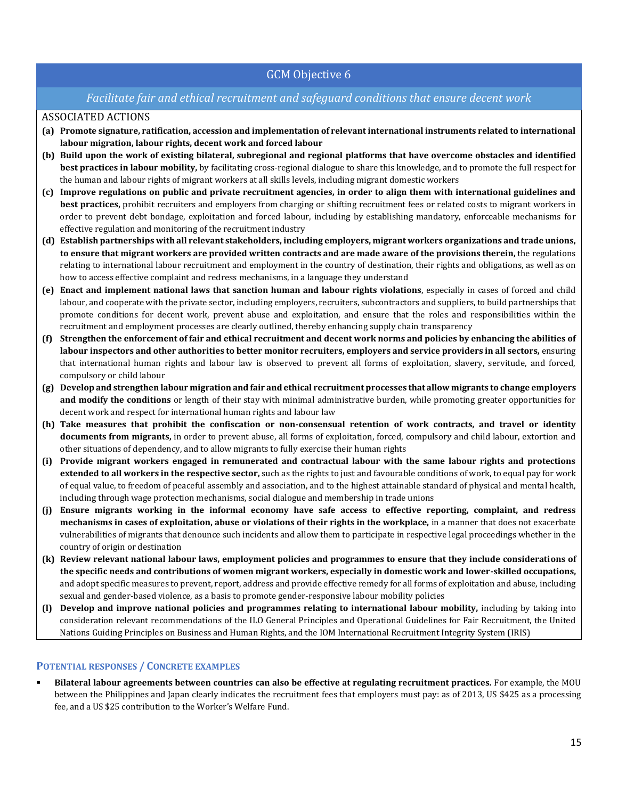## *Facilitate fair and ethical recruitment and safeguard conditions that ensure decent work*

## ASSOCIATED ACTIONS

- **(a) Promote signature, ratification, accession and implementation of relevant international instruments related to international labour migration, labour rights, decent work and forced labour**
- **(b) Build upon the work of existing bilateral, subregional and regional platforms that have overcome obstacles and identified best practices in labour mobility,** by facilitating cross-regional dialogue to share this knowledge, and to promote the full respect for the human and labour rights of migrant workers at all skills levels, including migrant domestic workers
- **(c) Improve regulations on public and private recruitment agencies, in order to align them with international guidelines and best practices,** prohibit recruiters and employers from charging or shifting recruitment fees or related costs to migrant workers in order to prevent debt bondage, exploitation and forced labour, including by establishing mandatory, enforceable mechanisms for effective regulation and monitoring of the recruitment industry
- **(d) Establish partnerships with all relevant stakeholders, including employers, migrant workers organizations and trade unions, to ensure that migrant workers are provided written contracts and are made aware of the provisions therein,** the regulations relating to international labour recruitment and employment in the country of destination, their rights and obligations, as well as on how to access effective complaint and redress mechanisms, in a language they understand
- **(e) Enact and implement national laws that sanction human and labour rights violations**, especially in cases of forced and child labour, and cooperate with the private sector, including employers, recruiters, subcontractors and suppliers, to build partnerships that promote conditions for decent work, prevent abuse and exploitation, and ensure that the roles and responsibilities within the recruitment and employment processes are clearly outlined, thereby enhancing supply chain transparency
- **(f) Strengthen the enforcement of fair and ethical recruitment and decent work norms and policies by enhancing the abilities of labour inspectors and other authorities to better monitor recruiters, employers and service providers in all sectors,** ensuring that international human rights and labour law is observed to prevent all forms of exploitation, slavery, servitude, and forced, compulsory or child labour
- **(g) Develop and strengthen labour migration and fair and ethical recruitment processes that allow migrants to change employers and modify the conditions** or length of their stay with minimal administrative burden, while promoting greater opportunities for decent work and respect for international human rights and labour law
- **(h) Take measures that prohibit the confiscation or non-consensual retention of work contracts, and travel or identity documents from migrants,** in order to prevent abuse, all forms of exploitation, forced, compulsory and child labour, extortion and other situations of dependency, and to allow migrants to fully exercise their human rights
- **(i) Provide migrant workers engaged in remunerated and contractual labour with the same labour rights and protections extended to all workers in the respective sector,** such as the rights to just and favourable conditions of work, to equal pay for work of equal value, to freedom of peaceful assembly and association, and to the highest attainable standard of physical and mental health, including through wage protection mechanisms, social dialogue and membership in trade unions
- **(j) Ensure migrants working in the informal economy have safe access to effective reporting, complaint, and redress mechanisms in cases of exploitation, abuse or violations of their rights in the workplace,** in a manner that does not exacerbate vulnerabilities of migrants that denounce such incidents and allow them to participate in respective legal proceedings whether in the country of origin or destination
- **(k) Review relevant national labour laws, employment policies and programmes to ensure that they include considerations of the specific needs and contributions of women migrant workers, especially in domestic work and lower-skilled occupations,**  and adopt specific measures to prevent, report, address and provide effective remedy for all forms of exploitation and abuse, including sexual and gender-based violence, as a basis to promote gender-responsive labour mobility policies
- **(l) Develop and improve national policies and programmes relating to international labour mobility,** including by taking into consideration relevant recommendations of the ILO General Principles and Operational Guidelines for Fair Recruitment, the United Nations Guiding Principles on Business and Human Rights, and the IOM International Recruitment Integrity System (IRIS)

### **POTENTIAL RESPONSES / CONCRETE EXAMPLES**

▪ **Bilateral labour agreements between countries can also be effective at regulating recruitment practices.** For example, the MOU between the Philippines and Japan clearly indicates the recruitment fees that employers must pay: as of 2013, US \$425 as a processing fee, and a US \$25 contribution to the Worker's Welfare Fund.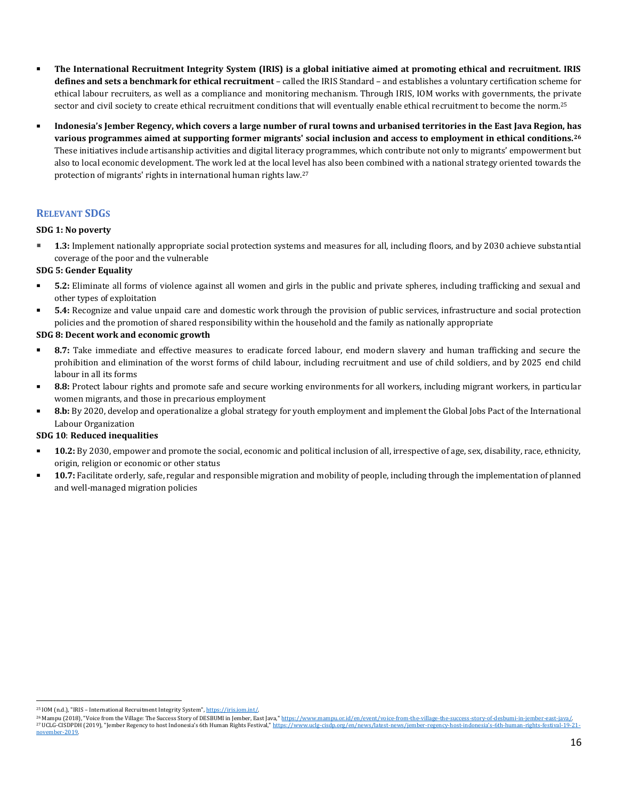- **The International Recruitment Integrity System (IRIS) is a global initiative aimed at promoting ethical and recruitment. IRIS defines and sets a benchmark for ethical recruitment** – called the IRIS Standard – and establishes a voluntary certification scheme for ethical labour recruiters, as well as a compliance and monitoring mechanism. Through IRIS, IOM works with governments, the private sector and civil society to create ethical recruitment conditions that will eventually enable ethical recruitment to become the norm.<sup>25</sup>
- **Indonesia's Jember Regency, which covers a large number of rural towns and urbanised territories in the East Java Region, has various programmes aimed at supporting former migrants' social inclusion and access to employment in ethical conditions.<sup>26</sup>** These initiatives include artisanship activities and digital literacy programmes, which contribute not only to migrants' empowerment but also to local economic development. The work led at the local level has also been combined with a national strategy oriented towards the protection of migrants' rights in international human rights law.<sup>27</sup>

### **SDG 1: No poverty**

1.3: Implement nationally appropriate social protection systems and measures for all, including floors, and by 2030 achieve substantial coverage of the poor and the vulnerable

### **SDG 5: Gender Equality**

- **5.2:** Eliminate all forms of violence against all women and girls in the public and private spheres, including trafficking and sexual and other types of exploitation
- **5.4:** Recognize and value unpaid care and domestic work through the provision of public services, infrastructure and social protection policies and the promotion of shared responsibility within the household and the family as nationally appropriate

### **SDG 8: Decent work and economic growth**

- 8.7: Take immediate and effective measures to eradicate forced labour, end modern slavery and human trafficking and secure the prohibition and elimination of the worst forms of child labour, including recruitment and use of child soldiers, and by 2025 end child labour in all its forms
- 8.8: Protect labour rights and promote safe and secure working environments for all workers, including migrant workers, in particular women migrants, and those in precarious employment
- 8.b: By 2020, develop and operationalize a global strategy for youth employment and implement the Global Jobs Pact of the International Labour Organization

### **SDG 10**: **Reduced inequalities**

- **10.2:** By 2030, empower and promote the social, economic and political inclusion of all, irrespective of age, sex, disability, race, ethnicity, origin, religion or economic or other status
- 10.7: Facilitate orderly, safe, regular and responsible migration and mobility of people, including through the implementation of planned and well-managed migration policies

<sup>25</sup> IOM (n.d.), "IRIS – International Recruitment Integrity System"[, https://iris.iom.int/.](https://iris.iom.int/)

<sup>&</sup>lt;sup>26</sup> Mampu (2018), "Voice from the Village: The Success Story of DESBUMI in Jember, East Java," <u>https://www.mampu.or.id/en/event/voice-from-the-village-the-success-story-of-desbumi-in-jember-east-java/.<br><sup>27</sup> UCLG-CISDPDH </u> [november-2019.](https://www.uclg-cisdp.org/en/news/latest-news/jember-regency-host-indonesia’s-6th-human-rights-festival-19-21-november-2019)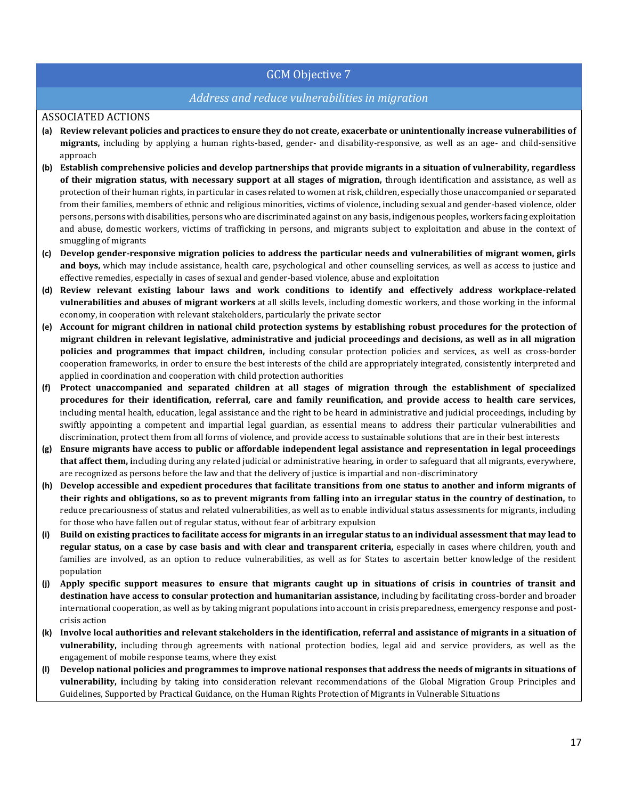## *Address and reduce vulnerabilities in migration*

## ASSOCIATED ACTIONS

- **(a) Review relevant policies and practices to ensure they do not create, exacerbate or unintentionally increase vulnerabilities of migrants,** including by applying a human rights-based, gender- and disability-responsive, as well as an age- and child-sensitive approach
- **(b) Establish comprehensive policies and develop partnerships that provide migrants in a situation of vulnerability, regardless of their migration status, with necessary support at all stages of migration,** through identification and assistance, as well as protection of their human rights, in particular in cases related to women at risk, children, especially those unaccompanied or separated from their families, members of ethnic and religious minorities, victims of violence, including sexual and gender-based violence, older persons, persons with disabilities, persons who are discriminated against on any basis, indigenous peoples, workers facing exploitation and abuse, domestic workers, victims of trafficking in persons, and migrants subject to exploitation and abuse in the context of smuggling of migrants
- **(c) Develop gender-responsive migration policies to address the particular needs and vulnerabilities of migrant women, girls and boys,** which may include assistance, health care, psychological and other counselling services, as well as access to justice and effective remedies, especially in cases of sexual and gender-based violence, abuse and exploitation
- **(d) Review relevant existing labour laws and work conditions to identify and effectively address workplace-related vulnerabilities and abuses of migrant workers** at all skills levels, including domestic workers, and those working in the informal economy, in cooperation with relevant stakeholders, particularly the private sector
- **(e) Account for migrant children in national child protection systems by establishing robust procedures for the protection of migrant children in relevant legislative, administrative and judicial proceedings and decisions, as well as in all migration policies and programmes that impact children,** including consular protection policies and services, as well as cross-border cooperation frameworks, in order to ensure the best interests of the child are appropriately integrated, consistently interpreted and applied in coordination and cooperation with child protection authorities
- **(f) Protect unaccompanied and separated children at all stages of migration through the establishment of specialized procedures for their identification, referral, care and family reunification, and provide access to health care services,**  including mental health, education, legal assistance and the right to be heard in administrative and judicial proceedings, including by swiftly appointing a competent and impartial legal guardian, as essential means to address their particular vulnerabilities and discrimination, protect them from all forms of violence, and provide access to sustainable solutions that are in their best interests
- **(g) Ensure migrants have access to public or affordable independent legal assistance and representation in legal proceedings that affect them, i**ncluding during any related judicial or administrative hearing, in order to safeguard that all migrants, everywhere, are recognized as persons before the law and that the delivery of justice is impartial and non-discriminatory
- **(h) Develop accessible and expedient procedures that facilitate transitions from one status to another and inform migrants of their rights and obligations, so as to prevent migrants from falling into an irregular status in the country of destination,** to reduce precariousness of status and related vulnerabilities, as well as to enable individual status assessments for migrants, including for those who have fallen out of regular status, without fear of arbitrary expulsion
- **(i) Build on existing practices to facilitate access for migrants in an irregular status to an individual assessment that may lead to regular status, on a case by case basis and with clear and transparent criteria,** especially in cases where children, youth and families are involved, as an option to reduce vulnerabilities, as well as for States to ascertain better knowledge of the resident population
- **(j) Apply specific support measures to ensure that migrants caught up in situations of crisis in countries of transit and destination have access to consular protection and humanitarian assistance,** including by facilitating cross-border and broader international cooperation, as well as by taking migrant populations into account in crisis preparedness, emergency response and postcrisis action
- **(k) Involve local authorities and relevant stakeholders in the identification, referral and assistance of migrants in a situation of vulnerability,** including through agreements with national protection bodies, legal aid and service providers, as well as the engagement of mobile response teams, where they exist
- **(l) Develop national policies and programmes to improve national responses that address the needs of migrants in situations of vulnerability, i**ncluding by taking into consideration relevant recommendations of the Global Migration Group Principles and Guidelines, Supported by Practical Guidance, on the Human Rights Protection of Migrants in Vulnerable Situations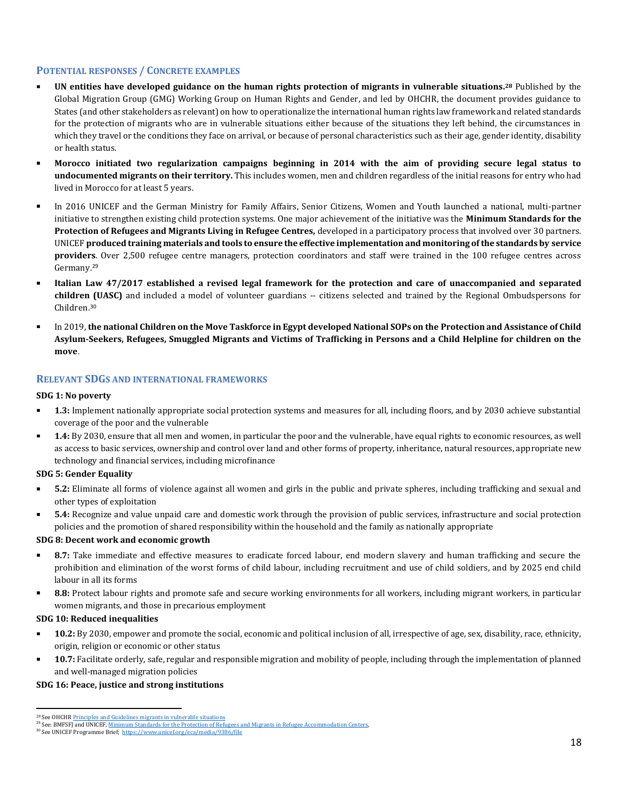### **POTENTIAL RESPONSES / CONCRETE EXAMPLES**

- **UN entities have developed guidance on the human rights protection of migrants in vulnerable situations. <sup>28</sup>** Published by the Global Migration Group (GMG) Working Group on Human Rights and Gender, and led by OHCHR, the document provides guidance to States (and other stakeholders as relevant) on how to operationalize the international human rights law framework and related standards for the protection of migrants who are in vulnerable situations either because of the situations they left behind, the circumstances in which they travel or the conditions they face on arrival, or because of personal characteristics such as their age, gender identity, disability or health status.
- **Morocco initiated two regularization campaigns beginning in 2014 with the aim of providing secure legal status to undocumented migrants on their territory.** This includes women, men and children regardless of the initial reasons for entry who had lived in Morocco for at least 5 years.
- In 2016 UNICEF and the German Ministry for Family Affairs, Senior Citizens, Women and Youth launched a national, multi-partner initiative to strengthen existing child protection systems. One major achievement of the initiative was the **Minimum Standards for the Protection of Refugees and Migrants Living in Refugee Centres,** developed in a participatory process that involved over 30 partners. UNICEF **produced training materials and tools to ensure the effective implementation and monitoring of the standards by service providers**. Over 2,500 refugee centre managers, protection coordinators and staff were trained in the 100 refugee centres across Germany. 29
- **■** Italian Law 47/2017 established a revised legal framework for the protection and care of unaccompanied and separated **children (UASC)** and included a model of volunteer guardians -- citizens selected and trained by the Regional Ombudspersons for Children. 30
- In 2019, **the national Children on the Move Taskforce in Egypt developed National SOPs on the Protection and Assistance of Child Asylum-Seekers, Refugees, Smuggled Migrants and Victims of Trafficking in Persons and a Child Helpline for children on the move**.

### **RELEVANT SDGS AND INTERNATIONAL FRAMEWORKS**

#### **SDG 1: No poverty**

- 1.3: Implement nationally appropriate social protection systems and measures for all, including floors, and by 2030 achieve substantial coverage of the poor and the vulnerable
- 1.4: By 2030, ensure that all men and women, in particular the poor and the vulnerable, have equal rights to economic resources, as well as access to basic services, ownership and control over land and other forms of property, inheritance, natural resources, appropriate new technology and financial services, including microfinance

#### **SDG 5: Gender Equality**

- **5.2:** Eliminate all forms of violence against all women and girls in the public and private spheres, including trafficking and sexual and other types of exploitation
- **5.4:** Recognize and value unpaid care and domestic work through the provision of public services, infrastructure and social protection policies and the promotion of shared responsibility within the household and the family as nationally appropriate

### **SDG 8: Decent work and economic growth**

- 8.7: Take immediate and effective measures to eradicate forced labour, end modern slavery and human trafficking and secure the prohibition and elimination of the worst forms of child labour, including recruitment and use of child soldiers, and by 2025 end child labour in all its forms
- **8.8:** Protect labour rights and promote safe and secure working environments for all workers, including migrant workers, in particular women migrants, and those in precarious employment

#### **SDG 10: Reduced inequalities**

- **10.2:** By 2030, empower and promote the social, economic and political inclusion of all, irrespective of age, sex, disability, race, ethnicity, origin, religion or economic or other status
- **10.7:** Facilitate orderly, safe, regular and responsible migration and mobility of people, including through the implementation of planned and well-managed migration policies

#### **SDG 16: Peace, justice and strong institutions**

<sup>28</sup> See OHCH[R Principles and Guidelines migrants in vulnerable situations](https://www.ohchr.org/Documents/Issues/Migration/PrinciplesAndGuidelines.pdf)

<sup>&</sup>lt;sup>29</sup> See: BMFSFJ and UNICEF, <u>Minimum Standards for the Protection of Refugees and Migrants in Refugee Accommodation Centers,</u>

<sup>30</sup> See UNICEF Programme Brief;<https://www.unicef.org/eca/media/9386/file>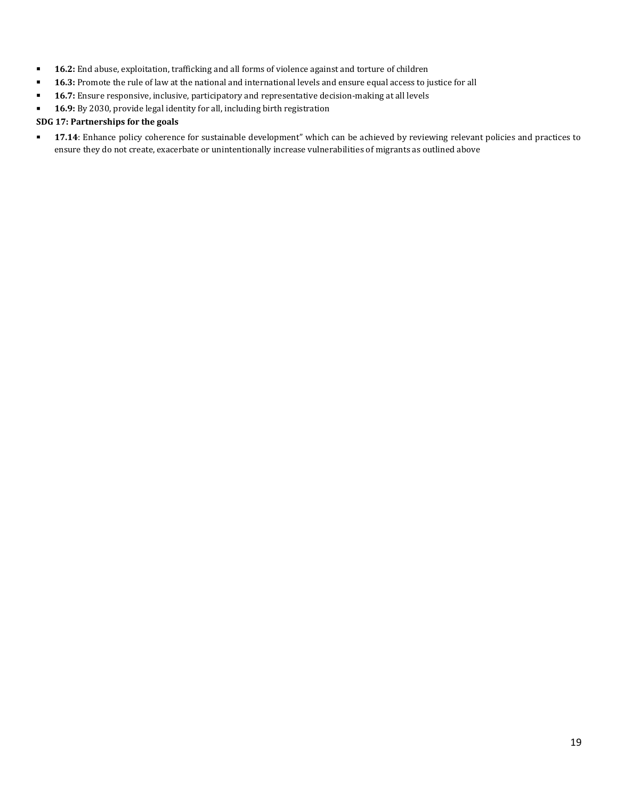- $\blacksquare$  **16.2:** End abuse, exploitation, trafficking and all forms of violence against and torture of children
- **16.3:** Promote the rule of law at the national and international levels and ensure equal access to justice for all
- **16.7:** Ensure responsive, inclusive, participatory and representative decision-making at all levels
- **16.9:** By 2030, provide legal identity for all, including birth registration

## **SDG 17: Partnerships for the goals**

■ **17.14**: Enhance policy coherence for sustainable development" which can be achieved by reviewing relevant policies and practices to ensure they do not create, exacerbate or unintentionally increase vulnerabilities of migrants as outlined above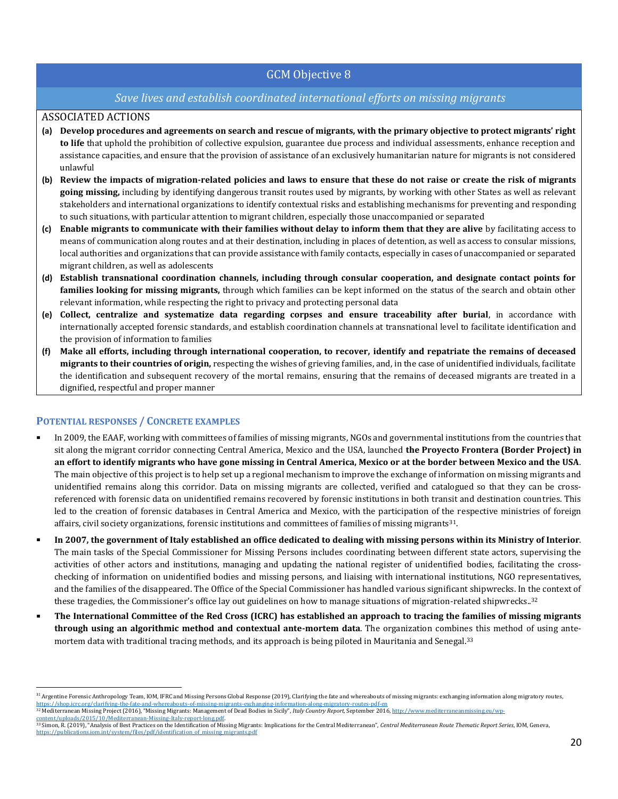## *Save lives and establish coordinated international efforts on missing migrants*

## ASSOCIATED ACTIONS

- **(a) Develop procedures and agreements on search and rescue of migrants, with the primary objective to protect migrants' right to life** that uphold the prohibition of collective expulsion, guarantee due process and individual assessments, enhance reception and assistance capacities, and ensure that the provision of assistance of an exclusively humanitarian nature for migrants is not considered unlawful
- **(b) Review the impacts of migration-related policies and laws to ensure that these do not raise or create the risk of migrants going missing,** including by identifying dangerous transit routes used by migrants, by working with other States as well as relevant stakeholders and international organizations to identify contextual risks and establishing mechanisms for preventing and responding to such situations, with particular attention to migrant children, especially those unaccompanied or separated
- **(c) Enable migrants to communicate with their families without delay to inform them that they are alive** by facilitating access to means of communication along routes and at their destination, including in places of detention, as well as access to consular missions, local authorities and organizations that can provide assistance with family contacts, especially in cases of unaccompanied or separated migrant children, as well as adolescents
- **(d) Establish transnational coordination channels, including through consular cooperation, and designate contact points for families looking for missing migrants,** through which families can be kept informed on the status of the search and obtain other relevant information, while respecting the right to privacy and protecting personal data
- **(e) Collect, centralize and systematize data regarding corpses and ensure traceability after burial**, in accordance with internationally accepted forensic standards, and establish coordination channels at transnational level to facilitate identification and the provision of information to families
- **(f) Make all efforts, including through international cooperation, to recover, identify and repatriate the remains of deceased migrants to their countries of origin,** respecting the wishes of grieving families, and, in the case of unidentified individuals, facilitate the identification and subsequent recovery of the mortal remains, ensuring that the remains of deceased migrants are treated in a dignified, respectful and proper manner

- In 2009, the EAAF, working with committees of families of missing migrants, NGOs and governmental institutions from the countries that sit along the migrant corridor connecting Central America, Mexico and the USA, launched **the Proyecto Frontera (Border Project) in an effort to identify migrants who have gone missing in Central America, Mexico or at the border between Mexico and the USA**. The main objective of this project is to help set up a regional mechanism to improve the exchange of information on missing migrants and unidentified remains along this corridor. Data on missing migrants are collected, verified and catalogued so that they can be crossreferenced with forensic data on unidentified remains recovered by forensic institutions in both transit and destination countries. This led to the creation of forensic databases in Central America and Mexico, with the participation of the respective ministries of foreign affairs, civil society organizations, forensic institutions and committees of families of missing migrants31.
- **In 2007, the government of Italy established an office dedicated to dealing with missing persons within its Ministry of Interior**. The main tasks of the Special Commissioner for Missing Persons includes coordinating between different state actors, supervising the activities of other actors and institutions, managing and updating the national register of unidentified bodies, facilitating the crosschecking of information on unidentified bodies and missing persons, and liaising with international institutions, NGO representatives, and the families of the disappeared. The Office of the Special Commissioner has handled various significant shipwrecks. In the context of these tragedies, the Commissioner's office lay out guidelines on how to manage situations of migration-related shipwrecks..<sup>32</sup>
- **The International Committee of the Red Cross (ICRC) has established an approach to tracing the families of missing migrants through using an algorithmic method and contextual ante-mortem data**. The organization combines this method of using antemortem data with traditional tracing methods, and its approach is being piloted in Mauritania and Senegal.<sup>33</sup>

<sup>&</sup>lt;sup>31</sup> Argentine Forensic Anthropology Team, IOM, IFRC and Missing Persons Global Response (2019), Clarifying the fate and whereabouts of missing migrants: exchanging information along migratory routes, <https://shop.icrc.org/clarifying-the-fate-and-whereabouts-of-missing-migrants-exchanging-information-along-migratory-routes-pdf-en>

<sup>32</sup> Mediterranean Missing Project (2016), "Missing Migrants: Management of Dead Bodies in Sicily", *Italy Country Report,* September 2016[, http://www.mediterraneanmissing.eu/wp-](http://www.mediterraneanmissing.eu/wp-content/uploads/2015/10/Mediterranean-Missing-Italy-report-long.pdf)

<sup>&</sup>lt;u>[content/uploads/2015/10/Mediterranean-Missing-Italy-report-long.pdf.](http://www.mediterraneanmissing.eu/wp-content/uploads/2015/10/Mediterranean-Missing-Italy-report-long.pdf)</u><br><sup>33</sup> Simon, R. (2019), "Analysis of Best Practices on the Identification of Missing Migrants: Implications for the Central Mediterranean", *Central Med* .<br>int/system/files/pdf/identification\_of\_mis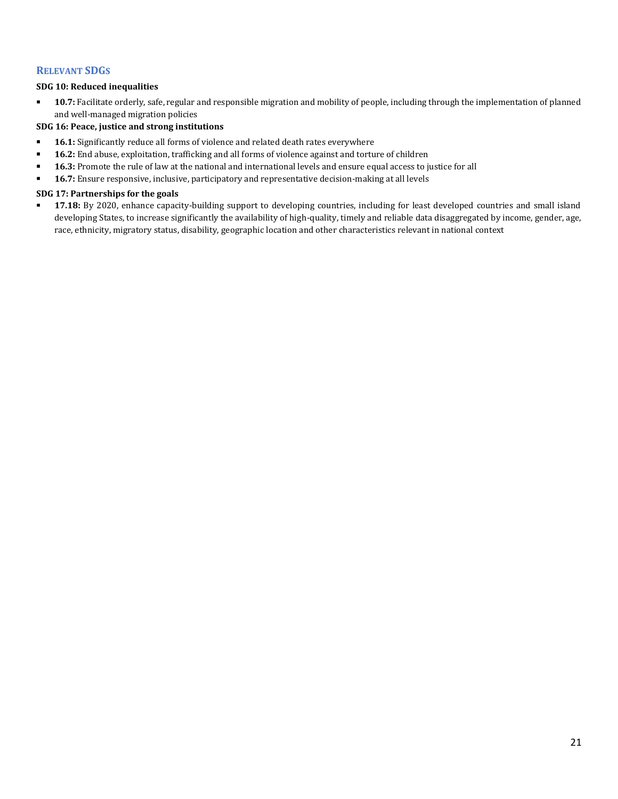#### **SDG 10: Reduced inequalities**

**• 10.7:** Facilitate orderly, safe, regular and responsible migration and mobility of people, including through the implementation of planned and well-managed migration policies

## **SDG 16: Peace, justice and strong institutions**

- $\blacksquare$  **16.1:** Significantly reduce all forms of violence and related death rates everywhere
- **16.2:** End abuse, exploitation, trafficking and all forms of violence against and torture of children
- **16.3:** Promote the rule of law at the national and international levels and ensure equal access to justice for all
- $\blacksquare$  **16.7:** Ensure responsive, inclusive, participatory and representative decision-making at all levels

### **SDG 17: Partnerships for the goals**

▪ **17.18:** By 2020, enhance capacity-building support to developing countries, including for least developed countries and small island developing States, to increase significantly the availability of high-quality, timely and reliable data disaggregated by income, gender, age, race, ethnicity, migratory status, disability, geographic location and other characteristics relevant in national context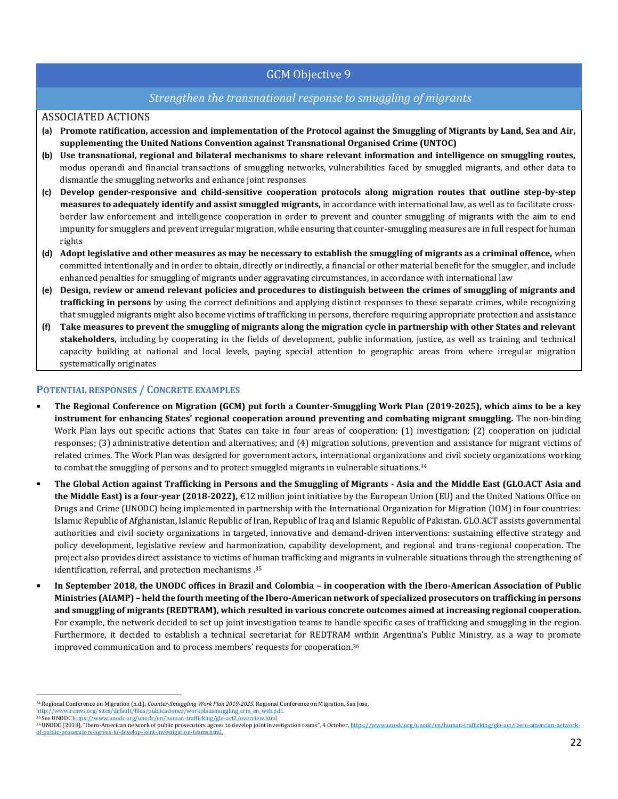## *Strengthen the transnational response to smuggling of migrants*

## ASSOCIATED ACTIONS

- **(a) Promote ratification, accession and implementation of the Protocol against the Smuggling of Migrants by Land, Sea and Air, supplementing the United Nations Convention against Transnational Organised Crime (UNTOC)**
- **(b) Use transnational, regional and bilateral mechanisms to share relevant information and intelligence on smuggling routes,**  modus operandi and financial transactions of smuggling networks, vulnerabilities faced by smuggled migrants, and other data to dismantle the smuggling networks and enhance joint responses
- **(c) Develop gender-responsive and child-sensitive cooperation protocols along migration routes that outline step-by-step measures to adequately identify and assist smuggled migrants,** in accordance with international law, as well as to facilitate crossborder law enforcement and intelligence cooperation in order to prevent and counter smuggling of migrants with the aim to end impunity for smugglers and prevent irregular migration, while ensuring that counter-smuggling measures are in full respect for human rights
- **(d) Adopt legislative and other measures as may be necessary to establish the smuggling of migrants as a criminal offence,** when committed intentionally and in order to obtain, directly or indirectly, a financial or other material benefit for the smuggler, and include enhanced penalties for smuggling of migrants under aggravating circumstances, in accordance with international law
- **(e) Design, review or amend relevant policies and procedures to distinguish between the crimes of smuggling of migrants and trafficking in persons** by using the correct definitions and applying distinct responses to these separate crimes, while recognizing that smuggled migrants might also become victims of trafficking in persons, therefore requiring appropriate protection and assistance
- **(f) Take measures to prevent the smuggling of migrants along the migration cycle in partnership with other States and relevant stakeholders,** including by cooperating in the fields of development, public information, justice, as well as training and technical capacity building at national and local levels, paying special attention to geographic areas from where irregular migration systematically originates

- **The Regional Conference on Migration (GCM) put forth a Counter-Smuggling Work Plan (2019-2025), which aims to be a key instrument for enhancing States' regional cooperation around preventing and combating migrant smuggling.** The non-binding Work Plan lays out specific actions that States can take in four areas of cooperation: (1) investigation; (2) cooperation on judicial responses; (3) administrative detention and alternatives; and (4) migration solutions, prevention and assistance for migrant victims of related crimes. The Work Plan was designed for government actors, international organizations and civil society organizations working to combat the smuggling of persons and to protect smuggled migrants in vulnerable situations.<sup>34</sup>
- **The Global Action against Trafficking in Persons and the Smuggling of Migrants - Asia and the Middle East (GLO.ACT Asia and the Middle East) is a four-year (2018-2022),** €12 million joint initiative by the European Union (EU) and the United Nations Office on Drugs and Crime (UNODC) being implemented in partnership with the International Organization for Migration (IOM) in four countries: Islamic Republic of Afghanistan, Islamic Republic of Iran, Republic of Iraq and Islamic Republic of Pakistan. GLO.ACT assists governmental authorities and civil society organizations in targeted, innovative and demand-driven interventions: sustaining effective strategy and policy development, legislative review and harmonization, capability development, and regional and trans-regional cooperation. The project also provides direct assistance to victims of human trafficking and migrants in vulnerable situations through the strengthening of identification, referral, and protection mechanisms . 35
- **In September 2018, the UNODC offices in Brazil and Colombia – in cooperation with the Ibero-American Association of Public Ministries (AIAMP) – held the fourth meeting of the Ibero-American network of specialized prosecutors on trafficking in persons and smuggling of migrants (REDTRAM), which resulted in various concrete outcomes aimed at increasing regional cooperation.**  For example, the network decided to set up joint investigation teams to handle specific cases of trafficking and smuggling in the region. Furthermore, it decided to establish a technical secretariat for REDTRAM within Argentina's Public Ministry, as a way to promote improved communication and to process members' requests for cooperation. 36

<sup>34</sup> Regional Conference on Migration (n.d.), *Counter-Smuggling Work Plan 2019-2025*, Regional Conference on Migration, San Jose,

[http://www.rcmvs.org/sites/default/files/publicaciones/workplansmuggling\\_crm\\_en\\_web.pdf.](http://www.rcmvs.org/sites/default/files/publicaciones/workplansmuggling_crm_en_web.pdf) <sup>35</sup> See UNODC <https://www.unodc.org/unodc/en/human-trafficking/glo-act2/overview.html>

<sup>&</sup>lt;sup>36</sup> UNODC (2018), "Ibero-American network of public prosecutors agrees to develop joint investigation teams", 4 October, [https://www.unodc.org/unodc/en/human-trafficking/glo-act/ibero-amercian-network-](https://www.unodc.org/unodc/en/human-trafficking/glo-act/ibero-amercian-network-of-public-prosecutors-agrees-to-develop-joint-investigation-teams.html)-to-develop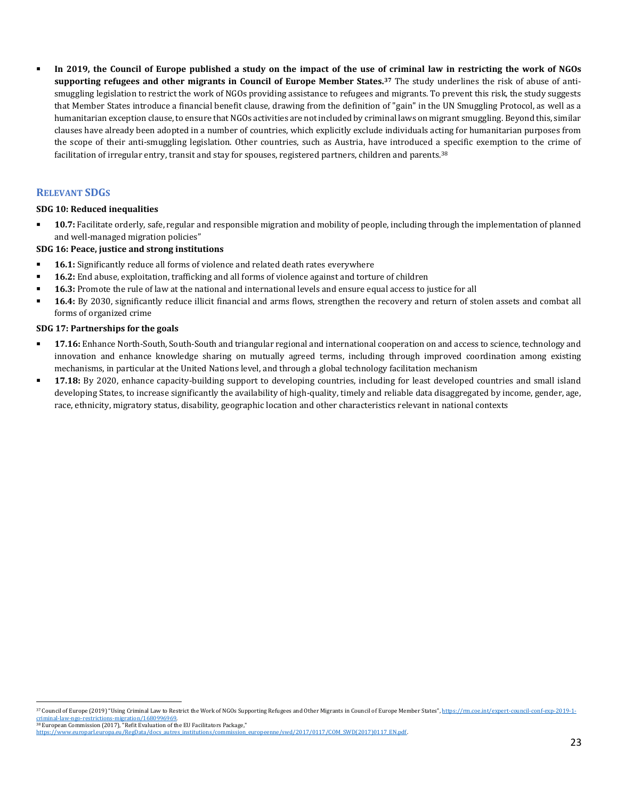▪ **In 2019, the Council of Europe published a study on the impact of the use of criminal law in restricting the work of NGOs supporting refugees and other migrants in Council of Europe Member States.<sup>37</sup>** The study underlines the risk of abuse of antismuggling legislation to restrict the work of NGOs providing assistance to refugees and migrants. To prevent this risk, the study suggests that Member States introduce a financial benefit clause, drawing from the definition of "gain" in the UN Smuggling Protocol, as well as a humanitarian exception clause, to ensure that NGOs activities are not included by criminal laws on migrant smuggling. Beyond this, similar clauses have already been adopted in a number of countries, which explicitly exclude individuals acting for humanitarian purposes from the scope of their anti-smuggling legislation. Other countries, such as Austria, have introduced a specific exemption to the crime of facilitation of irregular entry, transit and stay for spouses, registered partners, children and parents.<sup>38</sup>

### **RELEVANT SDGS**

#### **SDG 10: Reduced inequalities**

**• 10.7:** Facilitate orderly, safe, regular and responsible migration and mobility of people, including through the implementation of planned and well-managed migration policies"

#### **SDG 16: Peace, justice and strong institutions**

- 16.1: Significantly reduce all forms of violence and related death rates everywhere
- 16.2: End abuse, exploitation, trafficking and all forms of violence against and torture of children
- **16.3:** Promote the rule of law at the national and international levels and ensure equal access to justice for all
- **16.4:** By 2030, significantly reduce illicit financial and arms flows, strengthen the recovery and return of stolen assets and combat all forms of organized crime

#### **SDG 17: Partnerships for the goals**

- 17.16: Enhance North-South, South-South and triangular regional and international cooperation on and access to science, technology and innovation and enhance knowledge sharing on mutually agreed terms, including through improved coordination among existing mechanisms, in particular at the United Nations level, and through a global technology facilitation mechanism
- **17.18:** By 2020, enhance capacity-building support to developing countries, including for least developed countries and small island developing States, to increase significantly the availability of high-quality, timely and reliable data disaggregated by income, gender, age, race, ethnicity, migratory status, disability, geographic location and other characteristics relevant in national contexts

<sup>37</sup> Council of Europe (2019) "Using Criminal Law to Restrict the Work of NGOs Supporting Refugees and Other Migrants in Council of Europe Member States", [https://rm.coe.int/expert-council-conf-exp-2019-1](https://rm.coe.int/expert-council-conf-exp-2019-1-criminal-law-ngo-restrictions-migration/1680996969) criminal-law-ngo-restrictions-migration/1680996969.<br><sup>38</sup> European Commission (2017), "Refit Evaluation of the EU Facilitators Package,"

eu/RegData/docs\_autres\_institutions/commission\_europeenne/swd/2017/0117/COM\_SWD(2017)0117\_EN.pdf.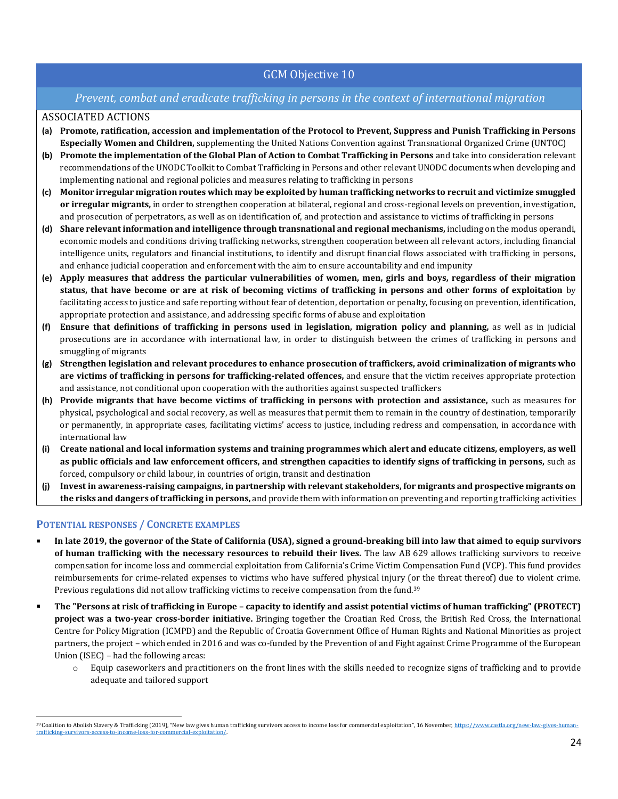## *Prevent, combat and eradicate trafficking in persons in the context of international migration*

### ASSOCIATED ACTIONS

- **(a) Promote, ratification, accession and implementation of the Protocol to Prevent, Suppress and Punish Trafficking in Persons Especially Women and Children,** supplementing the United Nations Convention against Transnational Organized Crime (UNTOC)
- **(b) Promote the implementation of the Global Plan of Action to Combat Trafficking in Persons** and take into consideration relevant recommendations of the UNODC Toolkit to Combat Trafficking in Persons and other relevant UNODC documents when developing and implementing national and regional policies and measures relating to trafficking in persons
- **(c) Monitor irregular migration routes which may be exploited by human trafficking networks to recruit and victimize smuggled or irregular migrants,** in order to strengthen cooperation at bilateral, regional and cross-regional levels on prevention, investigation, and prosecution of perpetrators, as well as on identification of, and protection and assistance to victims of trafficking in persons
- **(d) Share relevant information and intelligence through transnational and regional mechanisms,** including on the modus operandi, economic models and conditions driving trafficking networks, strengthen cooperation between all relevant actors, including financial intelligence units, regulators and financial institutions, to identify and disrupt financial flows associated with trafficking in persons, and enhance judicial cooperation and enforcement with the aim to ensure accountability and end impunity
- **(e) Apply measures that address the particular vulnerabilities of women, men, girls and boys, regardless of their migration status, that have become or are at risk of becoming victims of trafficking in persons and other forms of exploitation** by facilitating access to justice and safe reporting without fear of detention, deportation or penalty, focusing on prevention, identification, appropriate protection and assistance, and addressing specific forms of abuse and exploitation
- **(f) Ensure that definitions of trafficking in persons used in legislation, migration policy and planning,** as well as in judicial prosecutions are in accordance with international law, in order to distinguish between the crimes of trafficking in persons and smuggling of migrants
- **(g) Strengthen legislation and relevant procedures to enhance prosecution of traffickers, avoid criminalization of migrants who are victims of trafficking in persons for trafficking-related offences,** and ensure that the victim receives appropriate protection and assistance, not conditional upon cooperation with the authorities against suspected traffickers
- **(h) Provide migrants that have become victims of trafficking in persons with protection and assistance,** such as measures for physical, psychological and social recovery, as well as measures that permit them to remain in the country of destination, temporarily or permanently, in appropriate cases, facilitating victims' access to justice, including redress and compensation, in accordance with international law
- **(i) Create national and local information systems and training programmes which alert and educate citizens, employers, as well as public officials and law enforcement officers, and strengthen capacities to identify signs of trafficking in persons,** such as forced, compulsory or child labour, in countries of origin, transit and destination
- **(j) Invest in awareness-raising campaigns, in partnership with relevant stakeholders, for migrants and prospective migrants on the risks and dangers of trafficking in persons,** and provide them with information on preventing and reporting trafficking activities

- In late 2019, the governor of the State of California (USA), signed a ground-breaking bill into law that aimed to equip survivors **of human trafficking with the necessary resources to rebuild their lives.** The law AB 629 allows trafficking survivors to receive compensation for income loss and commercial exploitation from California's Crime Victim Compensation Fund (VCP). This fund provides reimbursements for crime-related expenses to victims who have suffered physical injury (or the threat thereof) due to violent crime. Previous regulations did not allow trafficking victims to receive compensation from the fund.<sup>39</sup>
- **The "Persons at risk of trafficking in Europe – capacity to identify and assist potential victims of human trafficking" (PROTECT) project was a two-year cross-border initiative.** Bringing together the Croatian Red Cross, the British Red Cross, the International Centre for Policy Migration (ICMPD) and the Republic of Croatia Government Office of Human Rights and National Minorities as project partners, the project – which ended in 2016 and was co-funded by the Prevention of and Fight against Crime Programme of the European Union (ISEC) – had the following areas:
	- Equip caseworkers and practitioners on the front lines with the skills needed to recognize signs of trafficking and to provide adequate and tailored support

<sup>39</sup> Coalition to Abolish Slavery & Trafficking (2019), "New law gives human trafficking survivors access to income loss for commercial exploitation", 16 November, [https://www.castla.org/new-law-gives-human](https://www.castla.org/new-law-gives-human-trafficking-survivors-access-to-income-loss-for-commercial-exploitation/)trafficking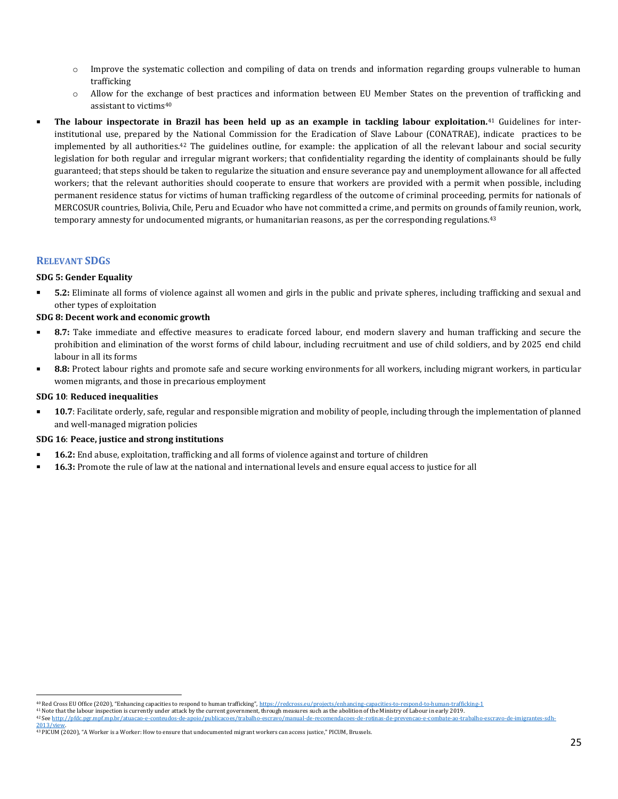- o Improve the systematic collection and compiling of data on trends and information regarding groups vulnerable to human trafficking
- o Allow for the exchange of best practices and information between EU Member States on the prevention of trafficking and assistant to victims<sup>40</sup>
- The labour inspectorate in Brazil has been held up as an example in tackling labour exploitation.<sup>41</sup> Guidelines for interinstitutional use, prepared by the National Commission for the Eradication of Slave Labour (CONATRAE), indicate practices to be implemented by all authorities.<sup>42</sup> The guidelines outline, for example: the application of all the relevant labour and social security legislation for both regular and irregular migrant workers; that confidentiality regarding the identity of complainants should be fully guaranteed; that steps should be taken to regularize the situation and ensure severance pay and unemployment allowance for all affected workers; that the relevant authorities should cooperate to ensure that workers are provided with a permit when possible, including permanent residence status for victims of human trafficking regardless of the outcome of criminal proceeding, permits for nationals of MERCOSUR countries, Bolivia, Chile, Peru and Ecuador who have not committed a crime, and permits on grounds of family reunion, work, temporary amnesty for undocumented migrants, or humanitarian reasons, as per the corresponding regulations.<sup>43</sup>

### **SDG 5: Gender Equality**

■ **5.2:** Eliminate all forms of violence against all women and girls in the public and private spheres, including trafficking and sexual and other types of exploitation

#### **SDG 8: Decent work and economic growth**

- 8.7: Take immediate and effective measures to eradicate forced labour, end modern slavery and human trafficking and secure the prohibition and elimination of the worst forms of child labour, including recruitment and use of child soldiers, and by 2025 end child labour in all its forms
- **8.8:** Protect labour rights and promote safe and secure working environments for all workers, including migrant workers, in particular women migrants, and those in precarious employment

#### **SDG 10**: **Reduced inequalities**

**• 10.7**: Facilitate orderly, safe, regular and responsible migration and mobility of people, including through the implementation of planned and well-managed migration policies

#### **SDG 16**: **Peace, justice and strong institutions**

- 16.2: End abuse, exploitation, trafficking and all forms of violence against and torture of children
- 16.3: Promote the rule of law at the national and international levels and ensure equal access to justice for all

<sup>40</sup> Red Cross EU Office (2020), "Enhancing capacities to respond to human trafficking", <https://redcross.eu/projects/enhancing-capacities-to-respond-to-human-trafficking-1>

<sup>&</sup>lt;sup>41</sup> Note that the labour inspection is currently under attack by the current government, through measures such as the abolition of the Ministry of Labour in early 2019.<br><sup>42</sup> See http://pfdc.pgr.mpf.mp.hr/atuacao-e-conteu

<sup>42</sup> Se[e http://pfdc.pgr.mpf.mp.br/atuacao-e-conteudos-de-apoio/publicacoes/trabalho-escravo/manual-de-recomendacoes-de-rotinas-de-prevencao-e-combate-ao-trabalho-escravo-de-imigrantes-sdh-](http://pfdc.pgr.mpf.mp.br/atuacao-e-conteudos-de-apoio/publicacoes/trabalho-escravo/manual-de-recomendacoes-de-rotinas-de-prevencao-e-combate-ao-trabalho-escravo-de-imigrantes-sdh-2013/view) $2013$ /vie

 $43$  PICUM (2020), "A Worker is a Worker: How to ensure that undocumented migrant workers can access justice," PICUM, Brussels.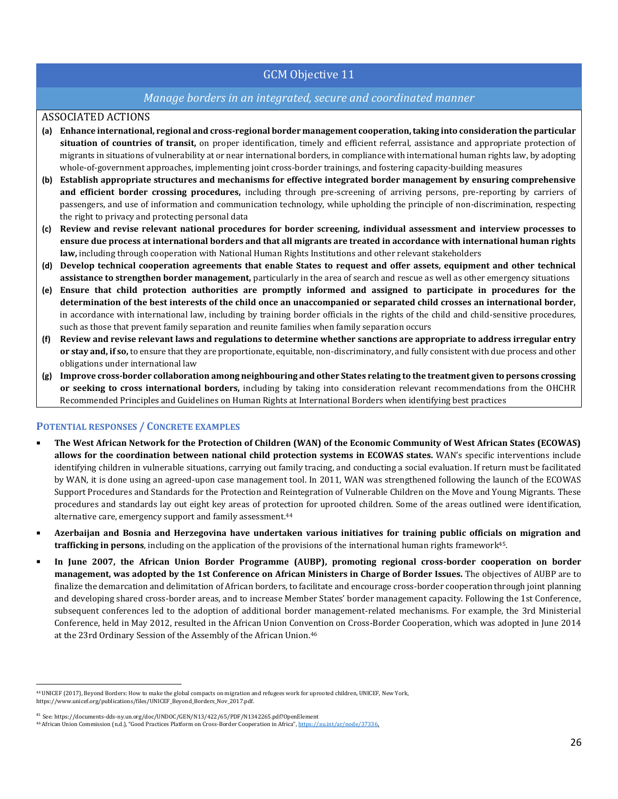## *Manage borders in an integrated, secure and coordinated manner*

## ASSOCIATED ACTIONS

- **(a) Enhance international, regional and cross-regional border management cooperation, taking into consideration the particular situation of countries of transit,** on proper identification, timely and efficient referral, assistance and appropriate protection of migrants in situations of vulnerability at or near international borders, in compliance with international human rights law, by adopting whole-of-government approaches, implementing joint cross-border trainings, and fostering capacity-building measures
- **(b) Establish appropriate structures and mechanisms for effective integrated border management by ensuring comprehensive and efficient border crossing procedures,** including through pre-screening of arriving persons, pre-reporting by carriers of passengers, and use of information and communication technology, while upholding the principle of non-discrimination, respecting the right to privacy and protecting personal data
- **(c) Review and revise relevant national procedures for border screening, individual assessment and interview processes to ensure due process at international borders and that all migrants are treated in accordance with international human rights law,** including through cooperation with National Human Rights Institutions and other relevant stakeholders
- **(d) Develop technical cooperation agreements that enable States to request and offer assets, equipment and other technical assistance to strengthen border management,** particularly in the area of search and rescue as well as other emergency situations
- **(e) Ensure that child protection authorities are promptly informed and assigned to participate in procedures for the determination of the best interests of the child once an unaccompanied or separated child crosses an international border,**  in accordance with international law, including by training border officials in the rights of the child and child-sensitive procedures, such as those that prevent family separation and reunite families when family separation occurs
- **(f) Review and revise relevant laws and regulations to determine whether sanctions are appropriate to address irregular entry or stay and, if so,** to ensure that they are proportionate, equitable, non-discriminatory, and fully consistent with due process and other obligations under international law
- **(g) Improve cross-border collaboration among neighbouring and other States relating to the treatment given to persons crossing or seeking to cross international borders,** including by taking into consideration relevant recommendations from the OHCHR Recommended Principles and Guidelines on Human Rights at International Borders when identifying best practices

- The West African Network for the Protection of Children (WAN) of the Economic Community of West African States (ECOWAS) **allows for the coordination between national child protection systems in ECOWAS states.** WAN's specific interventions include identifying children in vulnerable situations, carrying out family tracing, and conducting a social evaluation. If return must be facilitated by WAN, it is done using an agreed-upon case management tool. In 2011, WAN was strengthened following the launch of the ECOWAS Support Procedures and Standards for the Protection and Reintegration of Vulnerable Children on the Move and Young Migrants. These procedures and standards lay out eight key areas of protection for uprooted children. Some of the areas outlined were identification, alternative care, emergency support and family assessment.<sup>44</sup>
- Azerbaijan and Bosnia and Herzegovina have undertaken various initiatives for training public officials on migration and **trafficking in persons**, including on the application of the provisions of the international human rights framework<sup>45</sup>.
- In June 2007, the African Union Border Programme (AUBP), promoting regional cross-border cooperation on border **management, was adopted by the 1st Conference on African Ministers in Charge of Border Issues.** The objectives of AUBP are to finalize the demarcation and delimitation of African borders, to facilitate and encourage cross-border cooperation through joint planning and developing shared cross-border areas, and to increase Member States' border management capacity. Following the 1st Conference, subsequent conferences led to the adoption of additional border management-related mechanisms. For example, the 3rd Ministerial Conference, held in May 2012, resulted in the African Union Convention on Cross-Border Cooperation, which was adopted in June 2014 at the 23rd Ordinary Session of the Assembly of the African Union.<sup>46</sup>

<sup>44</sup> UNICEF (2017), Beyond Borders: How to make the global compacts on migration and refugees work for uprooted children, UNICEF, New York, https://www.unicef.org/publications/files/UNICEF\_Beyond\_Borders\_Nov\_2017.pdf.

<sup>45</sup> See: https://documents-dds-ny.un.org/doc/UNDOC/GEN/N13/422/65/PDF/N1342265.pdf?OpenElement

<sup>46</sup> African Union Commission (n.d.), "Good Practices Platform on Cross-Border Cooperation in Africa", [https://au.int/ar/node/37336.](https://au.int/ar/node/37336)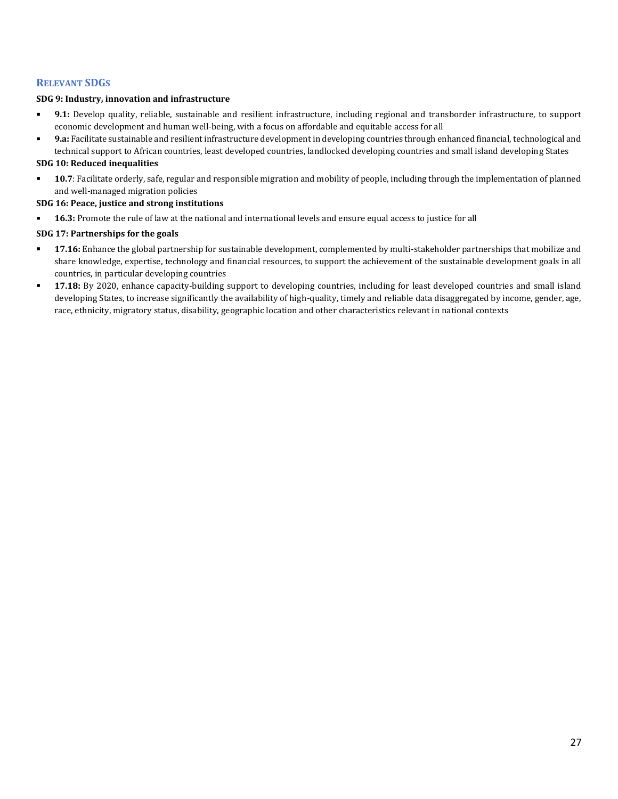### **SDG 9: Industry, innovation and infrastructure**

- **9.1:** Develop quality, reliable, sustainable and resilient infrastructure, including regional and transborder infrastructure, to support economic development and human well-being, with a focus on affordable and equitable access for all
- **9.a:** Facilitate sustainable and resilient infrastructure development in developing countries through enhanced financial, technological and technical support to African countries, least developed countries, landlocked developing countries and small island developing States

### **SDG 10: Reduced inequalities**

10.7: Facilitate orderly, safe, regular and responsible migration and mobility of people, including through the implementation of planned and well-managed migration policies

### **SDG 16: Peace, justice and strong institutions**

**16.3:** Promote the rule of law at the national and international levels and ensure equal access to justice for all

### **SDG 17: Partnerships for the goals**

- **17.16:** Enhance the global partnership for sustainable development, complemented by multi-stakeholder partnerships that mobilize and share knowledge, expertise, technology and financial resources, to support the achievement of the sustainable development goals in all countries, in particular developing countries
- **17.18:** By 2020, enhance capacity-building support to developing countries, including for least developed countries and small island developing States, to increase significantly the availability of high-quality, timely and reliable data disaggregated by income, gender, age, race, ethnicity, migratory status, disability, geographic location and other characteristics relevant in national contexts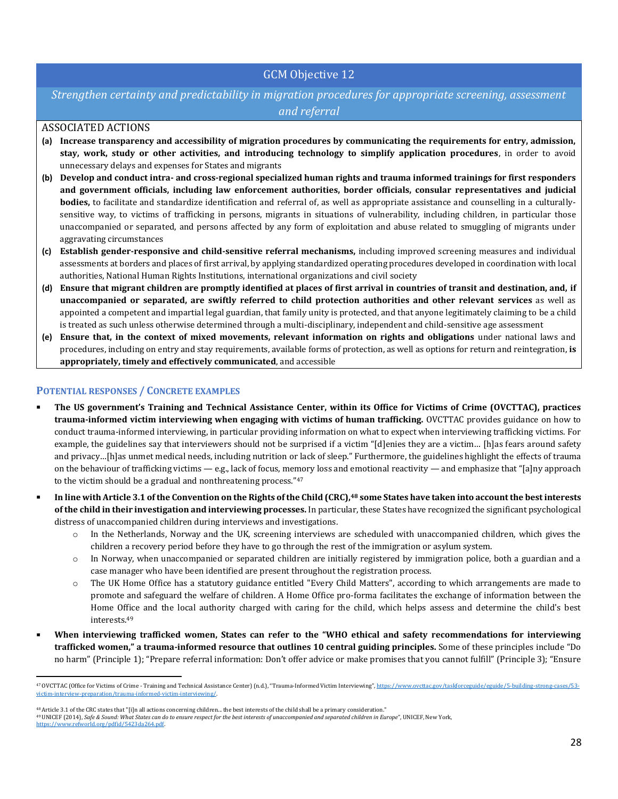## *Strengthen certainty and predictability in migration procedures for appropriate screening, assessment and referral*

## ASSOCIATED ACTIONS

- **(a) Increase transparency and accessibility of migration procedures by communicating the requirements for entry, admission, stay, work, study or other activities, and introducing technology to simplify application procedures**, in order to avoid unnecessary delays and expenses for States and migrants
- **(b) Develop and conduct intra- and cross-regional specialized human rights and trauma informed trainings for first responders and government officials, including law enforcement authorities, border officials, consular representatives and judicial bodies,** to facilitate and standardize identification and referral of, as well as appropriate assistance and counselling in a culturallysensitive way, to victims of trafficking in persons, migrants in situations of vulnerability, including children, in particular those unaccompanied or separated, and persons affected by any form of exploitation and abuse related to smuggling of migrants under aggravating circumstances
- **(c) Establish gender-responsive and child-sensitive referral mechanisms,** including improved screening measures and individual assessments at borders and places of first arrival, by applying standardized operating procedures developed in coordination with local authorities, National Human Rights Institutions, international organizations and civil society
- **(d) Ensure that migrant children are promptly identified at places of first arrival in countries of transit and destination, and, if unaccompanied or separated, are swiftly referred to child protection authorities and other relevant services** as well as appointed a competent and impartial legal guardian, that family unity is protected, and that anyone legitimately claiming to be a child is treated as such unless otherwise determined through a multi-disciplinary, independent and child-sensitive age assessment
- **(e) Ensure that, in the context of mixed movements, relevant information on rights and obligations** under national laws and procedures, including on entry and stay requirements, available forms of protection, as well as options for return and reintegration, **is appropriately, timely and effectively communicated**, and accessible

- **The US government's Training and Technical Assistance Center, within its Office for Victims of Crime (OVCTTAC), practices trauma-informed victim interviewing when engaging with victims of human trafficking.** OVCTTAC provides guidance on how to conduct trauma-informed interviewing, in particular providing information on what to expect when interviewing trafficking victims. For example, the guidelines say that interviewers should not be surprised if a victim "[d]enies they are a victim… [h]as fears around safety and privacy…[h]as unmet medical needs, including nutrition or lack of sleep." Furthermore, the guidelines highlight the effects of trauma on the behaviour of trafficking victims — e.g., lack of focus, memory loss and emotional reactivity — and emphasize that "[a]ny approach to the victim should be a gradual and nonthreatening process."<sup>47</sup>
- In line with Article 3.1 of the Convention on the Rights of the Child (CRC),<sup>48</sup> some States have taken into account the best interests **of the child in their investigation and interviewing processes.** In particular, these States have recognized the significant psychological distress of unaccompanied children during interviews and investigations.
	- o In the Netherlands, Norway and the UK, screening interviews are scheduled with unaccompanied children, which gives the children a recovery period before they have to go through the rest of the immigration or asylum system.
	- In Norway, when unaccompanied or separated children are initially registered by immigration police, both a guardian and a case manager who have been identified are present throughout the registration process.
	- o The UK Home Office has a statutory guidance entitled "Every Child Matters", according to which arrangements are made to promote and safeguard the welfare of children. A Home Office pro-forma facilitates the exchange of information between the Home Office and the local authority charged with caring for the child, which helps assess and determine the child's best interests.<sup>49</sup>
- When interviewing trafficked women, States can refer to the "WHO ethical and safety recommendations for interviewing **trafficked women," a trauma-informed resource that outlines 10 central guiding principles.** Some of these principles include "Do no harm" (Principle 1); "Prepare referral information: Don't offer advice or make promises that you cannot fulfill" (Principle 3); "Ensure

<sup>47</sup> OVCTTAC (Office for Victims of Crime - Training and Technical Assistance Center) (n.d.), "Trauma-Informed Victim Interviewing", [https://www.ovcttac.gov/taskforceguide/eguide/5-building-strong-cases/53](https://www.ovcttac.gov/taskforceguide/eguide/5-building-strong-cases/53-victim-interview-preparation/trauma-informed-victim-interviewing/)  $ration / trainma-informed-victim-interving /$ 

 $48$  Article 3.1 of the CRC states that "[i]n all actions concerning children... the best interests of the child shall be a primary consideration."

<sup>49</sup> UNICEF (2014), *Safe & Sound: What States can do to ensure respect for the best interests of unaccompanied and separated children in Europe*", UNICEF, New York, rld.org/pdfid/5423da264.pdf.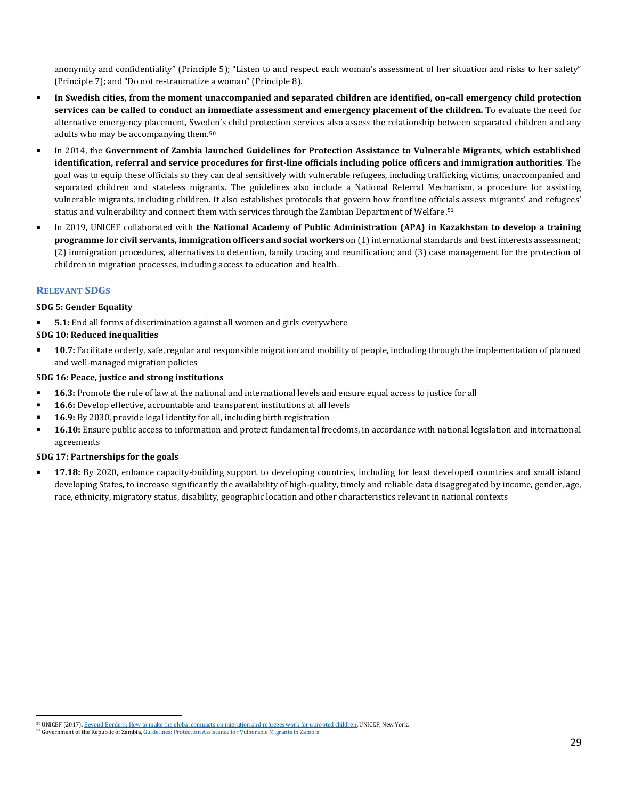anonymity and confidentiality" (Principle 5); "Listen to and respect each woman's assessment of her situation and risks to her safety" (Principle 7); and "Do not re-traumatize a woman" (Principle 8).

- **In Swedish cities, from the moment unaccompanied and separated children are identified, on-call emergency child protection services can be called to conduct an immediate assessment and emergency placement of the children.** To evaluate the need for alternative emergency placement, Sweden's child protection services also assess the relationship between separated children and any adults who may be accompanying them.<sup>50</sup>
- In 2014, the Government of Zambia launched Guidelines for Protection Assistance to Vulnerable Migrants, which established **identification, referral and service procedures for first-line officials including police officers and immigration authorities**. The goal was to equip these officials so they can deal sensitively with vulnerable refugees, including trafficking victims, unaccompanied and separated children and stateless migrants. The guidelines also include a National Referral Mechanism, a procedure for assisting vulnerable migrants, including children. It also establishes protocols that govern how frontline officials assess migrants' and refugees' status and vulnerability and connect them with services through the Zambian Department of Welfare. 51
- In 2019, UNICEF collaborated with **the National Academy of Public Administration (APA) in Kazakhstan to develop a training programme for civil servants, immigration officers and social workers** on (1) international standards and best interests assessment; (2) immigration procedures, alternatives to detention, family tracing and reunification; and (3) case management for the protection of children in migration processes, including access to education and health.

## **RELEVANT SDGS**

#### **SDG 5: Gender Equality**

**5.1:** End all forms of discrimination against all women and girls everywhere

### **SDG 10: Reduced inequalities**

10.7: Facilitate orderly, safe, regular and responsible migration and mobility of people, including through the implementation of planned and well-managed migration policies

### **SDG 16: Peace, justice and strong institutions**

- **16.3:** Promote the rule of law at the national and international levels and ensure equal access to justice for all
- 16.6: Develop effective, accountable and transparent institutions at all levels
- **16.9:** By 2030, provide legal identity for all, including birth registration
- **16.10:** Ensure public access to information and protect fundamental freedoms, in accordance with national legislation and international agreements

#### **SDG 17: Partnerships for the goals**

▪ **17.18:** By 2020, enhance capacity-building support to developing countries, including for least developed countries and small island developing States, to increase significantly the availability of high-quality, timely and reliable data disaggregated by income, gender, age, race, ethnicity, migratory status, disability, geographic location and other characteristics relevant in national contexts

<sup>&</sup>lt;sup>0</sup> UNICEF (2017)[, Beyond Borders: How to make the global compacts on migration and refugees work for uprooted children,](https://www.unicef.org/publications/files/UNICEF_Beyond_Borders_Nov_2017.pdf) UNICEF, New York, <sup>51</sup> Government of the Republic of Zambia, [Guidelines: Protection Assistance for Vulnerable Migrants in Zambia'](https://www.iom.int/files/live/sites/iom/files/Country/docs/Guidelines_Protection-Assistance-for-Vulnerable-Migrants.pdf)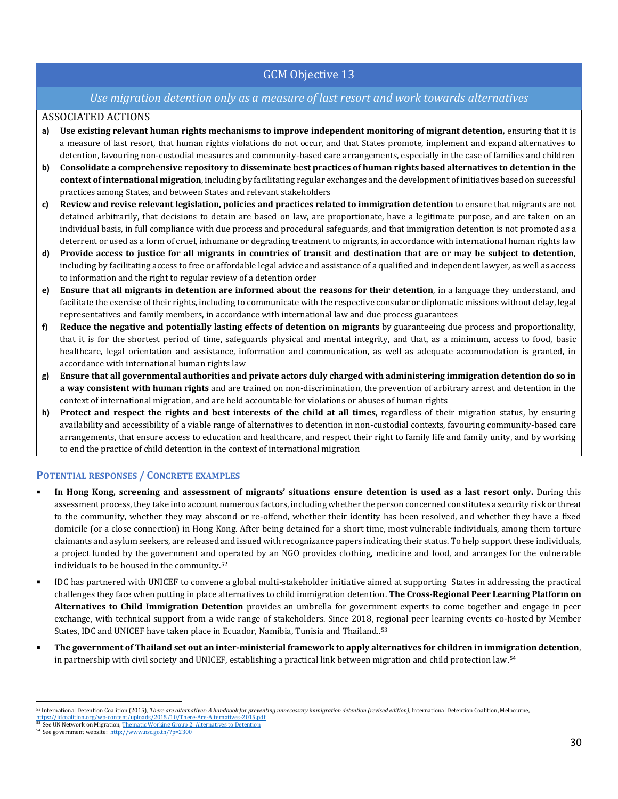## *Use migration detention only as a measure of last resort and work towards alternatives*

## ASSOCIATED ACTIONS

- **a) Use existing relevant human rights mechanisms to improve independent monitoring of migrant detention,** ensuring that it is a measure of last resort, that human rights violations do not occur, and that States promote, implement and expand alternatives to detention, favouring non-custodial measures and community-based care arrangements, especially in the case of families and children
- **b) Consolidate a comprehensive repository to disseminate best practices of human rights based alternatives to detention in the context of international migration**, including by facilitating regular exchanges and the development of initiatives based on successful practices among States, and between States and relevant stakeholders
- **c) Review and revise relevant legislation, policies and practices related to immigration detention** to ensure that migrants are not detained arbitrarily, that decisions to detain are based on law, are proportionate, have a legitimate purpose, and are taken on an individual basis, in full compliance with due process and procedural safeguards, and that immigration detention is not promoted as a deterrent or used as a form of cruel, inhumane or degrading treatment to migrants, in accordance with international human rights law
- **d) Provide access to justice for all migrants in countries of transit and destination that are or may be subject to detention**, including by facilitating access to free or affordable legal advice and assistance of a qualified and independent lawyer, as well as access to information and the right to regular review of a detention order
- **e) Ensure that all migrants in detention are informed about the reasons for their detention**, in a language they understand, and facilitate the exercise of their rights, including to communicate with the respective consular or diplomatic missions without delay, legal representatives and family members, in accordance with international law and due process guarantees
- **f) Reduce the negative and potentially lasting effects of detention on migrants** by guaranteeing due process and proportionality, that it is for the shortest period of time, safeguards physical and mental integrity, and that, as a minimum, access to food, basic healthcare, legal orientation and assistance, information and communication, as well as adequate accommodation is granted, in accordance with international human rights law
- **g) Ensure that all governmental authorities and private actors duly charged with administering immigration detention do so in a way consistent with human rights** and are trained on non-discrimination, the prevention of arbitrary arrest and detention in the context of international migration, and are held accountable for violations or abuses of human rights
- **h) Protect and respect the rights and best interests of the child at all times**, regardless of their migration status, by ensuring availability and accessibility of a viable range of alternatives to detention in non-custodial contexts, favouring community-based care arrangements, that ensure access to education and healthcare, and respect their right to family life and family unity, and by working to end the practice of child detention in the context of international migration

- **In Hong Kong, screening and assessment of migrants' situations ensure detention is used as a last resort only.** During this assessment process, they take into account numerous factors, including whether the person concerned constitutes a security risk or threat to the community, whether they may abscond or re-offend, whether their identity has been resolved, and whether they have a fixed domicile (or a close connection) in Hong Kong. After being detained for a short time, most vulnerable individuals, among them torture claimants and asylum seekers, are released and issued with recognizance papers indicating their status. To help support these individuals, a project funded by the government and operated by an NGO provides clothing, medicine and food, and arranges for the vulnerable individuals to be housed in the community.<sup>52</sup>
- IDC has partnered with UNICEF to convene a global multi-stakeholder initiative aimed at supporting States in addressing the practical challenges they face when putting in place alternatives to child immigration detention. **The Cross-Regional Peer Learning Platform on Alternatives to Child Immigration Detention** provides an umbrella for government experts to come together and engage in peer exchange, with technical support from a wide range of stakeholders. Since 2018, regional peer learning events co-hosted by Member States, IDC and UNICEF have taken place in Ecuador, Namibia, Tunisia and Thailand.. 53
- **The government of Thailand set out an inter-ministerial framework to apply alternatives for children in immigration detention**, in partnership with civil society and UNICEF, establishing a practical link between migration and child protection law. 54

<sup>52</sup> International Detention Coalition (2015), *There are alternatives: A handbook for preventing unnecessary immigration detention (revised edition)*, International Detention Coalition, Melbourne,

<https://idcoalition.org/wp-content/uploads/2015/10/There-Are-Alternatives-2015.pdf> <sup>53</sup> See UN Network on Migration[, Thematic Working Group 2: Alternatives to Detention](https://migrationnetwork.un.org/thematic-working-group-2-alternatives-detention)

<sup>54</sup> See government website:<http://www.nsc.go.th/?p=2300>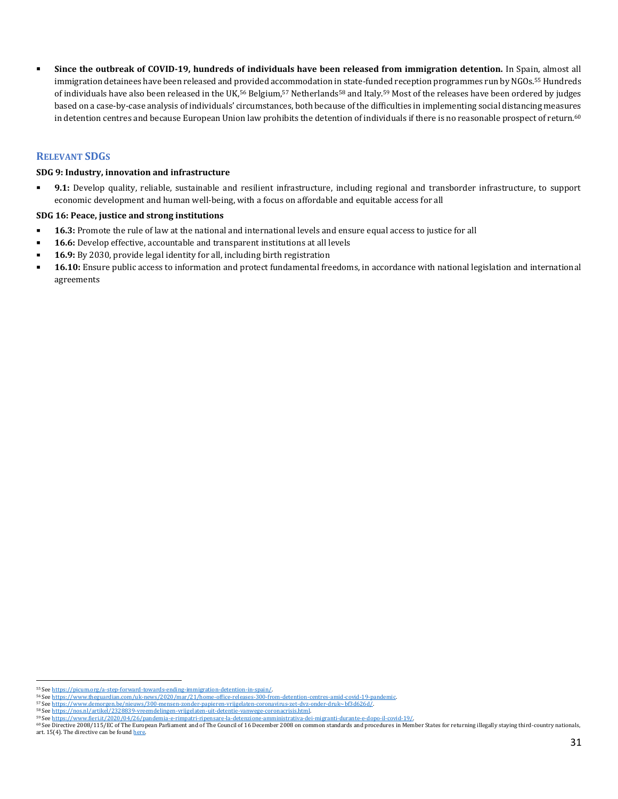**EXECUTE 19. In the outbreak of COVID-19, hundreds of individuals have been released from immigration detention.** In Spain, almost all immigration detainees have been released and provided accommodation in state-funded reception programmes run by NGOs.<sup>55</sup> Hundreds of individuals have also been released in the UK,<sup>56</sup> Belgium,<sup>57</sup> Netherlands<sup>58</sup> and Italy.<sup>59</sup> Most of the releases have been ordered by judges based on a case-by-case analysis of individuals' circumstances, both because of the difficulties in implementing social distancing measures in detention centres and because European Union law prohibits the detention of individuals if there is no reasonable prospect of return.<sup>60</sup>

## **RELEVANT SDGS**

#### **SDG 9: Industry, innovation and infrastructure**

▪ **9.1:** Develop quality, reliable, sustainable and resilient infrastructure, including regional and transborder infrastructure, to support economic development and human well-being, with a focus on affordable and equitable access for all

#### **SDG 16: Peace, justice and strong institutions**

- **16.3:** Promote the rule of law at the national and international levels and ensure equal access to justice for all
- 16.6: Develop effective, accountable and transparent institutions at all levels
- **16.9:** By 2030, provide legal identity for all, including birth registration
- **16.10:** Ensure public access to information and protect fundamental freedoms, in accordance with national legislation and international agreements

<sup>55</sup> Se[e https://picum.org/a-step-forward-towards-ending-immigration-detention-in-spain/.](https://picum.org/a-step-forward-towards-ending-immigration-detention-in-spain/) 

<sup>56</sup> Se[e https://www.theguardian.com/uk-news/2020/mar/21/home-office-releases-300-from-detention-centres-amid-covid-19-pandemic.](https://www.theguardian.com/uk-news/2020/mar/21/home-office-releases-300-from-detention-centres-amid-covid-19-pandemic) 

<sup>57</sup> Se[e https://www.demorgen.be/nieuws/300-mensen-zonder-papieren-vrijgelaten-coronavirus-zet-dvz-onder-druk~bf3d626d/.](https://www.demorgen.be/nieuws/300-mensen-zonder-papieren-vrijgelaten-coronavirus-zet-dvz-onder-druk~bf3d626d/)  <sup>58</sup> Se[e https://nos.nl/artikel/2328839-vreemdelingen-vrijgelaten-uit-detentie-vanwege-coronacrisis.html.](https://nos.nl/artikel/2328839-vreemdelingen-vrijgelaten-uit-detentie-vanwege-coronacrisis.html) 

<sup>&</sup>lt;sup>59</sup> See <u>https://www.fieri.it/2020/04/26/pandemia-e-rimpatri-ripensare-la-detenzione-amministrativa-dei-migranti-durante-e-dopo-il-covid-19/.<br><sup>60</sup> See Directive 2008/115/EC of The European Parliament and of The Council of</u> art. 15(4). The directive can be found here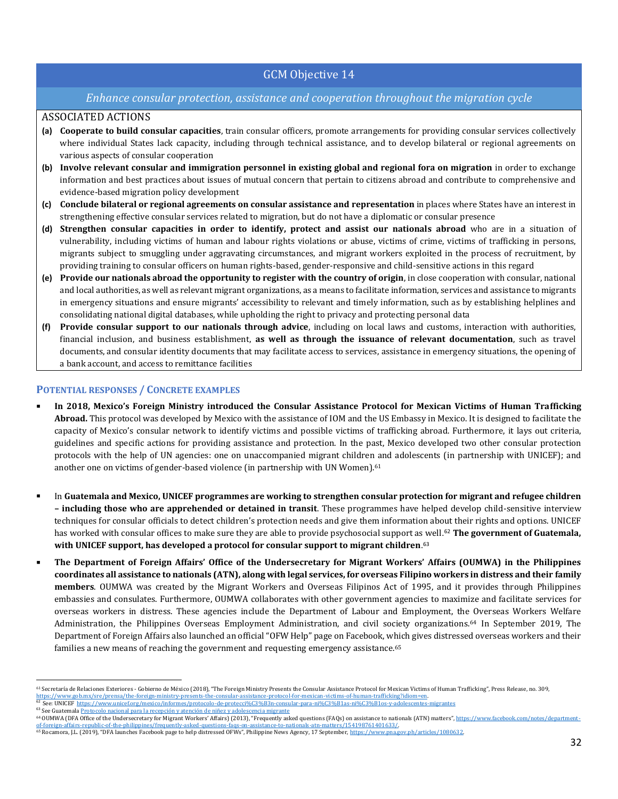## *Enhance consular protection, assistance and cooperation throughout the migration cycle*

## ASSOCIATED ACTIONS

- **(a) Cooperate to build consular capacities**, train consular officers, promote arrangements for providing consular services collectively where individual States lack capacity, including through technical assistance, and to develop bilateral or regional agreements on various aspects of consular cooperation
- **(b) Involve relevant consular and immigration personnel in existing global and regional fora on migration** in order to exchange information and best practices about issues of mutual concern that pertain to citizens abroad and contribute to comprehensive and evidence-based migration policy development
- **(c) Conclude bilateral or regional agreements on consular assistance and representation** in places where States have an interest in strengthening effective consular services related to migration, but do not have a diplomatic or consular presence
- **(d) Strengthen consular capacities in order to identify, protect and assist our nationals abroad** who are in a situation of vulnerability, including victims of human and labour rights violations or abuse, victims of crime, victims of trafficking in persons, migrants subject to smuggling under aggravating circumstances, and migrant workers exploited in the process of recruitment, by providing training to consular officers on human rights-based, gender-responsive and child-sensitive actions in this regard
- **(e) Provide our nationals abroad the opportunity to register with the country of origin**, in close cooperation with consular, national and local authorities, as well as relevant migrant organizations, as a means to facilitate information, services and assistance to migrants in emergency situations and ensure migrants' accessibility to relevant and timely information, such as by establishing helplines and consolidating national digital databases, while upholding the right to privacy and protecting personal data
- **(f) Provide consular support to our nationals through advice**, including on local laws and customs, interaction with authorities, financial inclusion, and business establishment, **as well as through the issuance of relevant documentation**, such as travel documents, and consular identity documents that may facilitate access to services, assistance in emergency situations, the opening of a bank account, and access to remittance facilities

- **In 2018, Mexico's Foreign Ministry introduced the Consular Assistance Protocol for Mexican Victims of Human Trafficking Abroad.** This protocol was developed by Mexico with the assistance of IOM and the US Embassy in Mexico. It is designed to facilitate the capacity of Mexico's consular network to identify victims and possible victims of trafficking abroad. Furthermore, it lays out criteria, guidelines and specific actions for providing assistance and protection. In the past, Mexico developed two other consular protection protocols with the help of UN agencies: one on unaccompanied migrant children and adolescents (in partnership with UNICEF); and another one on victims of gender-based violence (in partnership with UN Women).<sup>61</sup>
- In Guatemala and Mexico, UNICEF programmes are working to strengthen consular protection for migrant and refugee children **– including those who are apprehended or detained in transit**. These programmes have helped develop child-sensitive interview techniques for consular officials to detect children's protection needs and give them information about their rights and options. UNICEF has worked with consular offices to make sure they are able to provide psychosocial support as well. <sup>62</sup> **The government of Guatemala, with UNICEF support, has developed a protocol for consular support to migrant children**. 63
- **The Department of Foreign Affairs' Office of the Undersecretary for Migrant Workers' Affairs (OUMWA) in the Philippines coordinates all assistance to nationals (ATN), along with legal services, for overseas Filipino workers in distress and their family members**. OUMWA was created by the Migrant Workers and Overseas Filipinos Act of 1995, and it provides through Philippines embassies and consulates. Furthermore, OUMWA collaborates with other government agencies to maximize and facilitate services for overseas workers in distress. These agencies include the Department of Labour and Employment, the Overseas Workers Welfare Administration, the Philippines Overseas Employment Administration, and civil society organizations.<sup>64</sup> In September 2019, The Department of Foreign Affairs also launched an official "OFW Help" page on Facebook, which gives distressed overseas workers and their families a new means of reaching the government and requesting emergency assistance.<sup>65</sup>

<sup>&</sup>lt;sup>61</sup> Secretaría de Relaciones Exteriores - Gobierno de México (2018), "The Foreign Ministry Presents the Consular Assistance Protocol for Mexican Victims of Human Trafficking", Press Release, no. 309, https://www.gob.mx/sr

[https://www.gob.mx/sre/prensa/the-foreign-ministry-presents-the-consular-assistance-protocol-for-mexican-victims-of-human-trafficking?idiom=en.](https://www.gob.mx/sre/prensa/the-foreign-ministry-presents-the-consular-assistance-protocol-for-mexican-victims-of-human-trafficking?idiom=en)<br><sup>62</sup> S**ee: UNICEF** https://www.unicef.org/mexico/informes/protocolo-de-protecc

<sup>&</sup>lt;sup>63</sup> See Guatemal[a Protocolo nacional para la recepción y atención de niñez](file:///C:/Users/keitel/Desktop/Final%20revision_guidance%20for%20governments/Protocolo%20nacional%20para%20la%20recepción%20y%20atención%20de%20niñez%20y%20adolescencia%20migrante) y adolescencia migrant

<sup>&</sup>lt;sup>64</sup> OUMWA (DFA Office of the Undersecretary for Migrant Workers' Affairs) (2013), "Frequently asked questions (FAQs) on assistance to nationals (ATN) matters", https://www.facebook.com/notes/department [of-foreign-affairs-republic-of-the-philippines/frequently-asked-questions-faqs-on-assistance-to-nationals-atn-matters/154198761401633/.](https://www.facebook.com/notes/department-of-foreign-affairs-republic-of-the-philippines/frequently-asked-questions-faqs-on-assistance-to-nationals-atn-matters/154198761401633/)

<sup>&</sup>lt;sup>65</sup> Rocamora, J.L. (2019), "DFA launches Facebook page to help distressed OFWs", Philippine News Agency, 17 September, [https://www.pna.gov.ph/articles/1080632.](https://www.pna.gov.ph/articles/1080632)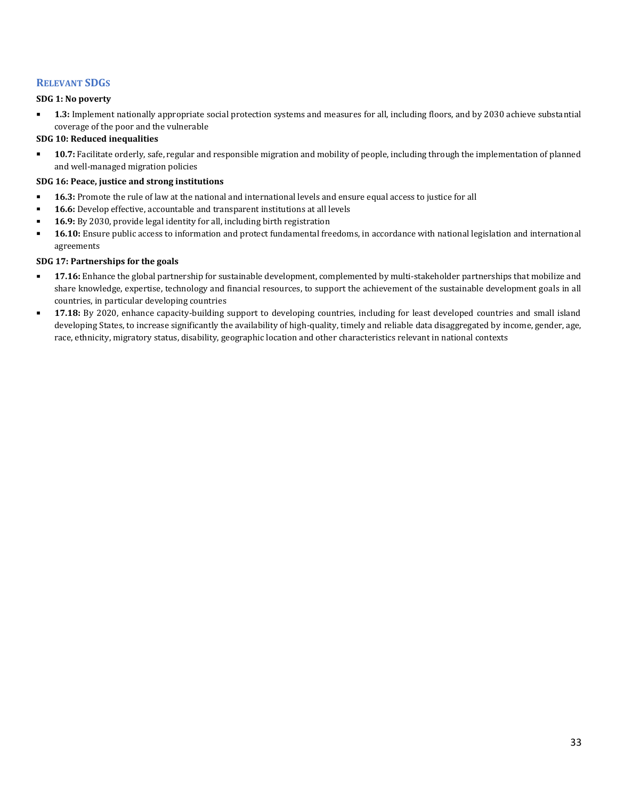### **SDG 1: No poverty**

■ **1.3:** Implement nationally appropriate social protection systems and measures for all, including floors, and by 2030 achieve substantial coverage of the poor and the vulnerable

## **SDG 10: Reduced inequalities**

**• 10.7:** Facilitate orderly, safe, regular and responsible migration and mobility of people, including through the implementation of planned and well-managed migration policies

### **SDG 16: Peace, justice and strong institutions**

- **16.3:** Promote the rule of law at the national and international levels and ensure equal access to justice for all
- **16.6:** Develop effective, accountable and transparent institutions at all levels
- 16.9: By 2030, provide legal identity for all, including birth registration
- **16.10:** Ensure public access to information and protect fundamental freedoms, in accordance with national legislation and international agreements

### **SDG 17: Partnerships for the goals**

- **17.16:** Enhance the global partnership for sustainable development, complemented by multi-stakeholder partnerships that mobilize and share knowledge, expertise, technology and financial resources, to support the achievement of the sustainable development goals in all countries, in particular developing countries
- **17.18:** By 2020, enhance capacity-building support to developing countries, including for least developed countries and small island developing States, to increase significantly the availability of high-quality, timely and reliable data disaggregated by income, gender, age, race, ethnicity, migratory status, disability, geographic location and other characteristics relevant in national contexts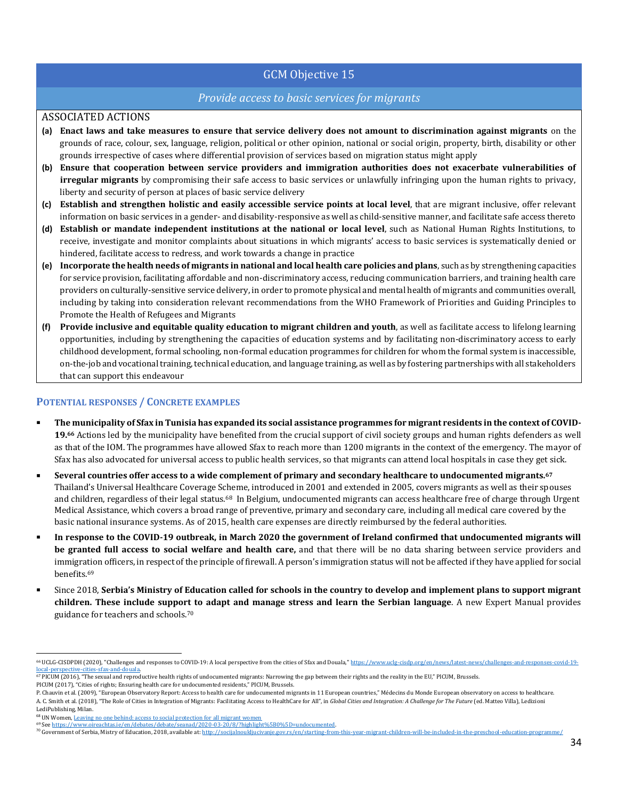## *Provide access to basic services for migrants*

## ASSOCIATED ACTIONS

- **(a) Enact laws and take measures to ensure that service delivery does not amount to discrimination against migrants** on the grounds of race, colour, sex, language, religion, political or other opinion, national or social origin, property, birth, disability or other grounds irrespective of cases where differential provision of services based on migration status might apply
- **(b) Ensure that cooperation between service providers and immigration authorities does not exacerbate vulnerabilities of irregular migrants** by compromising their safe access to basic services or unlawfully infringing upon the human rights to privacy, liberty and security of person at places of basic service delivery
- **(c) Establish and strengthen holistic and easily accessible service points at local level**, that are migrant inclusive, offer relevant information on basic services in a gender- and disability-responsive as well as child-sensitive manner, and facilitate safe access thereto
- **(d) Establish or mandate independent institutions at the national or local level**, such as National Human Rights Institutions, to receive, investigate and monitor complaints about situations in which migrants' access to basic services is systematically denied or hindered, facilitate access to redress, and work towards a change in practice
- **(e) Incorporate the health needs of migrants in national and local health care policies and plans**, such as by strengthening capacities for service provision, facilitating affordable and non-discriminatory access, reducing communication barriers, and training health care providers on culturally-sensitive service delivery, in order to promote physical and mental health of migrants and communities overall, including by taking into consideration relevant recommendations from the WHO Framework of Priorities and Guiding Principles to Promote the Health of Refugees and Migrants
- **(f) Provide inclusive and equitable quality education to migrant children and youth**, as well as facilitate access to lifelong learning opportunities, including by strengthening the capacities of education systems and by facilitating non-discriminatory access to early childhood development, formal schooling, non-formal education programmes for children for whom the formal system is inaccessible, on-the-job and vocational training, technical education, and language training, as well as by fostering partnerships with all stakeholders that can support this endeavour

### **POTENTIAL RESPONSES / CONCRETE EXAMPLES**

- **The municipality of Sfax in Tunisia has expanded its social assistance programmes for migrant residents in the context of COVID-19.<sup>66</sup>** Actions led by the municipality have benefited from the crucial support of civil society groups and human rights defenders as well as that of the IOM. The programmes have allowed Sfax to reach more than 1200 migrants in the context of the emergency. The mayor of Sfax has also advocated for universal access to public health services, so that migrants can attend local hospitals in case they get sick.
- **Several countries offer access to a wide complement of primary and secondary healthcare to undocumented migrants.<sup>67</sup>** Thailand's Universal Healthcare Coverage Scheme, introduced in 2001 and extended in 2005, covers migrants as well as their spouses and children, regardless of their legal status.<sup>68</sup> In Belgium, undocumented migrants can access healthcare free of charge through Urgent Medical Assistance, which covers a broad range of preventive, primary and secondary care, including all medical care covered by the basic national insurance systems. As of 2015, health care expenses are directly reimbursed by the federal authorities.
- In response to the COVID-19 outbreak, in March 2020 the government of Ireland confirmed that undocumented migrants will **be granted full access to social welfare and health care,** and that there will be no data sharing between service providers and immigration officers, in respect of the principle of firewall. A person's immigration status will not be affected if they have applied for social benefits.<sup>69</sup>
- Since 2018, **Serbia's Ministry of Education called for schools in the country to develop and implement plans to support migrant children. These include support to adapt and manage stress and learn the Serbian language**. A new Expert Manual provides guidance for teachers and schools.<sup>70</sup>

LediPublishing, Milan.

<sup>66</sup> UCLG-CISDPDH (2020), "Challenges and responses to COVID-19: A local perspective from the cities of Sfax and Douala,[" https://www.uclg-cisdp.org/en/news/latest-news/challenges-and-responses-covid-19-](https://www.uclg-cisdp.org/en/news/latest-news/challenges-and-responses-covid-19-local-perspective-cities-sfax-and-douala) <u>local-perspective-cities-sfax-and-douala</u>.<br><sup>67</sup> PICUM (2016), "The sexual and reproductive health rights of undocumented migrants: Narrowing the gap between their rights and the reality in the EU," PICUM, Brussels.

PICUM (2017), "Cities of rights; Ensuring health care for undocumented residents," PICUM, Brussels.

P. Chauvin et al. (2009), "European Observatory Report: Access to health care for undocumented migrants in 11 European countries," Médecins du Monde European observatory on access to healthcare. A. C. Smith et al. (2018), "The Role of Cities in Integration of Migrants: Facilitating Access to HealthCare for All", in *Global Cities and Integration: A Challenge for The Future* (ed. Matteo Villa), Ledizioni

<sup>68</sup> UN Women[, Leaving no one behind: access to social protection for all migrant women](https://www.unwomen.org/-/media/headquarters/attachments/sections/library/publications/2020/policy%20brief%2014_migration%20and%20social%20protection_rnd3_web_011320.pdf?la=en&vs=3633)

<sup>69</sup> Se[e https://www.oireachtas.ie/en/debates/debate/seanad/2020-03-20/8/?highlight%5B0%5D=undocumented.](https://www.oireachtas.ie/en/debates/debate/seanad/2020-03-20/8/?highlight%5B0%5D=undocumented) 

<sup>70</sup> Government of Serbia, Mistry of Education, 2018, available at[: http://socijalnoukljucivanje.gov.rs/en/starting-from-this-year-migrant-children-will-be-included-in-the-preschool-education-programme/](http://socijalnoukljucivanje.gov.rs/en/starting-from-this-year-migrant-children-will-be-included-in-the-preschool-education-programme/)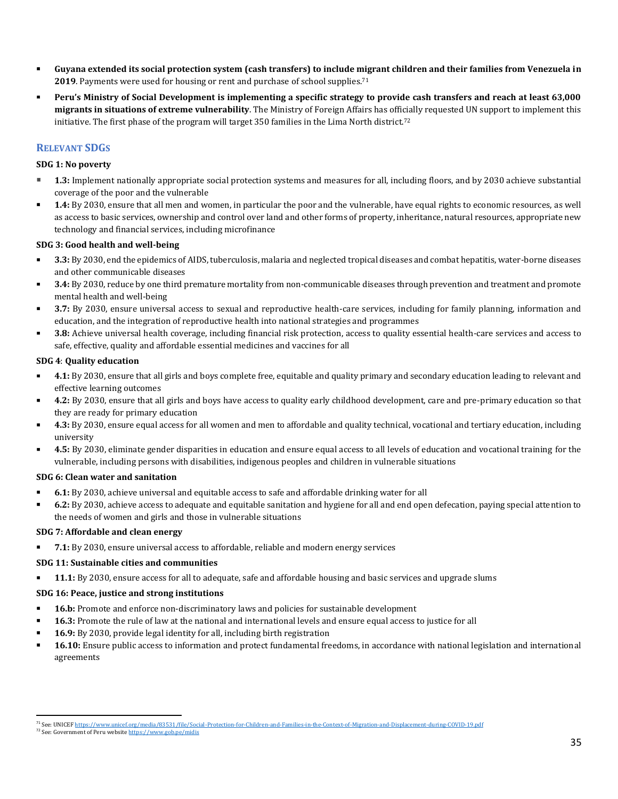- **Guyana extended its social protection system (cash transfers) to include migrant children and their families from Venezuela in 2019**. Payments were used for housing or rent and purchase of school supplies.<sup>71</sup>
- **Peru's Ministry of Social Development is implementing a specific strategy to provide cash transfers and reach at least 63,000 migrants in situations of extreme vulnerability**. The Ministry of Foreign Affairs has officially requested UN support to implement this initiative. The first phase of the program will target 350 families in the Lima North district.<sup>72</sup>

### **SDG 1: No poverty**

- **1.3:** Implement nationally appropriate social protection systems and measures for all, including floors, and by 2030 achieve substantial coverage of the poor and the vulnerable
- 1.4: By 2030, ensure that all men and women, in particular the poor and the vulnerable, have equal rights to economic resources, as well as access to basic services, ownership and control over land and other forms of property, inheritance, natural resources, appropriate new technology and financial services, including microfinance

#### **SDG 3: Good health and well-being**

- 3.3: By 2030, end the epidemics of AIDS, tuberculosis, malaria and neglected tropical diseases and combat hepatitis, water-borne diseases and other communicable diseases
- **3.4:** By 2030, reduce by one third premature mortality from non-communicable diseases through prevention and treatment and promote mental health and well-being
- **3.7:** By 2030, ensure universal access to sexual and reproductive health-care services, including for family planning, information and education, and the integration of reproductive health into national strategies and programmes
- 3.8: Achieve universal health coverage, including financial risk protection, access to quality essential health-care services and access to safe, effective, quality and affordable essential medicines and vaccines for all

### **SDG 4**: **Quality education**

- **4.1:** By 2030, ensure that all girls and boys complete free, equitable and quality primary and secondary education leading to relevant and effective learning outcomes
- **4.2:** By 2030, ensure that all girls and boys have access to quality early childhood development, care and pre-primary education so that they are ready for primary education
- **4.3:** By 2030, ensure equal access for all women and men to affordable and quality technical, vocational and tertiary education, including university
- 4.5: By 2030, eliminate gender disparities in education and ensure equal access to all levels of education and vocational training for the vulnerable, including persons with disabilities, indigenous peoples and children in vulnerable situations

#### **SDG 6: Clean water and sanitation**

- **6.1:** By 2030, achieve universal and equitable access to safe and affordable drinking water for all
- **6.2:** By 2030, achieve access to adequate and equitable sanitation and hygiene for all and end open defecation, paying special attention to the needs of women and girls and those in vulnerable situations

### **SDG 7: Affordable and clean energy**

■ **7.1:** By 2030, ensure universal access to affordable, reliable and modern energy services

### **SDG 11: Sustainable cities and communities**

11.1: By 2030, ensure access for all to adequate, safe and affordable housing and basic services and upgrade slums

### **SDG 16: Peace, justice and strong institutions**

- **16.b:** Promote and enforce non-discriminatory laws and policies for sustainable development
- **16.3:** Promote the rule of law at the national and international levels and ensure equal access to justice for all
- 16.9: By 2030, provide legal identity for all, including birth registration
- **16.10:** Ensure public access to information and protect fundamental freedoms, in accordance with national legislation and international agreements

<sup>&</sup>lt;sup>71</sup> See: UNICE[F https://www.unicef.org/media/83531/file/Social-Protection-for-Children-and-Families-in-the-Context-of-Migration-and-Displacement-during-COVID-19.pdf](https://www.unicef.org/media/83531/file/Social-Protection-for-Children-and-Families-in-the-Context-of-Migration-and-Displacement-during-COVID-19.pdf)

<sup>72</sup> See: Government of Peru websit[e https://www.gob.pe/midis](https://www.gob.pe/midis)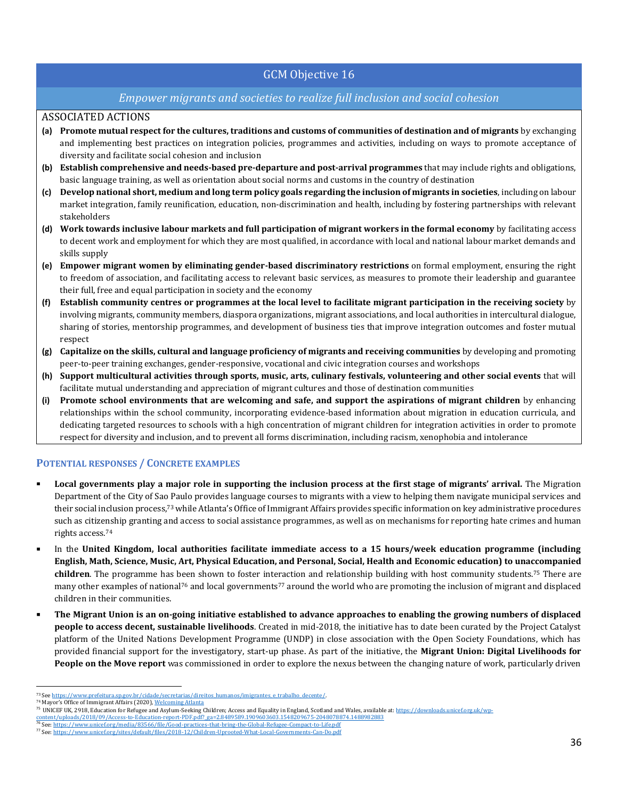## *Empower migrants and societies to realize full inclusion and social cohesion*

## ASSOCIATED ACTIONS

- **(a) Promote mutual respect for the cultures, traditions and customs of communities of destination and of migrants** by exchanging and implementing best practices on integration policies, programmes and activities, including on ways to promote acceptance of diversity and facilitate social cohesion and inclusion
- **(b) Establish comprehensive and needs-based pre-departure and post-arrival programmes** that may include rights and obligations, basic language training, as well as orientation about social norms and customs in the country of destination
- **(c) Develop national short, medium and long term policy goals regarding the inclusion of migrants in societies**, including on labour market integration, family reunification, education, non-discrimination and health, including by fostering partnerships with relevant stakeholders
- **(d) Work towards inclusive labour markets and full participation of migrant workers in the formal economy** by facilitating access to decent work and employment for which they are most qualified, in accordance with local and national labour market demands and skills supply
- **(e) Empower migrant women by eliminating gender-based discriminatory restrictions** on formal employment, ensuring the right to freedom of association, and facilitating access to relevant basic services, as measures to promote their leadership and guarantee their full, free and equal participation in society and the economy
- **(f) Establish community centres or programmes at the local level to facilitate migrant participation in the receiving society** by involving migrants, community members, diaspora organizations, migrant associations, and local authorities in intercultural dialogue, sharing of stories, mentorship programmes, and development of business ties that improve integration outcomes and foster mutual respect
- **(g) Capitalize on the skills, cultural and language proficiency of migrants and receiving communities** by developing and promoting peer-to-peer training exchanges, gender-responsive, vocational and civic integration courses and workshops
- **(h) Support multicultural activities through sports, music, arts, culinary festivals, volunteering and other social events** that will facilitate mutual understanding and appreciation of migrant cultures and those of destination communities
- **(i) Promote school environments that are welcoming and safe, and support the aspirations of migrant children** by enhancing relationships within the school community, incorporating evidence-based information about migration in education curricula, and dedicating targeted resources to schools with a high concentration of migrant children for integration activities in order to promote respect for diversity and inclusion, and to prevent all forms discrimination, including racism, xenophobia and intolerance

## **POTENTIAL RESPONSES / CONCRETE EXAMPLES**

- **Local governments play a major role in supporting the inclusion process at the first stage of migrants' arrival.** The Migration Department of the City of Sao Paulo provides language courses to migrants with a view to helping them navigate municipal services and their social inclusion process,<sup>73</sup> while Atlanta's Office of Immigrant Affairs provides specific information on key administrative procedures such as citizenship granting and access to social assistance programmes, as well as on mechanisms for reporting hate crimes and human rights access.<sup>74</sup>
- In the **United Kingdom, local authorities facilitate immediate access to a 15 hours/week education programme (including English, Math, Science, Music, Art, Physical Education, and Personal, Social, Health and Economic education) to unaccompanied children**. The programme has been shown to foster interaction and relationship building with host community students.<sup>75</sup> There are many other examples of national<sup>76</sup> and local governments<sup>77</sup> around the world who are promoting the inclusion of migrant and displaced children in their communities.
- The Migrant Union is an on-going initiative established to advance approaches to enabling the growing numbers of displaced **people to access decent, sustainable livelihoods**. Created in mid-2018, the initiative has to date been curated by the Project Catalyst platform of the United Nations Development Programme (UNDP) in close association with the Open Society Foundations, which has provided financial support for the investigatory, start-up phase. As part of the initiative, the **Migrant Union: Digital Livelihoods for People on the Move report** was commissioned in order to explore the nexus between the changing nature of work, particularly driven

[content/uploads/2018/09/Access-to-Education-report-PDF.pdf?\\_ga=2.8489589.1909603603.1548209675-2048078874.1488982883](https://downloads.unicef.org.uk/wp-content/uploads/2018/09/Access-to-Education-report-PDF.pdf?_ga=2.8489589.1909603603.1548209675-2048078874.1488982883)

<sup>73</sup> See https://www.prefeitura.sp.gov.br/cidade/secretarias/direitos\_humanos/imigrantes\_e\_trabalho\_decente/.

<sup>74</sup> Mayor's Office of Immigrant Affairs (2020), [Welcoming Atlanta](https://www.welcomingatlanta.com/)

<sup>&</sup>lt;sup>75</sup> UNICEF UK, 2918, Education for Refugee and Asylum-Seeking Children; Access and Equality in England, Scotland and Wales, available at: <u>https://downloads.unicef.org.uk/wp-</u>

<sup>76</sup> See[: https://www.unicef.org/media/83566/file/Good-practices-that-bring-the-Global-Refugee-Compact-to-Life.pdf](https://www.unicef.org/media/83566/file/Good-practices-that-bring-the-Global-Refugee-Compact-to-Life.pdf) <sup>77</sup> See[: https://www.unicef.org/sites/default/files/2018-12/Children-Uprooted-What-Local-Governments-Can-Do.pdf](https://www.unicef.org/sites/default/files/2018-12/Children-Uprooted-What-Local-Governments-Can-Do.pdf)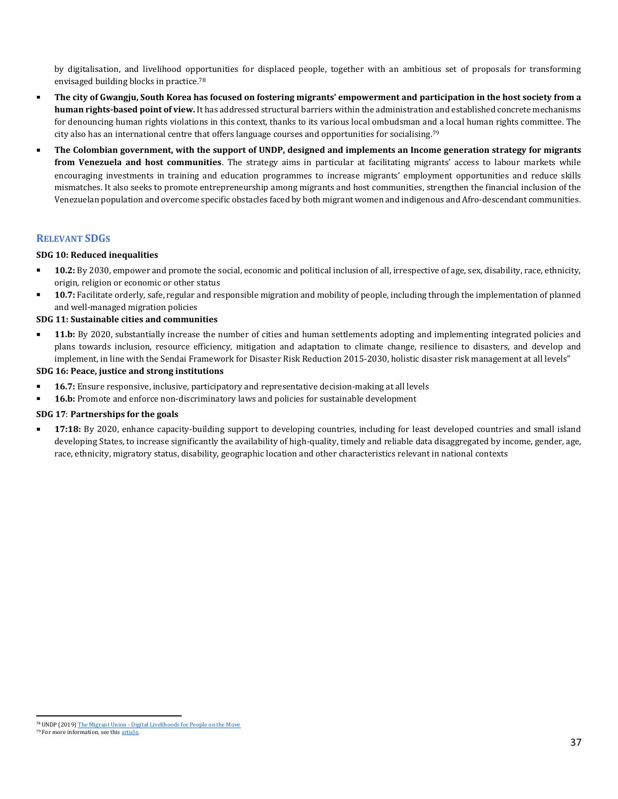by digitalisation, and livelihood opportunities for displaced people, together with an ambitious set of proposals for transforming envisaged building blocks in practice.<sup>78</sup>

- **The city of Gwangju, South Korea has focused on fostering migrants' empowerment and participation in the host society from a human rights-based point of view.** It has addressed structural barriers within the administration and established concrete mechanisms for denouncing human rights violations in this context, thanks to its various local ombudsman and a local human rights committee. The city also has an international centre that offers language courses and opportunities for socialising.<sup>79</sup>
- The Colombian government, with the support of UNDP, designed and implements an Income generation strategy for migrants **from Venezuela and host communities**. The strategy aims in particular at facilitating migrants' access to labour markets while encouraging investments in training and education programmes to increase migrants' employment opportunities and reduce skills mismatches. It also seeks to promote entrepreneurship among migrants and host communities, strengthen the financial inclusion of the Venezuelan population and overcome specific obstacles faced by both migrant women and indigenous and Afro-descendant communities.

## **RELEVANT SDGS**

#### **SDG 10: Reduced inequalities**

- **10.2:** By 2030, empower and promote the social, economic and political inclusion of all, irrespective of age, sex, disability, race, ethnicity, origin, religion or economic or other status
- 10.7: Facilitate orderly, safe, regular and responsible migration and mobility of people, including through the implementation of planned and well-managed migration policies

#### **SDG 11: Sustainable cities and communities**

■ **11.b:** By 2020, substantially increase the number of cities and human settlements adopting and implementing integrated policies and plans towards inclusion, resource efficiency, mitigation and adaptation to climate change, resilience to disasters, and develop and implement, in line with the Sendai Framework for Disaster Risk Reduction 2015-2030, holistic disaster risk management at all levels"

### **SDG 16: Peace, justice and strong institutions**

- **16.7:** Ensure responsive, inclusive, participatory and representative decision-making at all levels
- **16.b:** Promote and enforce non-discriminatory laws and policies for sustainable development

#### **SDG 17**: **Partnerships for the goals**

▪ **17:18:** By 2020, enhance capacity-building support to developing countries, including for least developed countries and small island developing States, to increase significantly the availability of high-quality, timely and reliable data disaggregated by income, gender, age, race, ethnicity, migratory status, disability, geographic location and other characteristics relevant in national contexts

<sup>&</sup>lt;sup>78</sup> UNDP (2019) The Migrant Union - [Digital Livelihoods for People on the Move](https://www.undp.org/content/undp/en/home/librarypage/poverty-reduction/the-migrant-union-.html)

<sup>79</sup> For more information, see thi[s article.](https://www.google.com/url?sa=t&rct=j&q=&esrc=s&source=web&cd=5&cad=rja&uact=8&ved=2ahUKEwjulrnRhaTpAhWFCWMBHevHDCQQFjAEegQIBRAB&url=https%3A%2F%2Fwww.cidob.org%2Fen%2Fcontent%2Fdownload%2F74410%2F2372921%2Fversion%2F2%2Ffile%2F105-114_SOO%2520A%2520KIM_ANG.pdf&usg=AOvVaw0scBr2hD9d9kyMfU6ZWdDh)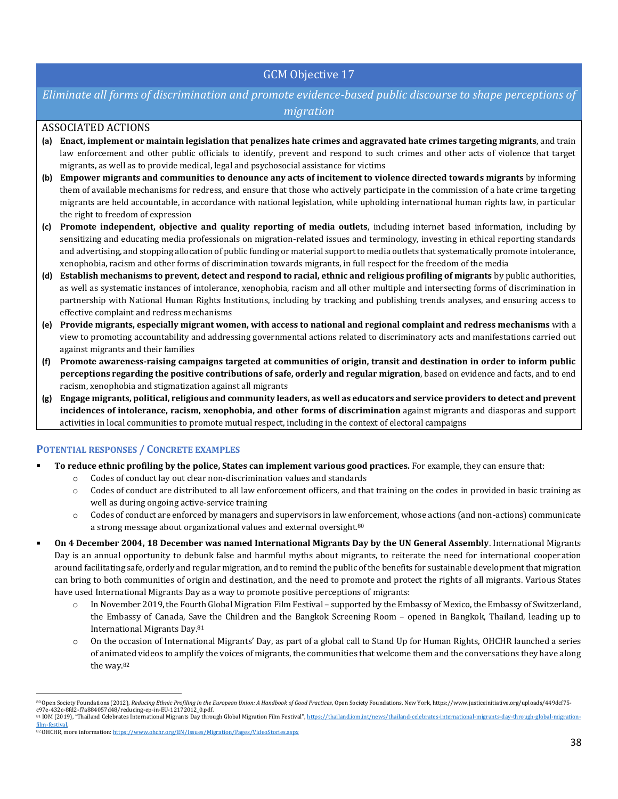## *Eliminate all forms of discrimination and promote evidence-based public discourse to shape perceptions of migration*

## ASSOCIATED ACTIONS

- **(a) Enact, implement or maintain legislation that penalizes hate crimes and aggravated hate crimes targeting migrants**, and train law enforcement and other public officials to identify, prevent and respond to such crimes and other acts of violence that target migrants, as well as to provide medical, legal and psychosocial assistance for victims
- **(b) Empower migrants and communities to denounce any acts of incitement to violence directed towards migrants** by informing them of available mechanisms for redress, and ensure that those who actively participate in the commission of a hate crime targeting migrants are held accountable, in accordance with national legislation, while upholding international human rights law, in particular the right to freedom of expression
- **(c) Promote independent, objective and quality reporting of media outlets**, including internet based information, including by sensitizing and educating media professionals on migration-related issues and terminology, investing in ethical reporting standards and advertising, and stopping allocation of public funding or material support to media outlets that systematically promote intolerance, xenophobia, racism and other forms of discrimination towards migrants, in full respect for the freedom of the media
- **(d) Establish mechanisms to prevent, detect and respond to racial, ethnic and religious profiling of migrants** by public authorities, as well as systematic instances of intolerance, xenophobia, racism and all other multiple and intersecting forms of discrimination in partnership with National Human Rights Institutions, including by tracking and publishing trends analyses, and ensuring access to effective complaint and redress mechanisms
- **(e) Provide migrants, especially migrant women, with access to national and regional complaint and redress mechanisms** with a view to promoting accountability and addressing governmental actions related to discriminatory acts and manifestations carried out against migrants and their families
- **(f) Promote awareness-raising campaigns targeted at communities of origin, transit and destination in order to inform public perceptions regarding the positive contributions of safe, orderly and regular migration**, based on evidence and facts, and to end racism, xenophobia and stigmatization against all migrants
- **(g) Engage migrants, political, religious and community leaders, as well as educators and service providers to detect and prevent incidences of intolerance, racism, xenophobia, and other forms of discrimination** against migrants and diasporas and support activities in local communities to promote mutual respect, including in the context of electoral campaigns

- **To reduce ethnic profiling by the police, States can implement various good practices.** For example, they can ensure that:
	- Codes of conduct lay out clear non-discrimination values and standards
	- o Codes of conduct are distributed to all law enforcement officers, and that training on the codes in provided in basic training as well as during ongoing active-service training
	- o Codes of conduct are enforced by managers and supervisors in law enforcement, whose actions (and non-actions) communicate a strong message about organizational values and external oversight.<sup>80</sup>
- **On 4 December 2004, 18 December was named International Migrants Day by the UN General Assembly**. International Migrants Day is an annual opportunity to debunk false and harmful myths about migrants, to reiterate the need for international cooperation around facilitating safe, orderly and regular migration, and to remind the public of the benefits for sustainable development that migration can bring to both communities of origin and destination, and the need to promote and protect the rights of all migrants. Various States have used International Migrants Day as a way to promote positive perceptions of migrants:
	- In November 2019, the Fourth Global Migration Film Festival supported by the Embassy of Mexico, the Embassy of Switzerland, the Embassy of Canada, Save the Children and the Bangkok Screening Room – opened in Bangkok, Thailand, leading up to International Migrants Day. 81
	- o On the occasion of International Migrants' Day, as part of a global call to Stand Up for Human Rights, OHCHR launched a series of animated videos to amplify the voices of migrants, the communities that welcome them and the conversations they have along the way.<sup>82</sup>

<sup>80</sup> Open Society Foundations (2012), Reducing Ethnic Profiling in the European Union: A Handbook of Good Practices, Open Society Foundations, New York, https://www.justiceinitiative.org/uploads/449dcf75c97e-432c-8fd2-f7a884057d48/reducing-ep-in-EU-12172012\_0.pdf.<br><sup>81</sup> IOM (2019), "Thailand Celebrates International Migrants Day through Global Migration Film Festival", <u>https://thailand.iom.int/news/thailand-celebrates-int</u>

film-festival.<br><sup>82</sup> OHCHR, more information: <u>https://www.ohchr.org/EN/Issues/Migration/Pages/VideoStories.aspx</u>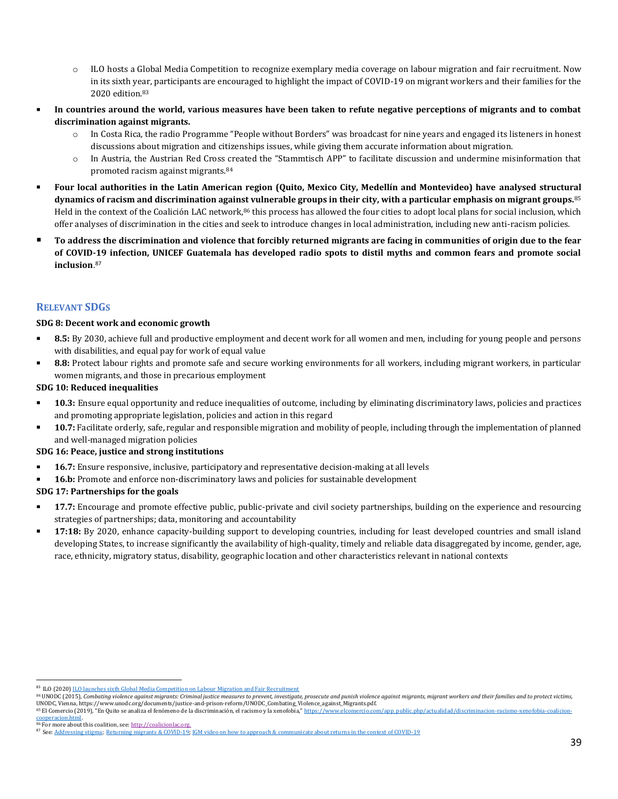- o ILO hosts a Global Media Competition to recognize exemplary media coverage on labour migration and fair recruitment. Now in its sixth year, participants are encouraged to highlight the impact of COVID-19 on migrant workers and their families for the 2020 edition.<sup>83</sup>
- In countries around the world, various measures have been taken to refute negative perceptions of migrants and to combat **discrimination against migrants.**
	- o In Costa Rica, the radio Programme "People without Borders" was broadcast for nine years and engaged its listeners in honest discussions about migration and citizenships issues, while giving them accurate information about migration.
	- o In Austria, the Austrian Red Cross created the "Stammtisch APP" to facilitate discussion and undermine misinformation that promoted racism against migrants.<sup>84</sup>
- **Four local authorities in the Latin American region (Quito, Mexico City, Medellín and Montevideo) have analysed structural dynamics of racism and discrimination against vulnerable groups in their city, with a particular emphasis on migrant groups.**<sup>85</sup> Held in the context of the Coalición LAC network,<sup>86</sup> this process has allowed the four cities to adopt local plans for social inclusion, which offer analyses of discrimination in the cities and seek to introduce changes in local administration, including new anti-racism policies.
- **To address the discrimination and violence that forcibly returned migrants are facing in communities of origin due to the fear of COVID-19 infection, UNICEF Guatemala has developed radio spots to distil myths and common fears and promote social inclusion**. 87

### **SDG 8: Decent work and economic growth**

- 8.5: By 2030, achieve full and productive employment and decent work for all women and men, including for young people and persons with disabilities, and equal pay for work of equal value
- **8.8:** Protect labour rights and promote safe and secure working environments for all workers, including migrant workers, in particular women migrants, and those in precarious employment

### **SDG 10: Reduced inequalities**

- 10.3: Ensure equal opportunity and reduce inequalities of outcome, including by eliminating discriminatory laws, policies and practices and promoting appropriate legislation, policies and action in this regard
- **10.7:** Facilitate orderly, safe, regular and responsible migration and mobility of people, including through the implementation of planned and well-managed migration policies

#### **SDG 16: Peace, justice and strong institutions**

- **16.7:** Ensure responsive, inclusive, participatory and representative decision-making at all levels
- **16.b:** Promote and enforce non-discriminatory laws and policies for sustainable development

### **SDG 17: Partnerships for the goals**

- 17.7: Encourage and promote effective public, public-private and civil society partnerships, building on the experience and resourcing strategies of partnerships; data, monitoring and accountability
- **17:18:** By 2020, enhance capacity-building support to developing countries, including for least developed countries and small island developing States, to increase significantly the availability of high-quality, timely and reliable data disaggregated by income, gender, age, race, ethnicity, migratory status, disability, geographic location and other characteristics relevant in national contexts

 $6$  For more about this coalition, see: http://coalicionlac.org

<sup>83</sup> ILO (2020) [ILO launches sixth Global Media Competition on Labour Migration and Fair Recruitment](https://www.ilo.org/global/topics/labour-migration/news-statements/WCMS_755234/lang--en/index.htm)

<sup>84</sup> UNODC (2015), Combating violence against migrants: Criminal justice measures to prevent, investigate, prosecute and punish violence against migrants, migrant workers and their families and to protect victims, UNODC, Vienna, https://www.unodc.org/documents/justice-and-prison-reform/UNODC\_Combating\_Violence\_against\_Migrants.pdf.

<sup>85</sup> El Comercio (2019), "En Quito se analiza el fenómeno de la discriminación, el racismo y la xenofobia,[" https://www.elcomercio.com/app\\_public.php/actualidad/discriminacion-racismo-xenofobia-coalicion](https://www.elcomercio.com/app_public.php/actualidad/discriminacion-racismo-xenofobia-coalicion-cooperacion.html)[cooperacion.html.](https://www.elcomercio.com/app_public.php/actualidad/discriminacion-racismo-xenofobia-coalicion-cooperacion.html) 

<sup>87</sup> See[: Addressing stigma;](https://soundcloud.com/user-508433246/5-reduccion-de-estigma?in=user-508433246/sets/proteccion-a-la-ninez-y-adolescencia-frente-a-covid19) [Returning migrants & COVID-19;](https://soundcloud.com/user-508433246/4-personas-que-han-migrado?in=user-508433246/sets/proteccion-a-la-ninez-y-adolescencia-frente-a-covid19) [IGM video on how to approach & communicate about returns in the context of COVID-19](https://www.youtube.com/watch?v=00ECIzrDua4&feature=youtu.be)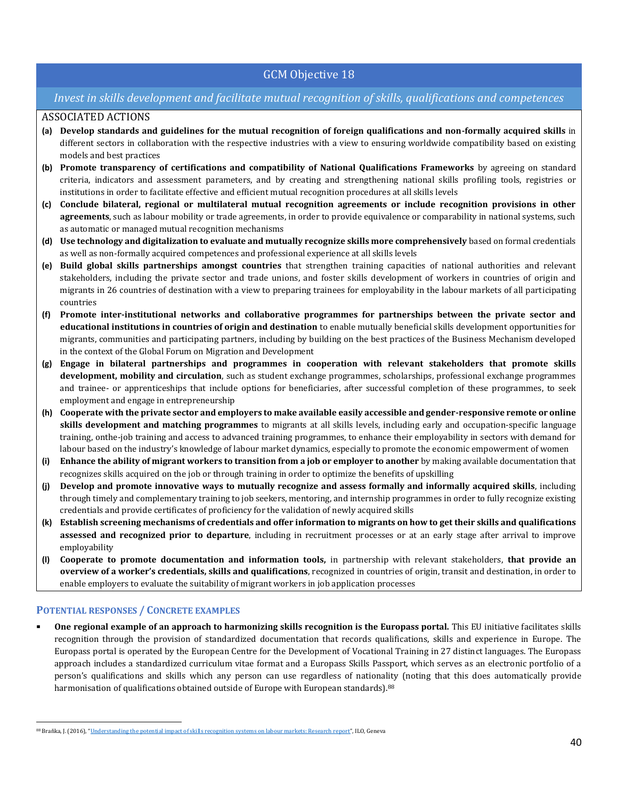## *Invest in skills development and facilitate mutual recognition of skills, qualifications and competences*

## ASSOCIATED ACTIONS

- **(a) Develop standards and guidelines for the mutual recognition of foreign qualifications and non-formally acquired skills** in different sectors in collaboration with the respective industries with a view to ensuring worldwide compatibility based on existing models and best practices
- **(b) Promote transparency of certifications and compatibility of National Qualifications Frameworks** by agreeing on standard criteria, indicators and assessment parameters, and by creating and strengthening national skills profiling tools, registries or institutions in order to facilitate effective and efficient mutual recognition procedures at all skills levels
- **(c) Conclude bilateral, regional or multilateral mutual recognition agreements or include recognition provisions in other agreements**, such as labour mobility or trade agreements, in order to provide equivalence or comparability in national systems, such as automatic or managed mutual recognition mechanisms
- **(d) Use technology and digitalization to evaluate and mutually recognize skills more comprehensively** based on formal credentials as well as non-formally acquired competences and professional experience at all skills levels
- **(e) Build global skills partnerships amongst countries** that strengthen training capacities of national authorities and relevant stakeholders, including the private sector and trade unions, and foster skills development of workers in countries of origin and migrants in 26 countries of destination with a view to preparing trainees for employability in the labour markets of all participating countries
- **(f) Promote inter-institutional networks and collaborative programmes for partnerships between the private sector and educational institutions in countries of origin and destination** to enable mutually beneficial skills development opportunities for migrants, communities and participating partners, including by building on the best practices of the Business Mechanism developed in the context of the Global Forum on Migration and Development
- **(g) Engage in bilateral partnerships and programmes in cooperation with relevant stakeholders that promote skills development, mobility and circulation**, such as student exchange programmes, scholarships, professional exchange programmes and trainee- or apprenticeships that include options for beneficiaries, after successful completion of these programmes, to seek employment and engage in entrepreneurship
- **(h) Cooperate with the private sector and employers to make available easily accessible and gender-responsive remote or online skills development and matching programmes** to migrants at all skills levels, including early and occupation-specific language training, onthe-job training and access to advanced training programmes, to enhance their employability in sectors with demand for labour based on the industry's knowledge of labour market dynamics, especially to promote the economic empowerment of women
- **(i) Enhance the ability of migrant workers to transition from a job or employer to another** by making available documentation that recognizes skills acquired on the job or through training in order to optimize the benefits of upskilling
- **(j) Develop and promote innovative ways to mutually recognize and assess formally and informally acquired skills**, including through timely and complementary training to job seekers, mentoring, and internship programmes in order to fully recognize existing credentials and provide certificates of proficiency for the validation of newly acquired skills
- **(k) Establish screening mechanisms of credentials and offer information to migrants on how to get their skills and qualifications assessed and recognized prior to departure**, including in recruitment processes or at an early stage after arrival to improve employability
- **(l) Cooperate to promote documentation and information tools,** in partnership with relevant stakeholders, **that provide an overview of a worker's credentials, skills and qualifications**, recognized in countries of origin, transit and destination, in order to enable employers to evaluate the suitability of migrant workers in job application processes

### **POTENTIAL RESPONSES / CONCRETE EXAMPLES**

▪ **One regional example of an approach to harmonizing skills recognition is the Europass portal.** This EU initiative facilitates skills recognition through the provision of standardized documentation that records qualifications, skills and experience in Europe. The Europass portal is operated by the European Centre for the Development of Vocational Training in 27 distinct languages. The Europass approach includes a standardized curriculum vitae format and a Europass Skills Passport, which serves as an electronic portfolio of a person's qualifications and skills which any person can use regardless of nationality (noting that this does automatically provide harmonisation of qualifications obtained outside of Europe with European standards).<sup>88</sup>

<sup>88</sup> Braňka, J. (2016), "[Understanding the potential impact of skills recognition systems on labour markets: Research report](https://www.ilo.org/wcmsp5/groups/public/---ed_emp/---ifp_skills/documents/publication/wcms_532417.pdf)", ILO, Geneva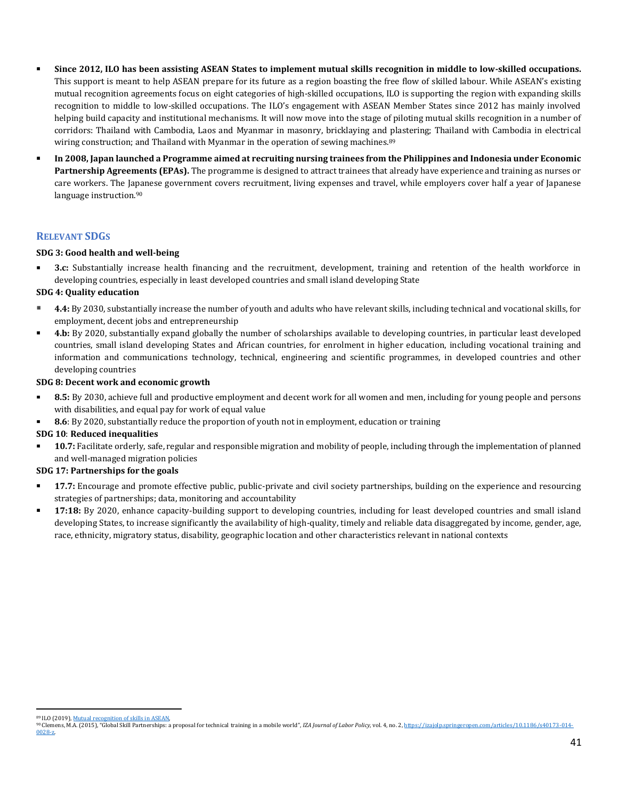- Since 2012, ILO has been assisting ASEAN States to implement mutual skills recognition in middle to low-skilled occupations. This support is meant to help ASEAN prepare for its future as a region boasting the free flow of skilled labour. While ASEAN's existing mutual recognition agreements focus on eight categories of high-skilled occupations, ILO is supporting the region with expanding skills recognition to middle to low-skilled occupations. The ILO's engagement with ASEAN Member States since 2012 has mainly involved helping build capacity and institutional mechanisms. It will now move into the stage of piloting mutual skills recognition in a number of corridors: Thailand with Cambodia, Laos and Myanmar in masonry, bricklaying and plastering; Thailand with Cambodia in electrical wiring construction; and Thailand with Myanmar in the operation of sewing machines.<sup>89</sup>
- In 2008, Japan launched a Programme aimed at recruiting nursing trainees from the Philippines and Indonesia under Economic **Partnership Agreements (EPAs).** The programme is designed to attract trainees that already have experience and training as nurses or care workers. The Japanese government covers recruitment, living expenses and travel, while employers cover half a year of Japanese language instruction. 90

#### **SDG 3: Good health and well-being**

**3.c:** Substantially increase health financing and the recruitment, development, training and retention of the health workforce in developing countries, especially in least developed countries and small island developing State

#### **SDG 4: Quality education**

- **4.4:** By 2030, substantially increase the number of youth and adults who have relevant skills, including technical and vocational skills, for employment, decent jobs and entrepreneurship
- **4.b:** By 2020, substantially expand globally the number of scholarships available to developing countries, in particular least developed countries, small island developing States and African countries, for enrolment in higher education, including vocational training and information and communications technology, technical, engineering and scientific programmes, in developed countries and other developing countries

#### **SDG 8: Decent work and economic growth**

- 8.5: By 2030, achieve full and productive employment and decent work for all women and men, including for young people and persons with disabilities, and equal pay for work of equal value
- 8.6: By 2020, substantially reduce the proportion of youth not in employment, education or training

#### **SDG 10**: **Reduced inequalities**

**10.7:** Facilitate orderly, safe, regular and responsible migration and mobility of people, including through the implementation of planned and well-managed migration policies

#### **SDG 17: Partnerships for the goals**

- **17.7:** Encourage and promote effective public, public-private and civil society partnerships, building on the experience and resourcing strategies of partnerships; data, monitoring and accountability
- **17:18:** By 2020, enhance capacity-building support to developing countries, including for least developed countries and small island developing States, to increase significantly the availability of high-quality, timely and reliable data disaggregated by income, gender, age, race, ethnicity, migratory status, disability, geographic location and other characteristics relevant in national contexts

<sup>89</sup> ILO (2019), Mutual recognition of skills in ASEAN,

<sup>90</sup> Clemens, M.A. (2015), "Global Skill Partnerships: a proposal for technical training in a mobile world", *IZA Journal of Labor Policy*, vol. 4, no. 2[, https://izajolp.springeropen.com/articles/10.1186/s40173-014-](https://izajolp.springeropen.com/articles/10.1186/s40173-014-0028-z) [0028-z.](https://izajolp.springeropen.com/articles/10.1186/s40173-014-0028-z)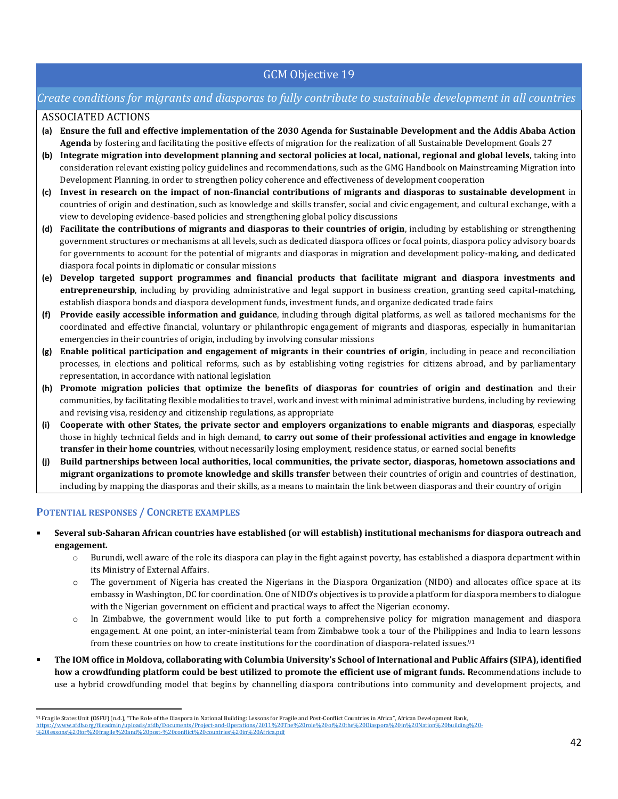## *Create conditions for migrants and diasporas to fully contribute to sustainable development in all countries*

## ASSOCIATED ACTIONS

- **(a) Ensure the full and effective implementation of the 2030 Agenda for Sustainable Development and the Addis Ababa Action Agenda** by fostering and facilitating the positive effects of migration for the realization of all Sustainable Development Goals 27
- **(b) Integrate migration into development planning and sectoral policies at local, national, regional and global levels**, taking into consideration relevant existing policy guidelines and recommendations, such as the GMG Handbook on Mainstreaming Migration into Development Planning, in order to strengthen policy coherence and effectiveness of development cooperation
- **(c) Invest in research on the impact of non-financial contributions of migrants and diasporas to sustainable development** in countries of origin and destination, such as knowledge and skills transfer, social and civic engagement, and cultural exchange, with a view to developing evidence-based policies and strengthening global policy discussions
- **(d) Facilitate the contributions of migrants and diasporas to their countries of origin**, including by establishing or strengthening government structures or mechanisms at all levels, such as dedicated diaspora offices or focal points, diaspora policy advisory boards for governments to account for the potential of migrants and diasporas in migration and development policy-making, and dedicated diaspora focal points in diplomatic or consular missions
- **(e) Develop targeted support programmes and financial products that facilitate migrant and diaspora investments and entrepreneurship**, including by providing administrative and legal support in business creation, granting seed capital-matching, establish diaspora bonds and diaspora development funds, investment funds, and organize dedicated trade fairs
- **(f) Provide easily accessible information and guidance**, including through digital platforms, as well as tailored mechanisms for the coordinated and effective financial, voluntary or philanthropic engagement of migrants and diasporas, especially in humanitarian emergencies in their countries of origin, including by involving consular missions
- **(g) Enable political participation and engagement of migrants in their countries of origin**, including in peace and reconciliation processes, in elections and political reforms, such as by establishing voting registries for citizens abroad, and by parliamentary representation, in accordance with national legislation
- **(h) Promote migration policies that optimize the benefits of diasporas for countries of origin and destination** and their communities, by facilitating flexible modalities to travel, work and invest with minimal administrative burdens, including by reviewing and revising visa, residency and citizenship regulations, as appropriate
- **(i) Cooperate with other States, the private sector and employers organizations to enable migrants and diasporas**, especially those in highly technical fields and in high demand, **to carry out some of their professional activities and engage in knowledge transfer in their home countries**, without necessarily losing employment, residence status, or earned social benefits
- **(j) Build partnerships between local authorities, local communities, the private sector, diasporas, hometown associations and migrant organizations to promote knowledge and skills transfer** between their countries of origin and countries of destination, including by mapping the diasporas and their skills, as a means to maintain the link between diasporas and their country of origin

- **Several sub-Saharan African countries have established (or will establish) institutional mechanisms for diaspora outreach and engagement.**
	- o Burundi, well aware of the role its diaspora can play in the fight against poverty, has established a diaspora department within its Ministry of External Affairs.
	- The government of Nigeria has created the Nigerians in the Diaspora Organization (NIDO) and allocates office space at its embassy in Washington, DC for coordination. One of NIDO's objectives is to provide a platform for diaspora members to dialogue with the Nigerian government on efficient and practical ways to affect the Nigerian economy.
	- o In Zimbabwe, the government would like to put forth a comprehensive policy for migration management and diaspora engagement. At one point, an inter-ministerial team from Zimbabwe took a tour of the Philippines and India to learn lessons from these countries on how to create institutions for the coordination of diaspora-related issues.<sup>91</sup>
- **The IOM office in Moldova, collaborating with Columbia University's School of International and Public Affairs (SIPA), identified how a crowdfunding platform could be best utilized to promote the efficient use of migrant funds. R**ecommendations include to use a hybrid crowdfunding model that begins by channelling diaspora contributions into community and development projects, and

<sup>&</sup>lt;sup>91</sup> Fragile States Unit (OSFU) (n.d.), "The Role of the Diaspora in National Building: Lessons for Fragile and Post-Conflict Countries in Africa", African Development Bank, [https://www.afdb.org/fileadmin/uploads/afdb/Documents/Project-and-Operations/2011%20The%20role%20of%20the%20Diaspora%20in%20Nation%20building%20-](https://www.afdb.org/fileadmin/uploads/afdb/Documents/Project-and-Operations/2011%20The%20role%20of%20the%20Diaspora%20in%20Nation%20building%20-%20lessons%20for%20fragile%20and%20post-%20conflict%20countries%20in%20Africa.pdf) %20for%20fragile%20and%20post-%20conflict%20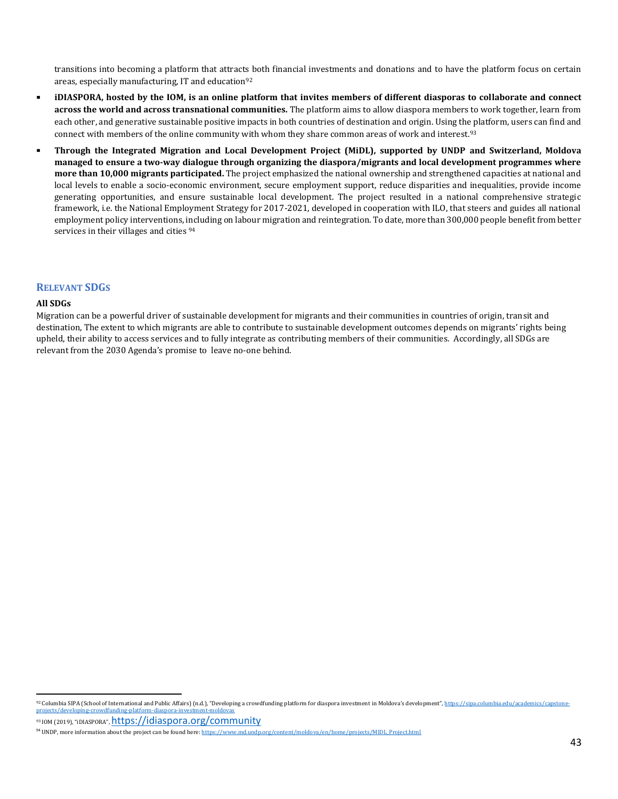transitions into becoming a platform that attracts both financial investments and donations and to have the platform focus on certain areas, especially manufacturing, IT and education<sup>92</sup>

- **iDIASPORA, hosted by the IOM, is an online platform that invites members of different diasporas to collaborate and connect across the world and across transnational communities.** The platform aims to allow diaspora members to work together, learn from each other, and generative sustainable positive impacts in both countries of destination and origin. Using the platform, users can find and connect with members of the online community with whom they share common areas of work and interest. 93
- **Through the Integrated Migration and Local Development Project (MiDL), supported by UNDP and Switzerland, Moldova managed to ensure a two-way dialogue through organizing the diaspora/migrants and local development programmes where more than 10,000 migrants participated.** The project emphasized the national ownership and strengthened capacities at national and local levels to enable a socio-economic environment, secure employment support, reduce disparities and inequalities, provide income generating opportunities, and ensure sustainable local development. The project resulted in a national comprehensive strategic framework, i.e. the National Employment Strategy for 2017-2021, developed in cooperation with ILO, that steers and guides all national employment policy interventions, including on labour migration and reintegration. To date, more than 300,000 people benefit from better services in their villages and cities <sup>94</sup>

#### **RELEVANT SDGS**

#### **All SDGs**

Migration can be a powerful driver of sustainable development for migrants and their communities in countries of origin, transit and destination, The extent to which migrants are able to contribute to sustainable development outcomes depends on migrants' rights being upheld, their ability to access services and to fully integrate as contributing members of their communities. Accordingly, all SDGs are relevant from the 2030 Agenda's promise to leave no-one behind.

<sup>92</sup> Columbia SIPA (School of International and Public Affairs) (n.d.), "Developing a crowdfunding platform for diaspora investment in Moldova's development", https://sipa.colum [projects/developing-crowdfunding-platform-diaspora-investment-moldovas](https://sipa.columbia.edu/academics/capstone-projects/developing-crowdfunding-platform-diaspora-investment-moldovas)

<sup>93</sup> IOM (2019), "IDIASPORA", <https://idiaspora.org/community>

<sup>94</sup> UNDP, more information about the project can be found here: https://www.md.undp.org/content/moldova/en/home/projects/MIDL Project.html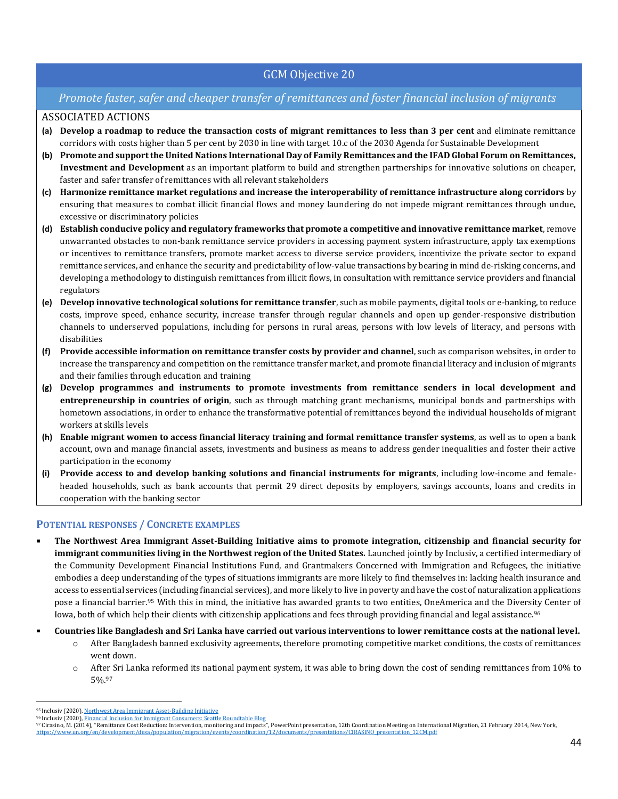## *Promote faster, safer and cheaper transfer of remittances and foster financial inclusion of migrants*

## ASSOCIATED ACTIONS

- **(a) Develop a roadmap to reduce the transaction costs of migrant remittances to less than 3 per cent** and eliminate remittance corridors with costs higher than 5 per cent by 2030 in line with target 10.c of the 2030 Agenda for Sustainable Development
- **(b) Promote and support the United Nations International Day of Family Remittances and the IFAD Global Forum on Remittances, Investment and Development** as an important platform to build and strengthen partnerships for innovative solutions on cheaper, faster and safer transfer of remittances with all relevant stakeholders
- **(c) Harmonize remittance market regulations and increase the interoperability of remittance infrastructure along corridors** by ensuring that measures to combat illicit financial flows and money laundering do not impede migrant remittances through undue, excessive or discriminatory policies
- **(d) Establish conducive policy and regulatory frameworks that promote a competitive and innovative remittance market**, remove unwarranted obstacles to non-bank remittance service providers in accessing payment system infrastructure, apply tax exemptions or incentives to remittance transfers, promote market access to diverse service providers, incentivize the private sector to expand remittance services, and enhance the security and predictability of low-value transactions by bearing in mind de-risking concerns, and developing a methodology to distinguish remittances from illicit flows, in consultation with remittance service providers and financial regulators
- **(e) Develop innovative technological solutions for remittance transfer**, such as mobile payments, digital tools or e-banking, to reduce costs, improve speed, enhance security, increase transfer through regular channels and open up gender-responsive distribution channels to underserved populations, including for persons in rural areas, persons with low levels of literacy, and persons with disabilities
- **(f) Provide accessible information on remittance transfer costs by provider and channel**, such as comparison websites, in order to increase the transparency and competition on the remittance transfer market, and promote financial literacy and inclusion of migrants and their families through education and training
- **(g) Develop programmes and instruments to promote investments from remittance senders in local development and entrepreneurship in countries of origin**, such as through matching grant mechanisms, municipal bonds and partnerships with hometown associations, in order to enhance the transformative potential of remittances beyond the individual households of migrant workers at skills levels
- **(h) Enable migrant women to access financial literacy training and formal remittance transfer systems**, as well as to open a bank account, own and manage financial assets, investments and business as means to address gender inequalities and foster their active participation in the economy
- **(i) Provide access to and develop banking solutions and financial instruments for migrants**, including low-income and femaleheaded households, such as bank accounts that permit 29 direct deposits by employers, savings accounts, loans and credits in cooperation with the banking sector

- **The Northwest Area Immigrant Asset-Building Initiative aims to promote integration, citizenship and financial security for immigrant communities living in the Northwest region of the United States.** Launched jointly by Inclusiv, a certified intermediary of the Community Development Financial Institutions Fund, and Grantmakers Concerned with Immigration and Refugees, the initiative embodies a deep understanding of the types of situations immigrants are more likely to find themselves in: lacking health insurance and access to essential services (including financial services), and more likely to live in poverty and have the cost of naturalization applications pose a financial barrier.<sup>95</sup> With this in mind, the initiative has awarded grants to two entities, OneAmerica and the Diversity Center of Iowa, both of which help their clients with citizenship applications and fees through providing financial and legal assistance.<sup>96</sup>
- **Countries like Bangladesh and Sri Lanka have carried out various interventions to lower remittance costs at the national level.**
	- o After Bangladesh banned exclusivity agreements, therefore promoting competitive market conditions, the costs of remittances went down.
	- o After Sri Lanka reformed its national payment system, it was able to bring down the cost of sending remittances from 10% to 5%.<sup>97</sup>

<sup>95</sup> Inclusiv (2020[\), Northwest Area Immigrant Asset-Building Initiative](https://www.inclusiv.org/initiatives/serving-underserved-markets/immigrants/nw-area-immigrant-asset-building-initiative/)

<sup>96</sup> Inclusiv (2020[\), Financial Inclusion for Immigrant Consumers: Seattle Roundtable Blog](file:///C:/Users/keitel/Desktop/Final%20revision_guidance%20for%20governments/Financial%20Inclusion%20for%20Immigrant%20Consumers:%20Seattle%20Roundtable%20Blog)

<sup>97</sup> Cirasino, M. (2014), "Remittance Cost Reduction: Intervention, monitoring and impacts", PowerPoint presentation, 12th Coordination Meeting on International Migration, 21 February 2014, New York, n/migration/events/coordination/12/documents/presentations/CIRASINO\_presentation\_12CM.pdf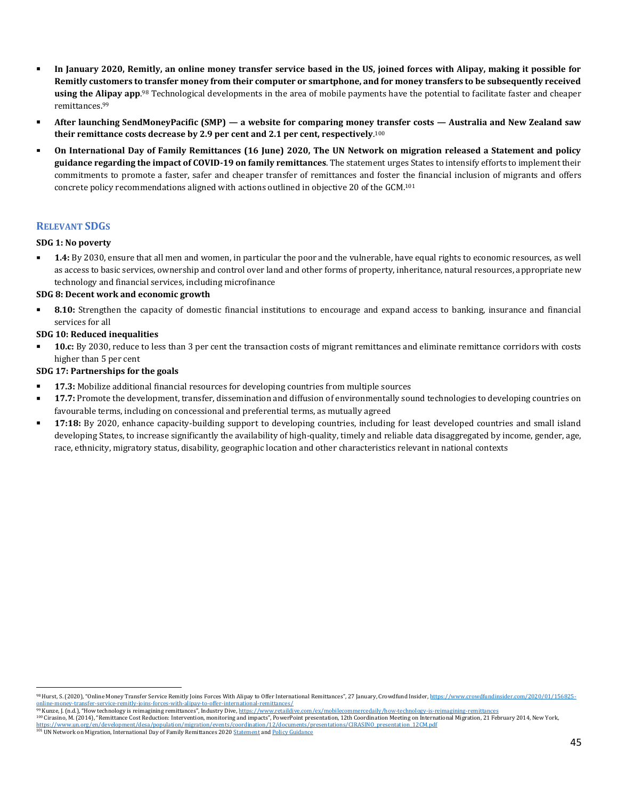- **In January 2020, Remitly, an online money transfer service based in the US, joined forces with Alipay, making it possible for Remitly customers to transfer money from their computer or smartphone, and for money transfers to be subsequently received**  using the Alipay app.<sup>98</sup> Technological developments in the area of mobile payments have the potential to facilitate faster and cheaper remittances.<sup>99</sup>
- **After launching SendMoneyPacific (SMP) — a website for comparing money transfer costs — Australia and New Zealand saw their remittance costs decrease by 2.9 per cent and 2.1 per cent, respectively**. 100
- **On International Day of Family Remittances (16 June) 2020, The UN Network on migration released a Statement and policy guidance regarding the impact of COVID-19 on family remittances**. The statement urges States to intensify efforts to implement their commitments to promote a faster, safer and cheaper transfer of remittances and foster the financial inclusion of migrants and offers concrete policy recommendations aligned with actions outlined in objective 20 of the GCM.<sup>101</sup>

### **SDG 1: No poverty**

■ **1.4:** By 2030, ensure that all men and women, in particular the poor and the vulnerable, have equal rights to economic resources, as well as access to basic services, ownership and control over land and other forms of property, inheritance, natural resources, appropriate new technology and financial services, including microfinance

### **SDG 8: Decent work and economic growth**

8.10: Strengthen the capacity of domestic financial institutions to encourage and expand access to banking, insurance and financial services for all

### **SDG 10: Reduced inequalities**

**10.c:** By 2030, reduce to less than 3 per cent the transaction costs of migrant remittances and eliminate remittance corridors with costs higher than 5 per cent

### **SDG 17: Partnerships for the goals**

- 17.3: Mobilize additional financial resources for developing countries from multiple sources
- 17.7: Promote the development, transfer, dissemination and diffusion of environmentally sound technologies to developing countries on favourable terms, including on concessional and preferential terms, as mutually agreed
- **17:18:** By 2020, enhance capacity-building support to developing countries, including for least developed countries and small island developing States, to increase significantly the availability of high-quality, timely and reliable data disaggregated by income, gender, age, race, ethnicity, migratory status, disability, geographic location and other characteristics relevant in national contexts

<sup>98</sup> Hurst, S. (2020), "Online Money Transfer Service Remitly Joins Forces With Alipay to Offer International Remittances", 27 January, Crowdfund Insider, [https://www.crowdfundinsider.com/2020/01/156825](https://www.crowdfundinsider.com/2020/01/156825-online-money-transfer-service-remitly-joins-forces-with-alipay-to-offer-international-remittances/)  $insfer-service-remitly-joins-forces-with-alipay-to-offer-international-remittances/$ 

<sup>99</sup> Kunze, J. (n.d.), "How technology is reimagining remittances", Industry Dive, <https://www.retaildive.com/ex/mobilecommercedaily/how-technology-is-reimagining-remittances> 100 Cirasino, M. (2014), "Remittance Cost Reduction: Intervention, monitoring and impacts", PowerPoint presentation, 12th Coordination Meeting on International Migration, 21 February 2014, New York, [https://www.un.org/en/development/desa/population/migration/events/coordination/12/documents/presentations/CIRASINO\\_presentation\\_12CM.pdf](https://www.un.org/en/development/desa/population/migration/events/coordination/12/documents/presentations/CIRASINO_presentation_12CM.pdf)

<sup>&</sup>lt;sup>101</sup> UN Network on Migration, International Day of Family Remittances 202[0 Statement](https://migrationnetwork.un.org/international-day-family-remittances-global-pandemic-highlights-crucial-role-remittances-migrant) and Policy Guidanc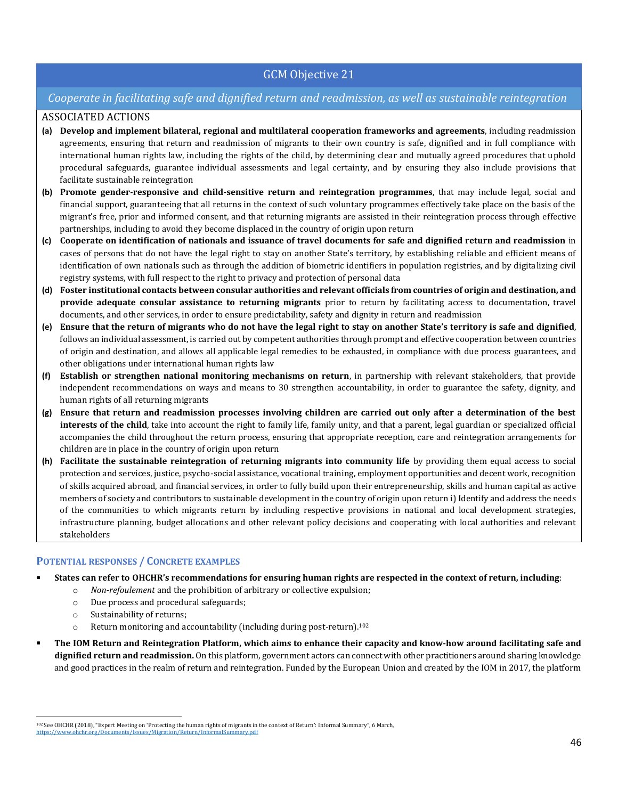## *Cooperate in facilitating safe and dignified return and readmission, as well as sustainable reintegration*

## ASSOCIATED ACTIONS

- **(a) Develop and implement bilateral, regional and multilateral cooperation frameworks and agreements**, including readmission agreements, ensuring that return and readmission of migrants to their own country is safe, dignified and in full compliance with international human rights law, including the rights of the child, by determining clear and mutually agreed procedures that uphold procedural safeguards, guarantee individual assessments and legal certainty, and by ensuring they also include provisions that facilitate sustainable reintegration
- **(b) Promote gender-responsive and child-sensitive return and reintegration programmes**, that may include legal, social and financial support, guaranteeing that all returns in the context of such voluntary programmes effectively take place on the basis of the migrant's free, prior and informed consent, and that returning migrants are assisted in their reintegration process through effective partnerships, including to avoid they become displaced in the country of origin upon return
- **(c) Cooperate on identification of nationals and issuance of travel documents for safe and dignified return and readmission** in cases of persons that do not have the legal right to stay on another State's territory, by establishing reliable and efficient means of identification of own nationals such as through the addition of biometric identifiers in population registries, and by digitalizing civil registry systems, with full respect to the right to privacy and protection of personal data
- **(d) Foster institutional contacts between consular authorities and relevant officials from countries of origin and destination, and provide adequate consular assistance to returning migrants** prior to return by facilitating access to documentation, travel documents, and other services, in order to ensure predictability, safety and dignity in return and readmission
- **(e) Ensure that the return of migrants who do not have the legal right to stay on another State's territory is safe and dignified**, follows an individual assessment, is carried out by competent authorities through prompt and effective cooperation between countries of origin and destination, and allows all applicable legal remedies to be exhausted, in compliance with due process guarantees, and other obligations under international human rights law
- **(f) Establish or strengthen national monitoring mechanisms on return**, in partnership with relevant stakeholders, that provide independent recommendations on ways and means to 30 strengthen accountability, in order to guarantee the safety, dignity, and human rights of all returning migrants
- **(g) Ensure that return and readmission processes involving children are carried out only after a determination of the best interests of the child**, take into account the right to family life, family unity, and that a parent, legal guardian or specialized official accompanies the child throughout the return process, ensuring that appropriate reception, care and reintegration arrangements for children are in place in the country of origin upon return
- **(h) Facilitate the sustainable reintegration of returning migrants into community life** by providing them equal access to social protection and services, justice, psycho-social assistance, vocational training, employment opportunities and decent work, recognition of skills acquired abroad, and financial services, in order to fully build upon their entrepreneurship, skills and human capital as active members of society and contributors to sustainable development in the country of origin upon return i) Identify and address the needs of the communities to which migrants return by including respective provisions in national and local development strategies, infrastructure planning, budget allocations and other relevant policy decisions and cooperating with local authorities and relevant stakeholders

- **States can refer to OHCHR's recommendations for ensuring human rights are respected in the context of return, including**:
	- o *Non-refoulement* and the prohibition of arbitrary or collective expulsion;
	- o Due process and procedural safeguards;
	- o Sustainability of returns;
	- o Return monitoring and accountability (including during post-return). 102
- The IOM Return and Reintegration Platform, which aims to enhance their capacity and know-how around facilitating safe and **dignified return and readmission.** On this platform, government actors can connect with other practitioners around sharing knowledge and good practices in the realm of return and reintegration. Funded by the European Union and created by the IOM in 2017, the platform

<sup>102</sup> See OHCHR (2018), "Expert Meeting on 'Protecting the human rights of migrants in the context of Return': Informal Summary", 6 March, es/Migration/Return/Info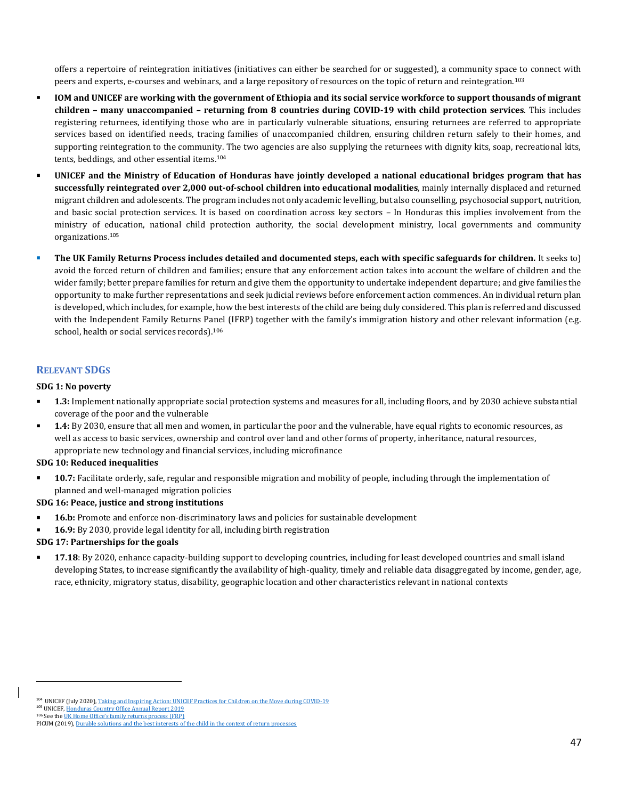offers a repertoire of reintegration initiatives (initiatives can either be searched for or suggested), a community space to connect with peers and experts, e-courses and webinars, and a large repository of resources on the topic of return and reintegration.<sup>103</sup>

- **IOM and UNICEF are working with the government of Ethiopia and its social service workforce to support thousands of migrant children – many unaccompanied – returning from 8 countries during COVID-19 with child protection services**. This includes registering returnees, identifying those who are in particularly vulnerable situations, ensuring returnees are referred to appropriate services based on identified needs, tracing families of unaccompanied children, ensuring children return safely to their homes, and supporting reintegration to the community. The two agencies are also supplying the returnees with dignity kits, soap, recreational kits, tents, beddings, and other essential items. 104
- **UNICEF and the Ministry of Education of Honduras have jointly developed a national educational bridges program that has successfully reintegrated over 2,000 out-of-school children into educational modalities**, mainly internally displaced and returned migrant children and adolescents. The program includes not only academic levelling, but also counselling, psychosocial support, nutrition, and basic social protection services. It is based on coordination across key sectors – In Honduras this implies involvement from the ministry of education, national child protection authority, the social development ministry, local governments and community organizations. 105
- **The UK Family Returns Process includes detailed and documented steps, each with specific safeguards for children.** It seeks to) avoid the forced return of children and families; ensure that any enforcement action takes into account the welfare of children and the wider family; better prepare families for return and give them the opportunity to undertake independent departure; and give families the opportunity to make further representations and seek judicial reviews before enforcement action commences. An individual return plan is developed, which includes, for example, how the best interests of the child are being duly considered. This plan is referred and discussed with the Independent Family Returns Panel (IFRP) together with the family's immigration history and other relevant information (e.g. school, health or social services records).<sup>106</sup>

#### **RELEVANT SDGS**

#### **SDG 1: No poverty**

- **1.3:** Implement nationally appropriate social protection systems and measures for all, including floors, and by 2030 achieve substantial coverage of the poor and the vulnerable
- 1.4: By 2030, ensure that all men and women, in particular the poor and the vulnerable, have equal rights to economic resources, as well as access to basic services, ownership and control over land and other forms of property, inheritance, natural resources, appropriate new technology and financial services, including microfinance

#### **SDG 10: Reduced inequalities**

10.7: Facilitate orderly, safe, regular and responsible migration and mobility of people, including through the implementation of planned and well-managed migration policies

#### **SDG 16: Peace, justice and strong institutions**

- **16.b:** Promote and enforce non-discriminatory laws and policies for sustainable development
- 16.9: By 2030, provide legal identity for all, including birth registration

#### **SDG 17: Partnerships for the goals**

**• 17.18**: By 2020, enhance capacity-building support to developing countries, including for least developed countries and small island developing States, to increase significantly the availability of high-quality, timely and reliable data disaggregated by income, gender, age, race, ethnicity, migratory status, disability, geographic location and other characteristics relevant in national contexts

<sup>105</sup> UNICEF[, Honduras Country Office Annual Report 2019](https://www.unicef.org/about/annualreport/files/Honduras-2019-COAR(1).pdf) <sup>106</sup> See the [UK Home Office's family returns process \(FRP\)](https://assets.publishing.service.gov.uk/government/uploads/system/uploads/attachment_data/file/899617/family-returns-process-v6.0-gov-uk.pdf)

<sup>&</sup>lt;sup>104</sup> UNICEF (July 2020)[, Taking and Inspiring Action: UNICEF Practices for Children on the Move during COVID-19](https://www.unicef.org/media/83536/file/Taking-and-Inspiring-Action-UNICEF-Practices-for-Children-on-the-Move-during-COVID-19.pdf)

PICUM (2019)[, Durable solutions and the best interests of the child in the context of return processes](file:///C:/Users/keitel/Desktop/Final%20revision_guidance%20for%20governments/Durable%20solutions%20and%20the%20best%20interests%20of%20the%20child%20in%20the%20context%20of%20return%20processes)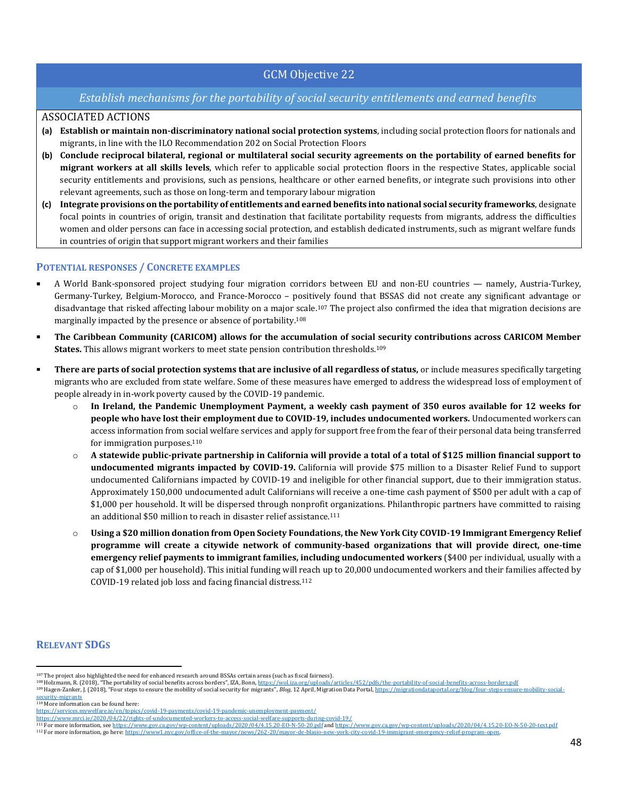## *Establish mechanisms for the portability of social security entitlements and earned benefits*

## ASSOCIATED ACTIONS

- **(a) Establish or maintain non-discriminatory national social protection systems**, including social protection floors for nationals and migrants, in line with the ILO Recommendation 202 on Social Protection Floors
- **(b) Conclude reciprocal bilateral, regional or multilateral social security agreements on the portability of earned benefits for migrant workers at all skills levels**, which refer to applicable social protection floors in the respective States, applicable social security entitlements and provisions, such as pensions, healthcare or other earned benefits, or integrate such provisions into other relevant agreements, such as those on long-term and temporary labour migration
- **(c) Integrate provisions on the portability of entitlements and earned benefits into national social security frameworks**, designate focal points in countries of origin, transit and destination that facilitate portability requests from migrants, address the difficulties women and older persons can face in accessing social protection, and establish dedicated instruments, such as migrant welfare funds in countries of origin that support migrant workers and their families

### **POTENTIAL RESPONSES / CONCRETE EXAMPLES**

- A World Bank-sponsored project studying four migration corridors between EU and non-EU countries namely, Austria-Turkey, Germany-Turkey, Belgium-Morocco, and France-Morocco – positively found that BSSAS did not create any significant advantage or disadvantage that risked affecting labour mobility on a major scale.<sup>107</sup> The project also confirmed the idea that migration decisions are marginally impacted by the presence or absence of portability. 108
- **The Caribbean Community (CARICOM) allows for the accumulation of social security contributions across CARICOM Member States.** This allows migrant workers to meet state pension contribution thresholds.<sup>109</sup>
- There are parts of social protection systems that are inclusive of all regardless of status, or include measures specifically targeting migrants who are excluded from state welfare. Some of these measures have emerged to address the widespread loss of employment of people already in in-work poverty caused by the COVID-19 pandemic.
	- o **In Ireland, the Pandemic Unemployment Payment, a weekly cash payment of 350 euros available for 12 weeks for people who have lost their employment due to COVID-19, includes undocumented workers.** Undocumented workers can access information from social welfare services and apply for support free from the fear of their personal data being transferred for immigration purposes.<sup>110</sup>
	- o **A statewide public-private partnership in California will provide a total of a total of \$125 million financial support to undocumented migrants impacted by COVID-19.** California will provide \$75 million to a Disaster Relief Fund to support undocumented Californians impacted by COVID-19 and ineligible for other financial support, due to their immigration status. Approximately 150,000 undocumented adult Californians will receive a one-time cash payment of \$500 per adult with a cap of \$1,000 per household. It will be dispersed through nonprofit organizations. Philanthropic partners have committed to raising an additional \$50 million to reach in disaster relief assistance.<sup>111</sup>
	- o **Using a \$20 million donation from Open Society Foundations, the New York City COVID-19 Immigrant Emergency Relief programme will create a citywide network of community-based organizations that will provide direct, one-time emergency relief payments to immigrant families, including undocumented workers** (\$400 per individual, usually with a cap of \$1,000 per household). This initial funding will reach up to 20,000 undocumented workers and their families affected by COVID-19 related job loss and facing financial distress.<sup>112</sup>

## **RELEVANT SDGS**

<sup>107</sup> The project also highlighted the need for enhanced research around BSSAs certain areas (such as fiscal fairness).

<sup>&</sup>lt;sup>108</sup> Holzmann, R. (2018), "The portability of social benefits across borders", IZA, Bonn, <https://wol.iza.org/uploads/articles/452/pdfs/the-portability-of-social-benefits-across-borders.pdf> <sup>109</sup> Hagen-Zanker, J. (2018), "Four steps to ensure the mobility of social security for migrants", *Blog*, 12 April, Migration Data Portal, https://migrationdataportal.org/blog/four-step

<sup>&</sup>lt;mark>[security-migrants](https://migrationdataportal.org/blog/four-steps-ensure-mobility-social-security-migrants)</mark><br><sup>110</sup> More information can be found here:

<https://services.mywelfare.ie/en/topics/covid-19-payments/covid-19-pandemic-unemployment-payment/>

ps://www.mrci.ie/2020/04/22/rights-of-undocumented-workers-to-access-social-welfare-supports-during-covid-19/

<sup>111</sup> For more information, se[e https://www.gov.ca.gov/wp-content/uploads/2020/04/4.15.20-EO-N-50-20.pdf](https://www.gov.ca.gov/wp-content/uploads/2020/04/4.15.20-EO-N-50-20.pdf) an[d https://www.gov.ca.gov/wp-content/uploads/2020/04/4.15.20-EO-N-50-20-text.pdf](https://www.gov.ca.gov/wp-content/uploads/2020/04/4.15.20-EO-N-50-20-text.pdf) 112 For more information, go here: https://www1.nyc.gov/office-of-the-mayor/news/262-20/m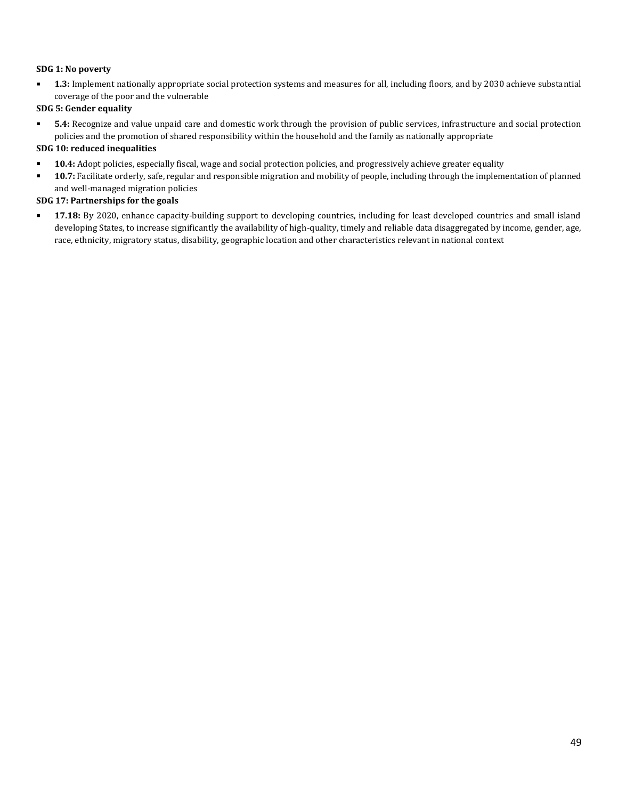## **SDG 1: No poverty**

▪ **1.3:** Implement nationally appropriate social protection systems and measures for all, including floors, and by 2030 achieve substantial coverage of the poor and the vulnerable

## **SDG 5: Gender equality**

▪ **5.4:** Recognize and value unpaid care and domestic work through the provision of public services, infrastructure and social protection policies and the promotion of shared responsibility within the household and the family as nationally appropriate

## **SDG 10: reduced inequalities**

- **10.4:** Adopt policies, especially fiscal, wage and social protection policies, and progressively achieve greater equality
- **10.7:** Facilitate orderly, safe, regular and responsible migration and mobility of people, including through the implementation of planned and well-managed migration policies

## **SDG 17: Partnerships for the goals**

▪ **17.18:** By 2020, enhance capacity-building support to developing countries, including for least developed countries and small island developing States, to increase significantly the availability of high-quality, timely and reliable data disaggregated by income, gender, age, race, ethnicity, migratory status, disability, geographic location and other characteristics relevant in national context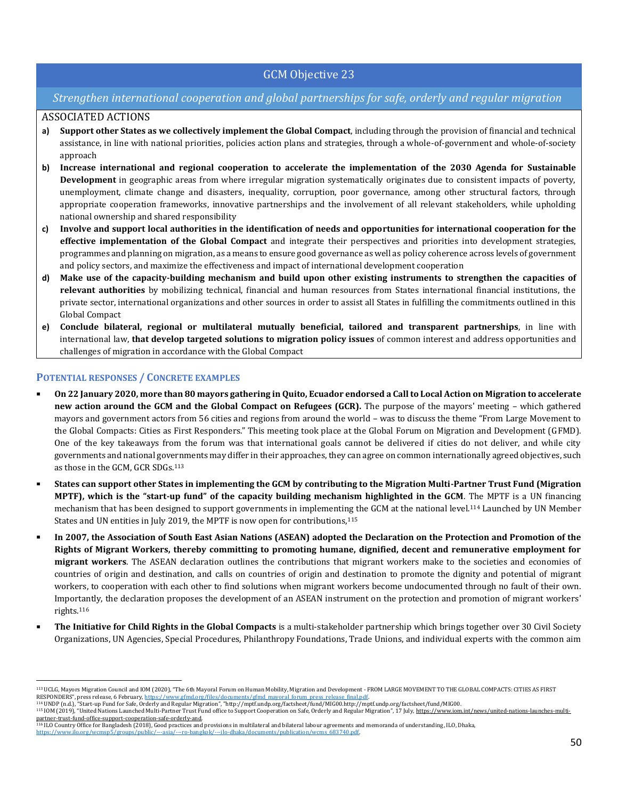## *Strengthen international cooperation and global partnerships for safe, orderly and regular migration*

## ASSOCIATED ACTIONS

- **a) Support other States as we collectively implement the Global Compact**, including through the provision of financial and technical assistance, in line with national priorities, policies action plans and strategies, through a whole-of-government and whole-of-society approach
- **b) Increase international and regional cooperation to accelerate the implementation of the 2030 Agenda for Sustainable Development** in geographic areas from where irregular migration systematically originates due to consistent impacts of poverty, unemployment, climate change and disasters, inequality, corruption, poor governance, among other structural factors, through appropriate cooperation frameworks, innovative partnerships and the involvement of all relevant stakeholders, while upholding national ownership and shared responsibility
- **c) Involve and support local authorities in the identification of needs and opportunities for international cooperation for the effective implementation of the Global Compact** and integrate their perspectives and priorities into development strategies, programmes and planning on migration, as a means to ensure good governance as well as policy coherence across levels of government and policy sectors, and maximize the effectiveness and impact of international development cooperation
- **d) Make use of the capacity-building mechanism and build upon other existing instruments to strengthen the capacities of relevant authorities** by mobilizing technical, financial and human resources from States international financial institutions, the private sector, international organizations and other sources in order to assist all States in fulfilling the commitments outlined in this Global Compact
- **e) Conclude bilateral, regional or multilateral mutually beneficial, tailored and transparent partnerships**, in line with international law, **that develop targeted solutions to migration policy issues** of common interest and address opportunities and challenges of migration in accordance with the Global Compact

- **On 22 January 2020, more than 80 mayors gathering in Quito, Ecuador endorsed a Call to Local Action on Migration to accelerate new action around the GCM and the Global Compact on Refugees (GCR).** The purpose of the mayors' meeting – which gathered mayors and government actors from 56 cities and regions from around the world – was to discuss the theme "From Large Movement to the Global Compacts: Cities as First Responders." This meeting took place at the Global Forum on Migration and Development (GFMD). One of the key takeaways from the forum was that international goals cannot be delivered if cities do not deliver, and while city governments and national governments may differ in their approaches, they can agree on common internationally agreed objectives, such as those in the GCM, GCR SDGs. 113
- States can support other States in implementing the GCM by contributing to the Migration Multi-Partner Trust Fund (Migration **MPTF), which is the "start-up fund" of the capacity building mechanism highlighted in the GCM**. The MPTF is a UN financing mechanism that has been designed to support governments in implementing the GCM at the national level.<sup>114</sup> Launched by UN Member States and UN entities in July 2019, the MPTF is now open for contributions,<sup>115</sup>
- In 2007, the Association of South East Asian Nations (ASEAN) adopted the Declaration on the Protection and Promotion of the **Rights of Migrant Workers, thereby committing to promoting humane, dignified, decent and remunerative employment for migrant workers**. The ASEAN declaration outlines the contributions that migrant workers make to the societies and economies of countries of origin and destination, and calls on countries of origin and destination to promote the dignity and potential of migrant workers, to cooperation with each other to find solutions when migrant workers become undocumented through no fault of their own. Importantly, the declaration proposes the development of an ASEAN instrument on the protection and promotion of migrant workers' rights. 116
- The Initiative for Child Rights in the Global Compacts is a multi-stakeholder partnership which brings together over 30 Civil Society Organizations, UN Agencies, Special Procedures, Philanthropy Foundations, Trade Unions, and individual experts with the common aim

<sup>&</sup>lt;sup>113</sup> UCLG, Mayors Migration Council and IOM (2020), "The 6th Mayoral Forum on Human Mobility, Migration and Development - FROM LARGE MOVEMENT TO THE GLOBAL COMPACTS: CITIES AS FIRST<br>RESPONDERS" press release. 6 February. RESPONDERS", press release, 6 February, [https://www.gfmd.org/files/documents/gfmd\\_mayoral\\_forum\\_press\\_release\\_final.pdf.](https://www.gfmd.org/files/documents/gfmd_mayoral_forum_press_release_final.pdf)

<sup>114</sup> UNDP (n.d.), "Start-up Fund for Safe, Orderly and Regular Migration", "http://mptf.undp.org/factsheet/fund/MIG00.http://mptf.undp.org/factsheet/fund/MIG00.

<sup>&</sup>lt;sup>115</sup> IOM (2019), "United Nations Launched Multi-Partner Trust Fund office to Support Cooperation on Safe, Orderly and Regular Migration", 17 July, [https://www.iom.int/news/united-nations-launches-multi-](https://www.iom.int/news/united-nations-launches-multi-partner-trust-fund-office-support-cooperation-safe-orderly-and)

[partner-trust-fund-office-support-cooperation-safe-orderly-and.](https://www.iom.int/news/united-nations-launches-multi-partner-trust-fund-office-support-cooperation-safe-orderly-and)<br><sup>116</sup> ILO Country Office for Bangladesh (2018), Good practices and provisions in multilateral and bilateral labour agreements and memoranda of understanding, -ro-bangkok/---ilo-dhaka/docu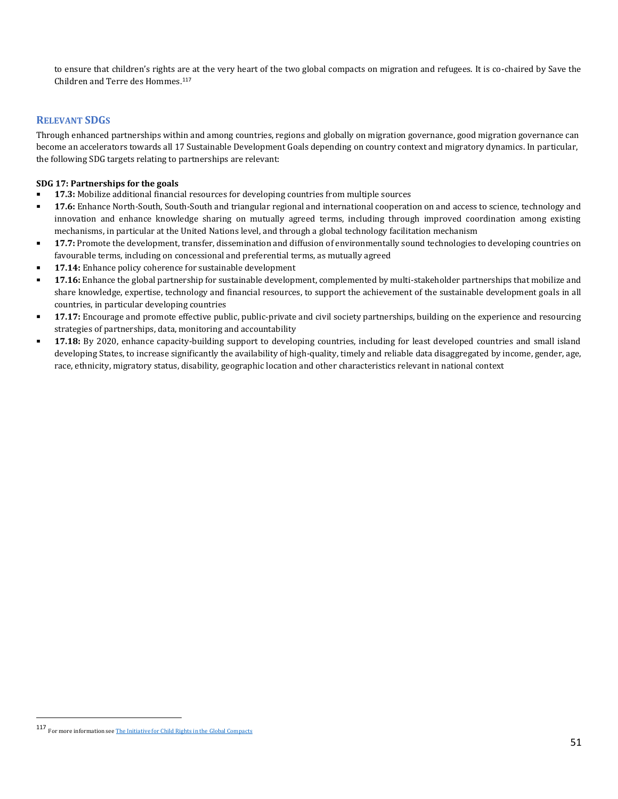to ensure that children's rights are at the very heart of the two global compacts on migration and refugees. It is co-chaired by Save the Children and Terre des Hommes. 117

### **RELEVANT SDGS**

Through enhanced partnerships within and among countries, regions and globally on migration governance, good migration governance can become an accelerators towards all 17 Sustainable Development Goals depending on country context and migratory dynamics. In particular, the following SDG targets relating to partnerships are relevant:

### **SDG 17: Partnerships for the goals**

- 17.3: Mobilize additional financial resources for developing countries from multiple sources
- **17.6:** Enhance North-South, South-South and triangular regional and international cooperation on and access to science, technology and innovation and enhance knowledge sharing on mutually agreed terms, including through improved coordination among existing mechanisms, in particular at the United Nations level, and through a global technology facilitation mechanism
- **17.7:** Promote the development, transfer, dissemination and diffusion of environmentally sound technologies to developing countries on favourable terms, including on concessional and preferential terms, as mutually agreed
- 17.14: Enhance policy coherence for sustainable development
- **17.16:** Enhance the global partnership for sustainable development, complemented by multi-stakeholder partnerships that mobilize and share knowledge, expertise, technology and financial resources, to support the achievement of the sustainable development goals in all countries, in particular developing countries
- 17.17: Encourage and promote effective public, public-private and civil society partnerships, building on the experience and resourcing strategies of partnerships, data, monitoring and accountability
- **17.18:** By 2020, enhance capacity-building support to developing countries, including for least developed countries and small island developing States, to increase significantly the availability of high-quality, timely and reliable data disaggregated by income, gender, age, race, ethnicity, migratory status, disability, geographic location and other characteristics relevant in national context

<sup>117</sup> For more information se[e The Initiative for Child Rights in the Global Compacts](https://www.childrenonthemove.org/)